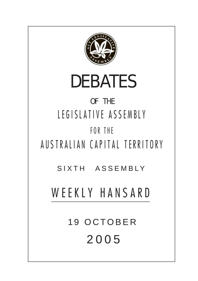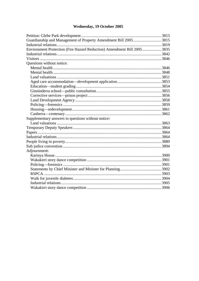# Wednesday, 19 October 2005

| Environment Protection (Fire Hazard Reduction) Amendment Bill 20053835 |  |
|------------------------------------------------------------------------|--|
|                                                                        |  |
|                                                                        |  |
| Questions without notice:                                              |  |
|                                                                        |  |
|                                                                        |  |
|                                                                        |  |
|                                                                        |  |
|                                                                        |  |
|                                                                        |  |
|                                                                        |  |
|                                                                        |  |
|                                                                        |  |
|                                                                        |  |
|                                                                        |  |
| Supplementary answers to questions without notice:                     |  |
|                                                                        |  |
|                                                                        |  |
|                                                                        |  |
|                                                                        |  |
|                                                                        |  |
|                                                                        |  |
| Adjournment:                                                           |  |
|                                                                        |  |
|                                                                        |  |
|                                                                        |  |
|                                                                        |  |
|                                                                        |  |
|                                                                        |  |
|                                                                        |  |
|                                                                        |  |
|                                                                        |  |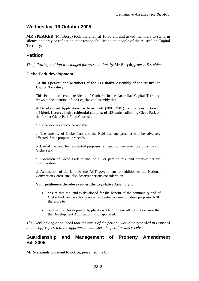## <span id="page-2-0"></span>**Wednesday, 19 October 2005**

**MR SPEAKER** (Mr Berry) took the chair at 10.30 am and asked members to stand in silence and pray or reflect on their responsibilities to the people of the Australian Capital Territory.

## **Petition**

*The following petition was lodged for presentation, by* **Mr Smyth**, *from 118 residents:* 

### **Glebe Park development**

**To the Speaker and Members of the Legislative Assembly of the Australian Capital Territory** 

This Petition of certain residents of Canberra in the Australian Capital Territory, draws to the attention of the Legislative Assembly that

A Development Application has been made (200404901) for the construction of a **4 block 8 storey high residential complex of 189 units**, adjoining Glebe Park on the former Glebe Park Food Court site.

Your petitioners are concerned that:

a. The amenity of Glebe Park and the Reid heritage precinct will be adversely affected if this proposal proceeds.

b. Use of the land for residential purposes is inappropriate given the proximity of Glebe Park.

c. Extension of Glebe Park to include all or part of this land deserves serious consideration.

d. Acquisition of the land by the ACT government for addition to the National Convention Centre site, also deserves serious consideration.

#### **Your petitioners therefore request the Legislative Assembly to**

- ensure that the land is developed for the benefit of the community and of Glebe Park and not for private residential accommodation purposes AND therefore to
- oppose the Development Application AND to take all steps to ensure that the Development Application is not approved.

*The Clerk having announced that the terms of the petition would be recorded in Hansard and a copy referred to the appropriate minister, the petition was received.* 

### **Guardianship and Management of Property Amendment Bill 2005**

**Mr Stefaniak**, pursuant to notice, presented the bill.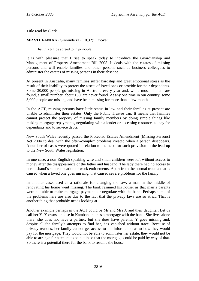Title read by Clerk.

**MR STEFANIAK** (Ginninderra) (10.32): I move:

That this bill be agreed to in principle.

It is with pleasure that I rise to speak today to introduce the Guardianship and Management of Property Amendment Bill 2005. It deals with the estates of missing persons and will enable families and other persons such as business colleagues to administer the estates of missing persons in their absence.

At present in Australia, many families suffer hardship and great emotional stress as the result of their inability to protect the assets of loved ones or provide for their dependants. Some 30,000 people go missing in Australia every year and, while most of them are found, a small number, about 150, are never found. At any one time in our country, some 3,000 people are missing and have been missing for more than a few months.

In the ACT, missing persons have little status in law and their families at present are unable to administer their estates. Only the Public Trustee can. It means that families cannot protect the property of missing family members by doing simple things like making mortgage repayments, negotiating with a lender or accessing resources to pay for dependants and to service debts.

New South Wales recently passed the Protected Estates Amendment (Missing Persons) Act 2004 to deal with the often-complex problems created when a person disappears. A number of cases were quoted in relation to the need for such provision in the lead-up to the New South Wales legislation.

In one case, a non-English speaking wife and small children were left without access to money after the disappearance of the father and husband. The lady there had no access to her husband's superannuation or work entitlements. Apart from the normal trauma that is caused when a loved one goes missing, that caused severe problems for the family.

In another case, used as a rationale for changing the law, a man in the middle of renovating his home went missing. The bank resumed his house, as that man's parents were not able to make mortgage payments or negotiate with the bank. Perhaps some of the problems here are also due to the fact that the privacy laws are so strict. That is another thing that probably needs looking at.

Another example perhaps in the ACT could be Mr and Mrs X and their daughter. Let us call her Y. Y owns a house in Kambah and has a mortgage with the bank. She lives alone there; she does not have a partner; but she does have parents. Y goes missing and, despite all the family's attempts to find her, has vanished without trace. Because of privacy reasons, her family cannot get access to the information as to how they would pay for the mortgage. They would not be able to administer her estate; they would not be able to arrange for a tenant to be put in so that the mortgage could be paid by way of that. So there is a potential there for the bank to resume the house.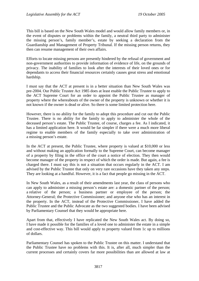This bill is based on the New South Wales model and would allow family members or, in the event of disputes or problems within the family, a neutral third party to administer the missing person's, family member's, estate by seeking a declaration from the Guardianship and Management of Property Tribunal. If the missing person returns, they then can resume management of their own affairs.

Efforts to locate missing persons are presently hindered by the refusal of government and non-government authorities to provide information of evidence of life, on the grounds of privacy. The inability of families to look after the interests of their loved ones or for dependants to access their financial resources certainly causes great stress and emotional hardship.

I must say that the ACT at present is in a better situation than New South Wales was pre-2004. Our Public Trustee Act 1985 does at least enable the Public Trustee to apply to the ACT Supreme Court for an order to appoint the Public Trustee as manager of property where the whereabouts of the owner of the property is unknown or whether it is not known if the owner is dead or alive. So there is some limited protection here.

However, there is no ability for the family to adopt this procedure and cut out the Public Trustee. There is no ability for the family to apply to administer the whole of the deceased person's estate. The Public Trustee, of course, charges a fee. As I indicated, it has a limited application here. It would be far simpler if there were a much more liberal regime to enable members of the family especially to take over administration of a missing person's estate.

In the ACT at present, the Public Trustee, where property is valued at \$10,000 or less and without making an application formally to the Supreme Court, can become manager of a property by filing in the office of the court a notice of election. They then would become manager of the property in respect of which the order is made. But again, a fee is charged there. I must say this is not a situation that occurs regularly in the ACT. I am advised by the Public Trustee that only on very rare occasions have they taken any steps. They are looking at a handful. However, it is a fact that people go missing in the ACT.

In New South Wales, as a result of their amendments last year, the class of persons who can apply to administer a missing person's estate are: a domestic partner of the person; a relative of the person; a business partner or employee of the person; the Attorney-General; the Protective Commissioner; and anyone else who has an interest in the property. In the ACT, instead of the Protective Commissioner, I have added the Public Trustee and the Public Advocate as the two suggested bodies. I have been advised by Parliamentary Counsel that they would be appropriate here.

Apart from that, effectively I have replicated the New South Wales act. By doing so, I have made it possible for the families of a loved one to administer the estate in a simple and cost-effective way. This bill would apply to property valued from 1c up to millions of dollars.

Parliamentary Counsel has spoken to the Public Trustee on this matter. I understand that the Public Trustee have no problems with this. It is, after all, much simpler than the current processes and certainly covers far more possibilities than are allowed at law at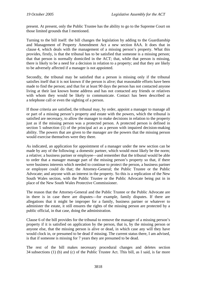present. At present, only the Public Trustee has the ability to go to the Supreme Court on those limited grounds that I mentioned.

Turning to the bill itself: the bill changes the legislation by adding to the Guardianship and Management of Property Amendment Act a new section 8AA. It does that in clause 4, which deals with the management of a missing person's property. What this provides, firstly, is that the tribunal has to be satisfied that someone is a missing person; that that person is normally domiciled in the ACT; that, while that person is missing, there is likely to be a need for a decision in relation to a property; and that they are likely to be adversely affected if a manager is not appointed.

Secondly, the tribunal may be satisfied that a person is missing only if the tribunal satisfies itself that it is not known if the person is alive; that reasonable efforts have been made to find the person; and that for at least 90 days the person has not contacted anyone living at their last known home address and has not contacted any friends or relatives with whom they would be likely to communicate. Contact has been described as a telephone call or even the sighting of a person.

If those criteria are satisfied, the tribunal may, by order, appoint a manager to manage all or part of a missing person's property and estate with the powers, which the tribunal is satisfied are necessary, to allow the manager to make decisions in relation to the property just as if the missing person was a protected person. A protected person is defined in section 5 subsection (1) of the principal act as a person with impaired decision-making ability. The powers that are given to the manager are the powers that the missing person would exercise themselves were they there.

As indicated, an application for appointment of a manager under the new section can be made by any of the following: a domestic partner, which would most likely be the norm; a relative; a business partner or employee—and remember that the tribunal would be able to order that a manager manage part of the missing person's property so that, if there were business interests which needed to continue to protect the person, a business partner or employee could do that; the Attorney-General; the Public Trustee or the Public Advocate; and anyone with an interest in the property. So this is a replication of the New South Wales section, with the Public Trustee or the Public Advocate being put in in place of the New South Wales Protective Commissioner.

The reason that the Attorney-General and the Public Trustee or the Public Advocate are in there is in case there are disputes—for example, family disputes. If there are allegations that it might be improper for a family, business partner or whatever to administer the estate, it still ensures the rights of the missing person are protected by a public official, in that case, doing the administration.

Clause 6 of the bill provides for the tribunal to remove the manager of a missing person's property if it is satisfied on application by the person, that is, by the missing person or anyone else, that the missing person is alive or dead, in which case any will they have would clock in, or presumed to be dead if missing. The current status there, I am advised, is that if someone is missing for 7 years they are presumed to be dead.

The rest of the bill makes necessary procedural changes and deletes section 34 subsections (1) (b) and (c) of the Public Trustee Act. This bill, as I said, is far more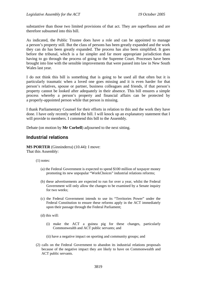<span id="page-6-0"></span>substantive than those two limited provisions of that act. They are superfluous and are therefore subsumed into this bill.

As indicated, the Public Trustee does have a role and can be appointed to manage a person's property still. But the class of persons has been greatly expanded and the work they can do has been greatly expanded. The process has also been simplified. It goes before the tribunal, which is a far simpler and far more appropriate jurisdiction than having to go through the process of going to the Supreme Court. Processes have been brought into line with the sensible improvements that were passed into law in New South Wales last year.

I do not think this bill is something that is going to be used all that often but it is particularly traumatic when a loved one goes missing and it is even harder for that person's relatives, spouse or partner, business colleagues and friends, if that person's property cannot be looked after adequately in their absence. This bill ensures a simple process whereby a person's property and financial affairs can be protected by a properly-appointed person while that person is missing.

I thank Parliamentary Counsel for their efforts in relation to this and the work they have done. I have only recently settled the bill. I will knock up an explanatory statement that I will provide to members. I commend this bill to the Assembly.

Debate (on motion by **Mr Corbell**) adjourned to the next sitting.

### **Industrial relations**

**MS PORTER** (Ginninderra) (10.44): I move: That this Assembly:

- (1) notes:
	- (a) the Federal Government is expected to spend \$100 million of taxpayer money promoting its new unpopular "WorkChoices" industrial relations reforms;
	- (b) these advertisements are expected to run for over a year, whilst the Federal Government will only allow the changes to be examined by a Senate inquiry for two weeks;
	- (c) the Federal Government intends to use its "Territories Power" under the Federal Constitution to ensure these reforms apply in the ACT immediately upon their passage through the Federal Parliament;
	- (d) this will:
		- (i) make the ACT a guinea pig for these changes, particularly Commonwealth and ACT public servants; and
		- (ii) have a negative impact on sporting and community groups; and
- (2) calls on the Federal Government to abandon its industrial relations proposals because of the negative impact they are likely to have on Commonwealth and ACT public servants.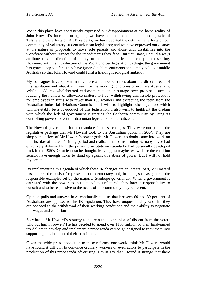We in this place have consistently expressed our disappointment at the harsh reality of John Howard's fourth term agenda; we have commented on the impending sale of Telstra and the effects on ACT residents; we have debated the detrimental effects on our community of voluntary student unionism legislation; and we have expressed our dismay at the nature of proposals to move sole parents and those with disabilities into the workforce without respect for the impediments they face. But until now, I could always attribute this misdirection of policy to populous politics and cheap point-scoring. However, with the introduction of the WorkChoices legislation package, the government has gone a step too far. They have ignored public sentiments and simply sold out middle Australia so that John Howard could fulfil a lifelong ideological ambition.

My colleagues have spoken in this place a number of times about the direct effects of this legislation and what it will mean for the working conditions of ordinary Australians. While I add my wholehearted endorsement to their outrage over proposals such as reducing the number of allowable matters to five, withdrawing dismissible protections for employees in firms with fewer than 100 workers and extracting the teeth from the Australian Industrial Relations Commission, I wish to highlight other injustices which will inevitably be a by-product of this legislation. I also wish to highlight the disdain with which the federal government is treating the Canberra community by using its controlling powers to test this draconian legislation on our citizens.

The Howard government has no mandate for these changes. They were not part of the legislative package that Mr Howard took to the Australian public in 2004. They are simply the effect of Mr Howard's power grab. Mr Howard no doubt came into work on the first day of the 2005 sitting period and realised that barnstorming Barnaby Joyce had effectively delivered him the power to institute an agenda he had personally developed back in the 1950s. Or at least so he thought. Maybe, just maybe, we will see the coalition senator have enough ticker to stand up against this abuse of power. But I will not hold my breath.

By implementing this agenda of which these IR changes are an integral part, Mr Howard has ignored the basis of representational democracy and, in doing so, has ignored the responsible examples set by the majority Stanhope government. When a government is entrusted with the power to institute policy unfettered, they have a responsibility to consult and to be responsive to the needs of the community they represent.

Opinion polls and surveys have continually told us that between 60 and 80 per cent of Australians are opposed to this IR legislation. They have unquestionably said that they are opposed to the withdrawal of their working conditions and their ability to negotiate fair wages and conditions.

So what is Mr Howard's strategy to address this expression of dissent from the voters who put him in power? He has decided to spend over \$100 million of their hard-earned tax dollars to develop and implement a propaganda campaign designed to trick them into supporting the abolition of their conditions.

Given the widespread opposition to these reforms, one would think Mr Howard would have found it difficult to convince ordinary workers or even actors to participate in the production of this propaganda advertising. I must say that I found it strange that there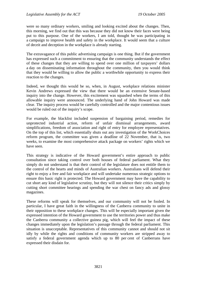were so many ordinary workers, smiling and looking excited about the changes. Then, this morning, we find out that this was because they did not know their faces were being put to this purpose. One of the workers, I am told, thought he was participating in a campaign to improve health and safety in the workplace. It would seem that a culture of deceit and deception in the workplace is already starting.

The extravagance of this public advertising campaign is one thing. But if the government has expressed such a commitment to ensuring that the community understands the effect of these changes that they are willing to spend over one million of taxpayers' dollars a day on disseminating information throughout the community, then you would think that they would be willing to allow the public a worthwhile opportunity to express their reaction to the changes.

Indeed, we thought this would be so, when, in August, workplace relations minister Kevin Andrews expressed the view that there would be an extensive Senate-based inquiry into the change. However, this excitement was squashed when the terms of this allowable inquiry were announced. The underlying hand of John Howard was made clear. The inquiry process would be carefully controlled and the major contentious issues would be ruled out of the inquiry's scope.

For example, the blacklist included suspension of bargaining period, remedies for unprotected industrial action, reform of unfair dismissal arrangements, award simplifications, freedom of association and right of entry for employee representatives. On the top of this list, which essentially shuts out any investigation of the WorkChoices reform program, the committee was given a deadline of 22 November, that is, two weeks, to examine the most comprehensive attack package on workers' rights which we have seen.

This strategy is indicative of the Howard government's entire approach to public consultation since taking control over both houses of federal parliament. What they simply do not understand is that their control of the legislature does not entitle them to the control of the hearts and minds of Australian workers. Australians will defend their right to enjoy a free and fair workplace and will undertake numerous strategic options to ensure this basic right is protected. The Howard government may have the capability to cut short any kind of legislative scrutiny, but they will not silence their critics simply by cutting short committee hearings and spending the war chest on fancy ads and glossy magazines.

These reforms will speak for themselves, and our community will not be fooled. In particular, I have great faith in the willingness of the Canberra community to unite in their opposition to these workplace changes. This will be especially important given the expressed intention of the Howard government to use the territories power and thus make the Canberra community a collective guinea pig, which will feel the impact of these changes immediately upon the legislation's passage through the federal parliament. This situation is unacceptable. Representatives of this community cannot and should not sit idly by while the rights and conditions of community workers are stripped away to satisfy a federal government agenda which up to 80 per cent of Canberrans have expressed their disdain for.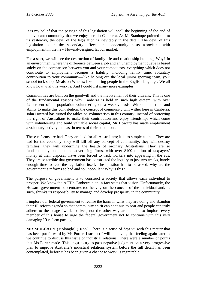It is my belief that the passage of this legislation will spell the beginning of the end of this vibrant community that we enjoy here in Canberra. As Mr Stanhope pointed out to us yesterday, the devil of the legislation is inevitably in the detail. The devil of this legislation is in the secondary effects—the opportunity costs associated with employment in the new Howard-designed labour market.

For a start, we will see the destruction of family life and relationship building. Why? In an environment where the difference between a job and an unemployment queue is based solely on the comparison between you and your competitors, everything which does not contribute to employment becomes a liability, including family time, voluntary contribution to your community—like helping out the local junior sporting team, your school tuck shop, Meals on Wheels; like tutoring people in the English language. We all know how vital this work is. And I could list many more examples.

Communities are built on the goodwill and the involvement of their citizens. This is one of the fundamental reasons why Canberra is held in such high esteem, with over 42 per cent of its population volunteering on a weekly basis. Without this time and ability to make this contribution, the concept of community will wither here in Canberra. John Howard has turned the tables on volunteerism in this country. Instead of protecting the right of Australians to make their contribution and enjoy friendships which come with volunteering and build valuable social capital, Mr Howard has made employment a voluntary activity, at least in terms of their conditions.

These reforms are bad. They are bad for all Australians; it is as simple as that. They are bad for the economy; they will kill off any concept of community; they will destroy families; they will undermine the health of ordinary Australians. They are so fundamentally bad that the advertising firms, with over \$100 million of taxpayers' money at their disposal, have been forced to trick workers into appearing in the ads. They are so terrible that government has constricted the inquiry to just two weeks, barely enough time to read the legislation itself. The question has to be asked: why are the government's reforms so bad and so unpopular? Why is this?

The purpose of government is to construct a society that allows each individual to prosper. We know the ACT's Canberra plan in fact states that vision. Unfortunately, the Howard government concentrates too heavily on the concept of the individual and, as such, shrinks its responsibility to manage and develop prosperity in the community.

I implore our federal government to realise the harm in what they are doing and abandon their IR reform agenda so that community spirit can continue to soar and people can truly adhere to the adage "work to live", not the other way around. I also implore every member of this house to urge the federal government not to continue with this very damaging IR reform package.

**MR MULCAHY** (Molonglo) (10.55): There is a sense of deja vu with this matter that has been put forward by Ms Porter. I suspect I will be having that feeling again later as we continue to discuss this issue of industrial relations. There were a number of points that Ms Porter made. This angst to try to pass negative judgment on a very progressive plan to improve Australia's industrial relations system before the full detail has been contemplated, before it has been given a chance to work, is regrettable.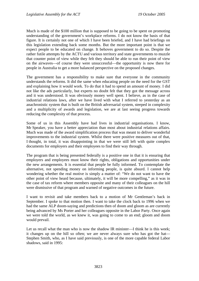Much is made of the \$100 million that is supposed to be going to be spent on promoting understanding of the government's workplace reforms. I do not know the basis of that figure. It is certainly not one of which I have been briefed, and I have had briefings on this legislation extending back some months. But the more important point is that we expect people to be educated on change. It behoves government to do so. Despite the rather futile attempts by the ACTU and various territory and state governments to muzzle that counter point of view while they felt they should be able to run their point of view on the airwaves—of course they were unsuccessful—the opportunity is now there for people in Australia to get a more balanced perspective on the proposed changes.

The government has a responsibility to make sure that everyone in the community understands the reforms. It did the same when educating people on the need for the GST and explaining how it would work. To do that it had to spend an amount of money. I did not like the ads particularly, but experts no doubt felt that they got the message across and it was understood. It was obviously money well spent. I believe, as in the case of industrial relations laws, after we have lived with what I referred to yesterday as an anachronistic system that is built on the British adversarial system, steeped in complexity and a multiplicity of awards and legislation, we are at last seeing progress towards reducing the complexity of that process.

Some of us in this Assembly have had lives in industrial organisations. I know, Mr Speaker, you have a better appreciation than most about industrial relations affairs. Much was made of the award simplification process that was meant to deliver wonderful improvements to the industrial system. Whilst there were positive measures out of that, I thought, in total, it was disappointing in that we were still left with quite complex documents for employers and their employees to find their way through.

The program that is being presented federally is a positive one in that it is ensuring that employers and employees must know their rights, obligations and opportunities under the new arrangements. It is essential that people be fully informed. To contemplate the alternative, not spending money on informing people, is quite absurd. I cannot help wondering whether the real motive is simply a matter of: "We do not want to have the other point of view heard because, ultimately, it will be more compelling," as it was in the case of tax reform where members opposite and many of their colleagues on the hill were dismissive of that program and warned of negative outcomes in the future.

I want to revisit and take members back to a motion of Mr Gentleman's back in September. I spoke to that motion then. I want to take the clock back to 1996 when we had the same ALP doom-saying and predictions then of doom and gloom as are currently being advanced by Ms Porter and her colleagues opposite in the Labor Party. Once again we were told the world, as we knew it, was going to come to an end; gloom and doom would prevail.

Let us recall what the man who is now the shadow IR minister—I think he is this week; it changes up on the hill so often; we are never always sure who has got the hat— Stephen Smith, who, as I have said previously, is one of the more capable federal Labor shadows, said in 1995: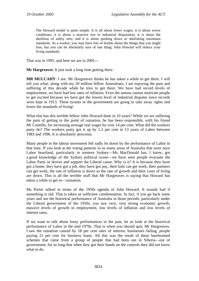The Howard model is quite simple. It is all about lower wages; it is about worse conditions; it is about a massive rise in industrial disputation; it is about the abolition of safety nets; and it is about pushing down or abolishing minimum standards. As a worker, you may have lots of doubts about the things that you might lose, but you can be absolutely sure of one thing: John Howard will reduce your living standards.

That was in 1995, and here we are in 2005—

**Mr Hargreaves**: It just took a long time getting there.

**MR MULCAHY**: I see. Mr Hargreaves thinks he has taken a while to get there. I will tell you what: along with my 20 million fellow Australians, I am enjoying the pain and suffering of this decade while he tries to get there. We have had record levels of employment; we have had low rates of inflation. Even the unions cannot motivate people to get excited because we have got the lowest level of industrial disputes since records were kept in 1913. These tyrants in the government are going to take away rights and lower the standards of living!

What else has this terrible fellow John Howard done in 10 years? While we are suffering the pain of getting to the point of ruination, he has been responsible, with his friend Mr Costello, for increasing average real wages by over 14 per cent. What did the workers party do? The workers party got it up by 1.2 per cent in 13 years of Labor between 1983 and 1996. It is absolutely atrocious.

Many people in the labour movement felt sadly let down by the performance of Labor in that time. If you look at the voting patterns in so many areas of Australia that were once Labor heartland, particularly in western Sydney—Ms MacDonald has, I know, got a good knowledge of the Sydney political scene—we have seen people evacuate the Labor Party in droves and support the Liberal cause. Why is it? It is because they have got a home, they have got a job, they have got pay, their kids can get work, their partners can get work, the rate of inflation is down so the rate of growth and their costs of living are down. This is all the terrible stuff that Mr Hargreaves is saying that Howard has taken a while to get to—ruination.

Ms Porter talked in terms of the 1950s agenda of John Howard. It sounds bad if something is old. That is taken as sufficient condemnation. In fact, if you go back some years and see the historical performance of Australia in those periods, particularly under the Liberal government of the 1950s, you saw very, very strong economic growth, massive levels of growth in employment, low levels of inflation and low levels of interest rates.

If we want to talk about lousy performances in the past, let us look at the historical performance of Labor in the mid 1970s. That is when you should quit, Mr Hargreaves. I saw the ruination caused by 18 per cent rates of interest, businesses failing, people paying 21 per cent for business loans. All this was the result of these harebrained schemes that came from a group of people that had been out in Siberia—out of government, for so long that when they got their hands on the controls they did not know what to do.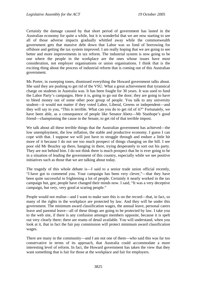Certainly the damage caused by that short period of government has lasted in the Australian economy for quite a while, but it is wonderful that we are now starting to see all of those adverse impacts gradually whittled away while the commonwealth government gets that massive debt down that Labor was so fond of borrowing for offshore and getting the tax system improved. I am really hoping that we are going to see better and more improvements in tax reform. The industrial system is now going to be one where the people in the workplace are the ones whose issues have most consideration, not employer organisations or union organisations. I think that is the exciting thing about the process of industrial reform that is coming out of this Australian government.

Ms Porter, in sweeping tones, dismissed everything the Howard government talks about. She said they are pushing to get rid of the VSU. What a great achievement that tyrannical charge on students in Australia was. It has been fought for 30 years. It was used to fund the Labor Party's campaigns. Here it is, going to go out the door; they are going to have to bleed money out of some other poor group of people. You talk to any university student—it would not matter if they voted Labor, Liberal, Greens or independent—and they will say to you, "This is terrible. What can you do to get rid of it?" Fortunately, we have been able, as a consequence of people like Senator Abetz—Mr Stanhope's good friend—championing the cause in the Senate, to get rid of that terrible impost.

We talk about all these terrible things that the Australian government has achieved—the low unemployment, the low inflation, the stable and productive economy. I guess I can cope with that. I suppose we will just have to struggle through and endure a little bit more of it because I do not see too much prospect of things changing on the hill. I see poor old Mr Beazley up there, hanging in there, trying desperately to sort out his party. They are not behind him. I do not think there is much prospect that he is ever going to be in a situation of leading the government of this country, especially while we see positive initiatives such as those that we are talking about today.

The tragedy of this whole debate is—I said to a senior trade union official recently, "I have got to commend you. Your campaign has been very clever,"—that they have been quite successful in frightening a lot of people. Certainly it nearly worked in the tax campaign but, gee, people have changed their minds now. I said, "It was a very deceptive campaign, but very, very good at scaring people."

People would not realise—and I want to make sure this is on the record—that, in fact, so many of the rights in the workplace are protected by law. And they will be under this government. The minimum award classification wages, the annual leave, personal carers leave and parental leave—all of these things are going to be protected by law. I take you to the web site, if there is any confusion amongst members opposite, because it is spelt out very clearly there; there are reams of detail available. You will understand, when you look at it, that in fact the fair pay commission will protect minimum award classification wages.

There are many in the community—and I am not one of them—who said this was far too conservative in terms of its approach, that Australia could accommodate a more interesting level of reform. In fact, the Howard government has taken the view that they want something that is fair for those at the workplace and fair for employers.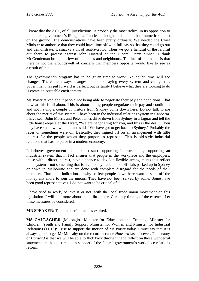I know that the ACT, of all jurisdictions, is probably the most radical in its opposition to the federal government's IR agenda. I noticed, though, a distinct lack of numeric support on the ground. The demonstrations have been pretty ordinary. We needed the Chief Minister to authorise that they could have time off with full pay so that they could go out and demonstrate. It smacks a bit of rent-a-crowd. Then we got a handful of the faithful out there to protest against John Howard at the Liberal Party dinner. I think Mr Gentleman brought a few of his mates and neighbours. The fact of the matter is that there is not the groundswell of concern that members opposite would like to see as a result of this.

The government's program has to be given time to work. No doubt, time will see changes. There are always changes. I am not saying every system and change this government has put forward is perfect, but certainly I believe what they are looking to do is create an equitable environment.

Ms Porter talked about people not being able to negotiate their pay and conditions. That is what this is all about. This is about letting people negotiate their pay and conditions and not having a couple of visitors from Sydney come down here. Do not talk to me about the merits of this system. I have been in the industrial relations system in Canberra. I have seen John Morris and Peter James drive down from Sydney in a Jaguar and tell the little housekeepers at the Hyatt, "We are negotiating for you, and this is the deal." Then they have sat down with me and said, "We have got to get back to Sydney." Probably the races or something were on. Basically, they signed off on an arrangement with little interest for the people whom they purport to represent. This is old-style industrial relations that has no place in a modern economy.

It behoves government members to start supporting improvements, supporting an industrial system that in fact ensures that people in the workplace and the employers, those with a direct interest, have a chance to develop flexible arrangements that reflect their system—not something that is dictated by trade union officials parked up in Sydney or down in Melbourne and are done with complete disregard for the needs of their members. That is an indication of why so few people down here want to send off the money any more to join the unions. They have not been served by some. Some have been good representatives. I do not want to be critical of all.

I have tried to work, believe it or not, with the local trade union movement on this legislation. I will talk more about that a little later. Certainly time is of the essence. Let these measures be considered.

**MR SPEAKER**: The member's time has expired.

**MS GALLAGHER** (Molonglo—Minister for Education and Training, Minister for Children, Youth and Family Support, Minister for Women and Minister for Industrial Relations) (11.10): I rise to support the motion of Ms Porter today. I must say that it is always good to get Mr Mulcahy on the record because *Hansard* lasts forever. The beauty of *Hansard* is that we will be able to flick back through it and reflect on those wonderful statements he has just made in support of the federal government's workplace relations reform.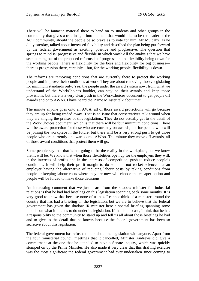There will be fantastic material there to hand on to students and other groups in the community that gives a true insight into the man that would like to be the leader of the ACT community, should the people be so brave as to vote for him. Mr Mulcahy, as he did yesterday, talked about increased flexibility and described the plan being put forward by the federal government as exciting, positive and progressive. The question that springs to mind is: progressive and flexible in which way? All the analysis that we have seen coming out of the proposed reforms is of progression and flexibility being down for the working people. There is flexibility for the boss and flexibility for big business there is progression there, certainly—but, for the working people, flexibility is down.

The reforms are removing conditions that are currently there to protect the working people and improve their conditions at work. They are about removing those, legislating for minimum standards only. Yes, the people under the award system now, from what we understand of the WorkChoices booklet, can stay on their awards and keep those provisions, but there is a very clear push in the WorkChoices document to get people off awards and onto AWAs. I have heard the Prime Minster talk about that.

The minute anyone goes onto an AWA, all of those award protections will go because they are up for being traded away. That is an issue that conservatives talk around when they are singing the praises of this legislation,. They do not actually get to the detail of the WorkChoices document, which is that there will be four minimum conditions. There will be award protection for those who are currently on awards, not for people who will be joining the workplace in the future, but there will be a very strong push to get those people who are currently on awards onto AWAs. The minute they move off awards, all of those award conditions that protect them will go.

Some people say that that is not going to be the reality in the workplace, but we know that it will be. We know that when those flexibilities open up for the employers they will, in the interests of profits and in the interests of competition, push to reduce people's conditions. It will help their profit margin to do so. It is not rocket science that an employer having the alternative of reducing labour costs by taking conditions from people or keeping labour costs where they are now will choose the cheaper option and people will be forced to make those decisions.

An interesting comment that we just heard from the shadow minister for industrial relations is that he had had briefings on this legislation spanning back some months. It is very good to know that because none of us has. I cannot think of a minister around the country that has had a briefing on the legislation, but we are to believe that the federal government has given the shadow IR minister here a special briefing spanning some months on what it intends to do under its legislation. If that is the case, I think that he has a responsibility to the community to stand up and tell us all about those briefings he had and to give us the detail that he knows because the federal government has been so secretive about this legislation.

The federal government has refused to talk about the legislation with anyone. Apart from the four ministerial council meetings that it cancelled, Minister Andrews did give a commitment at the one that he attended to have a Senate inquiry, which was quickly stomped on by the Prime Minister. He also made it very clear that this drafting exercise was the most significant the federal government had ever undertaken since coming to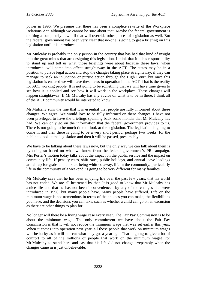power in 1996. We presume that there has been a complete rewrite of the Workplace Relations Act, although we cannot be sure about that. Maybe the federal government is drafting a completely new bill that will override other pieces of legislation as well. But the federal government has been very clear that no-one is going to get a briefing on this legislation until it is introduced.

Mr Mulcahy is probably the only person in the country that has had that kind of insight into the great minds that are designing this legislation. I think that it is his responsibility to stand up and tell us what those briefings were about because these laws, when introduced, will come into effect straightaway in the ACT. The states may be in a position to pursue legal action and stop the changes taking place straightaway, if they can manage to seek an injunction or pursue action through the High Court, but once this legislation is enacted we will have these laws in operation in the ACT. That is the reality for ACT working people. It is not going to be something that we will have time given to see how it is applied and see how it will work in the workplace. These changes will happen straightaway. If Mr Mulcahy has any advice on what is to be in there, I think all of the ACT community would be interested to know.

Mr Mulcahy runs the line that it is essential that people are fully informed about these changes. We agree. We would love to be fully informed on these changes. I have not been privileged to have the briefings spanning back some months that Mr Mulcahy has had. We can only go on the information that the federal government provides to us. There is not going to be much time to look at the legislation. The legislation is going to come in and then there is going to be a very short period, perhaps two weeks, for the public to look at the legislation and then it will be passed, presumably.

We have to be talking about these laws now, but the only way we can talk about them is by doing so based on what we know from the federal government's PR campaign. Mrs Porter's motion today talks about the impact on the public service and the impact on community life. If penalty rates, shift rates, public holidays, and annual leave loadings are all up for grabs and all start being whittled away, life in the community, particularly life in the community of a weekend, is going to be very different for many families.

Mr Mulcahy says that he has been enjoying life over the past few years, that his world has not ended. We are all heartened by that. It is good to know that Mr Mulcahy has a nice life and that he has not been inconvenienced by any of the changes that were introduced in 1996, but many people have. Many people have suffered. Life on the minimum wage is not tremendous in terms of the choices you can make, the flexibilities you have, and the decisions you can take, such as whether a child can go on an excursion as there are other things to plan for.

No longer will there be a living wage case every year. The Fair Pay Commission is to be about the minimum wage. The only commitment we have about the Fair Pay Commission is that it will not reduce the minimum wage that was set earlier this year. When it comes into operation next year, all those people that work on minimum wages will be lucky as it will not cut what they got a year ago. That is going to give a lot of comfort to all of the millions of people that work on the minimum wage! For Mr Mulcahy to stand here and say that his life did not change irreparably when the changes came in is just unbelievable.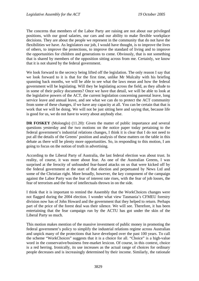The concerns that members of the Labor Party are raising are not about our privileged positions, with our good salaries, our cars and our ability to make flexible workplace decisions. They are about the people we represent in the community that do not have the flexibilities we have. As legislators our job, I would have thought, is to improve the lives of others, to improve the protections, to improve the standard of living and to improve the opportunities for children and generations to come. Obviously, that is not something that is shared by members of the opposition sitting across from me. Certainly, we know that it is not shared by the federal government.

We look forward to the secrecy being lifted off the legislation. The only reason I say that we look forward to it is that for the first time, unlike Mr Mulcahy with his briefing spanning back months, we will be able to see what the laws mean and how the federal government will be legislating. Will they be legislating across the field, as they allude to in some of their policy documents? Once we have that detail, we will be able to look at the legislative powers of the ACT, the current legislation concerning parental leave, long service leave and annual leave, and see what we can do to protect the ACT community from some of these changes, if we have any capacity at all. You can be certain that that is work that we will be doing. We will not be just sitting here and saying that, because life is good for us, we do not have to worry about anybody else.

**DR FOSKEY** (Molonglo) (11.20): Given the matter of public importance and several questions yesterday and the two motions on the notice paper today pertaining to the federal government's industrial relations changes, I think it is clear that I do not need to put all the details of the Greens' position and analysis of these matters on the table in this debate as there will be plenty more opportunities. So, in responding to this motion, I am going to focus on the notion of truth in advertising.

According to the Liberal Party of Australia, the last federal election was about trust. In reality, of course, it was more about fear. As one of the Australian Greens, I was surprised at the ferocity of unfounded fear-based attacks on us that were kicked off by the federal government at the start of that election and perpetuated by News Ltd and some of the Christian right. More broadly, however, the key component of the campaign against the Labor Party was the fear of interest rate rises, with the fear of job losses, the fear of terrorism and the fear of intellectuals thrown in on the side.

I think that it is important to remind the Assembly that the WorkChoices changes were not flagged during the 2004 election. I wonder what view Tasmania's CFMEU forestry division now has of John Howard and the government that they helped to return. Perhaps part of the price of the forest deal was their silence. We will see. Therefore, it has been entertaining that the fear campaign run by the ACTU has got under the skin of the Liberal Party so much.

This motion makes mention of the massive investment of public money in promoting the federal government's policy to simplify the industrial relations regime across Australian and unpick many of the protections that have developed over the past 100 years. To call the scheme "WorkChoices" suggests that it is a choice for all. "Choice" is a high-value word in the conservative/business free-market lexicon. Of course, in this context, choice is a red herring. Ironically, its use increases as the actual range of choices for ordinary people decreases and is increasingly determined by their income. Similarly, the rationale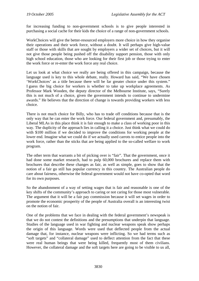for increasing funding to non-government schools is to give people interested in purchasing a social cache for their kids the choice of a range of non-government schools.

WorkChoices will give the better-resourced employers more choice in how they organise their operations and their work force, without a doubt. It will perhaps give high-value staff or those with skills that are sought by employers a wider set of choices, but it will not give those people being pushed off the disability support pension, those with only high school education, those who are looking for their first job or those trying to enter the work force or re-enter the work force any real choice.

Let us look at what choice we really are being offered in this campaign, because the language used is key to this whole debate, really. Howard has said, "We have chosen 'WorkChoices' as a title because there will be far greater choice under this system." I guess the big choice for workers is whether to take up workplace agreements. As Professor Mark Wooden, the deputy director of the Melbourne Institute, says, "Surely this is not much of a choice, given the government intends to continue to undermine awards." He believes that the direction of change is towards providing workers with less choice.

There is not much choice for Billy, who has to trade off conditions because that is the only way that he can enter the work force. Our federal government and, presumably, the Liberal MLAs in this place think it is fair enough to make a class of working poor in this way. The duplicity of the approach lies in calling it a choice. Just think what we could do with \$100 million if we decided to improve the conditions for working people at the lower end. Imagine what we could do if we actually used carrots to entice people into the work force, rather than the sticks that are being applied to the so-called welfare to work program.

The other term that warrants a bit of picking over is "fair". That the government, once it had done some market research, had to pulp 60,000 brochures and replace them with brochures that describe these changes as fair, as well as simple, goes to show that the notion of a fair go still has popular currency in this country. The Australian people do care about fairness, otherwise the federal government would not have co-opted that word for its own purposes.

So the abandonment of a way of setting wages that is fair and reasonable is one of the key shifts of the community's approach to caring or not caring for those most vulnerable. The argument that it will be a fair pay commission because it will set wages in order to promote the economic prosperity of the people of Australia overall is an interesting twist on the notion of fair.

One of the problems that we face in dealing with the federal government's newspeak is that we do not contest the definitions and the presumptions that underpin that language. Studies of the language used in war fighting and nuclear weapons speak show perhaps the origin of this language. Words were used that deflected people from the actual damage that, for instance, nuclear weapons were inflicting. So we had terms such as "soft targets" and "collateral damage" used to deflect attention from the fact that these were real human beings that were being killed, frequently most of them civilians. However, the collateral damage and the soft targets here are going to be visible to us all,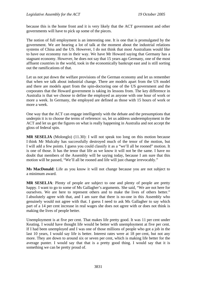because this is the home front and it is very likely that the ACT government and other governments will have to pick up some of the pieces.

The notion of full employment is an interesting one. It is one that is promulgated by the government. We are hearing a lot of talk at the moment about the industrial relations systems of China and the US. However, I do not think that most Australians would like to have our economy run in their way. We have Mr Howard saying that Germany has a stagnant economy. However, he does not say that 15 years ago Germany, one of the most affluent countries in the world, took in the economically bankrupt east and is still sorting out the ramifications of that.

Let us not put down the welfare provisions of the German economy and let us remember that when we talk about industrial change. There are models apart from the US model and there are models apart from the spin-doctoring one of the US government and the corporates that the Howard government is taking its lessons from. The key difference in Australia is that we choose to define the employed as anyone with one hour of work or more a week. In Germany, the employed are defined as those with 15 hours of work or more a week.

One way that the ACT can engage intelligently with the debate and the presumptions that underpin it is to choose the terms of reference: so, let us address underemployment in the ACT and let us get the figures on what is really happening in Australia and not accept the gloss of federal spin.

**MR SESELJA** (Molonglo) (11.30): I will not speak too long on this motion because I think Mr Mulcahy has successfully destroyed much of the tenor of the motion, but I will add a few points. I guess you could classify it as a "we'll all be rooned" motion. It is one of those. It has the tenor that life as we know it will not be the same. I have no doubt that members of the Assembly will be saying today, because I am sure that this motion will be passed, "We'll all be rooned and life will just change irrevocably."

**Ms MacDonald**: Life as you know it will not change because you are not subject to a minimum award.

**MR SESELJA**: Plenty of people are subject to one and plenty of people are pretty happy. I want to go to some of Ms Gallagher's arguments. She said, "We are not here for ourselves. We are here to represent others and to make the lives of others better." I absolutely agree with that, and I am sure that there is no-one in this Assembly who genuinely would not agree with that. I guess I need to ask Ms Gallagher to say which part of a 14 per cent increase in real wages she does not agree with or does not think is making the lives of people better.

Unemployment is at five per cent. That makes life pretty good. It was 11 per cent under Keating. I would have thought life would be better with unemployment at five per cent. If I had been unemployed and I was one of those millions of people who got a job in the last 10 years, I would say life is better. Interest rates were at 18 per cent, but not any more. They are down to around six or seven per cent, which is making life better for the average punter. I would say that that is a pretty good thing. I would say that it is something we can be pretty proud of.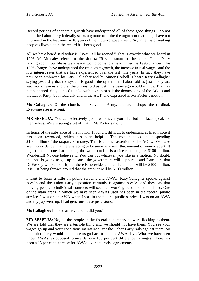Record periods of economic growth have underpinned all of these good things. I do not think the Labor Party federally seeks anymore to make the argument that things have not improved in the last nine or 10 years of the Howard government. So, in terms of making people's lives better, the record has been good.

All we have heard said today is, "We'll all be rooned." That is exactly what we heard in 1996. Mr Mulcahy referred to the shadow IR spokesman for the federal Labor Party talking about how life as we knew it would come to an end under the 1996 changes. The 1996 changes have underpinned the economic growth, the increase in real wages, and the low interest rates that we have experienced over the last nine years. In fact, they have now been embraced by Katy Gallagher and by Simon Corbell. I heard Katy Gallagher saying yesterday that the system is good—the system that Labor told us just nine years ago would ruin us and that the unions told us just nine years ago would ruin us. That has not happened. So you need to take with a grain of salt the doomsaying of the ACTU and the Labor Party, both federally and in the ACT, and expressed in Ms Porter's motion.

**Ms Gallagher**: Of the church, the Salvation Army, the archbishops, the cardinal. Everyone else is wrong.

**MR SESELJA**: You can selectively quote whomever you like, but the facts speak for themselves. We are seeing a bit of that in Ms Porter's motion.

In terms of the substance of the motion, I found it difficult to understand at first. I note it has been reworded, which has been helpful. The motion talks about spending \$100 million of the taxpayers' money. That is another assertion of the ACTU. We have seen no evidence that there is going to be anywhere near that amount of money spent. It is just another one that is being thrown around. It is a nice round figure, \$100 million. Wonderful! No-one believes it. You can put whatever you like in a motion. No doubt, this one is going to get up because the government will support it and I am sure that Dr Foskey will support it, but there is no evidence that the amount will be \$100 million. It is just being thrown around that the amount will be \$100 million.

I want to focus a little on public servants and AWAs. Katy Gallagher speaks against AWAs and the Labor Party's position certainly is against AWAs, and they say that moving people to individual contracts will see their working conditions diminished. One of the main areas in which we have seen AWAs used has been in the federal public service. I was on an AWA when I was in the federal public service. I was on an AWA and my pay went up. I had generous leave provisions.

**Ms Gallagher**: Looked after yourself, did you?

**MR SESELJA**: No, all the people in the federal public service were flocking to them. We are told that they are a terrible thing and we should not have them. You see your wages go up and your conditions maintained, yet the Labor Party rails against them. So the Labor Party would like to see us go back to the pre-AWA days. What we have seen under AWAs, as opposed to awards, is a 100 per cent difference in wages. There has been a 13 per cent increase for AWAs over enterprise agreements.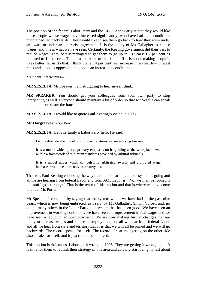The position of the federal Labor Party and the ACT Labor Party is that they would like those people whose wages have increased significantly, who have had their conditions maintained, go backwards. They would like to see them go back to how they were under an award or under an enterprise agreement. It is the policy of Ms Gallagher to reduce wages, and this is what we have seen. Certainly, the Keating government did their best to reduce wages. They barely managed to get them to go up in 13 years: 1.2 per cent as opposed to 14 per cent. This is at the heart of the debate. If it is about making people's lives better, let us do that. I think that a 14 per cent real increase in wages, low interest rates and a job, as opposed to no job, is an increase in conditions.

*Members interjecting—* 

**MR SESELJA**: Mr Speaker, I am struggling to hear myself think.

**MR SPEAKER**: You should get your colleagues from your own party to stop interjecting as well. Everyone should maintain a bit of order so that Mr Seselja can speak to the motion before the house.

**MR SESELJA**: I would like to quote Paul Keating's vision in 1993.

**Mr Hargreaves**: Your hero.

**MR SESELJA**: He is certainly a Labor Party hero. He said:

Let me describe the model of industrial relations we are working towards.

It is a model which places primary emphasis on bargaining at the workplace level within a framework of minimum standards provided by arbitral tribunals.

It is a model under which compulsorily arbitrated awards and arbitrated wage increases would be there only as a safety net.

That was Paul Keating endorsing the way that the industrial relations system is going and all we are hearing from federal Labor and from ACT Labor is, "No, we'll all be rooned if this stuff goes through." That is the tenor of this motion and that is where we have come to under Ms Porter.

Mr Speaker, I conclude by saying that the system which we have had in the past nine years, which is now being embraced, as I said, by Ms Gallagher, Simon Corbell and, no doubt, many others in the Labor Party, is a system that has been good. We have seen an improvement in working conditions, we have seen an improvement in real wages and we have seen a reduction in unemployment. We are now making further changes that are likely to increase wages and reduce unemployment, but all we hear from federal Labor and all we hear from state and territory Labor is that we will all be ruined and we will go backwards. The record speaks for itself. The record of scaremongering on the other side also speaks for itself, and it just cannot be believed.

This motion is ridiculous. Labor got it wrong in 1996. They are getting it wrong again. It is time for them to rethink their strategy in this area and actually start being honest about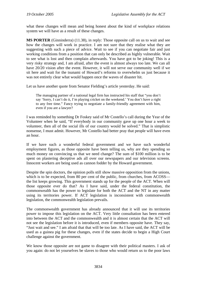what these changes will mean and being honest about the kind of workplace relations system we will have as a result of these changes.

**MS PORTER** (Ginninderra) (11.38), in reply: Those opposite call on us to wait and see how the changes will work in practice. I am not sure that they realise what they are suggesting with such a piece of advice. Wait to see if you can negotiate fair and just working conditions from a position that can only be described as highly vulnerable. Wait to see what is lost and then complain afterwards. You have got to be joking! This is a very risky strategy and, I am afraid, after the event is almost always too late. We can all have 20/20 vision after the event. However, it will not serve our community well if we sit here and wait for the tsunami of Howard's reforms to overwhelm us just because it was not entirely clear what would happen once the waves of disaster hit.

Let us have another quote from Senator Fielding's article yesterday. He said:

The managing partner of a national legal firm has instructed his staff that "you don't say 'Sorry, I can't do it, I'm playing cricket on the weekend.' You don't have a right to any free time." Fancy trying to negotiate a family-friendly agreement with him, even if you are a lawyer?

I was reminded by something Dr Foskey said of Mr Costello's call during the Year of the Volunteer when he said, "If everybody in our community gave up one hour a week to volunteer, then all of the social ills of our country would be solved." That is simplistic nonsense, I must admit. However, Mr Costello had better pray that people will have even an hour.

If we have such a wonderful federal government and we have such wonderful employment figures, as those opposite have been telling us, why are they spending so much money on convincing us that we need change? The sum of \$100 million is to be spent on plastering deceptive ads all over our newspapers and our television screens. Innocent workers are being used as cannon fodder by the Howard government.

Despite the spin doctors, the opinion polls still show massive opposition from the unions, which is to be expected, from 80 per cent of the public, from churches, from ACOSS the list keeps growing. This government stands up for the people of the ACT. When will those opposite ever do that? As I have said, under the federal constitution, the commonwealth has the power to legislate for both the ACT and the NT in any matter using its territories power. If ACT legislation is inconsistent with commonwealth legislation, the commonwealth legislation prevails.

The commonwealth government has already announced that it will use its territories power to impose this legislation on the ACT. Very little consultation has been entered into between the ACT and the commonwealth and it is almost certain that the ACT will not see the legislation before it is introduced, even if members opposite have. They say, "Just wait and see." I am afraid that that will be too late. As I have said, the ACT will be used as a guinea pig for these changes, even if the states decide to begin a High Court challenge against the government.

We know those opposite are not game to disagree with their political masters. I ask of you again: do not let yourselves be slaves to those who would return us to the poor laws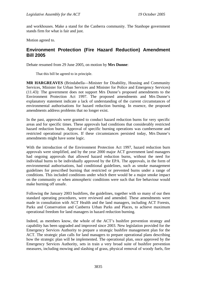<span id="page-22-0"></span>and workhouses. Make a stand for the Canberra community. The Stanhope government stands firm for what is fair and just.

Motion agreed to.

## **Environment Protection (Fire Hazard Reduction) Amendment Bill 2005**

Debate resumed from 29 June 2005, on motion by **Mrs Dunne**:

That this bill be agreed to in principle.

**MR HARGREAVES** (Brindabella—Minister for Disability, Housing and Community Services, Minister for Urban Services and Minister for Police and Emergency Services) (11.43): The government does not support Mrs Dunne's proposed amendments to the Environment Protection Act 1997. The proposed amendments and Mrs Dunne's explanatory statement indicate a lack of understanding of the current circumstances of environmental authorisations for hazard reduction burning. In essence, the proposed amendments address problems that no longer exist.

In the past, approvals were granted to conduct hazard reduction burns for very specific areas and for specific times. These approvals had conditions that considerably restricted hazard reduction burns. Approval of specific burning operations was cumbersome and restricted operational practices. If these circumstances persisted today, Mrs Dunne's amendments might have some logic.

With the introduction of the Environment Protection Act 1997, hazard reduction burn approvals were simplified, and by the year 2000 major ACT government land managers had ongoing approvals that allowed hazard reduction burns, without the need for individual burns to be individually approved by the EPA. The approvals, in the form of environmental authorisations, had conditional guidelines, such as smoke management guidelines for prescribed burning that restricted or prevented burns under a range of conditions. This included conditions under which there would be a major smoke impact on the community or when atmospheric conditions were such that fire behaviour would make burning off unsafe.

Following the January 2003 bushfires, the guidelines, together with so many of our then standard operating procedures, were reviewed and amended. These amendments were made in consultation with ACT Health and the land managers, including ACT Forests, Parks and Conservation and Canberra Urban Parks and Places, to achieve maximum operational freedom for land managers in hazard reduction burning.

Indeed, as members know, the whole of the ACT's bushfire prevention strategy and capability has been upgraded and improved since 2003. New legislation provided for the Emergency Services Authority to prepare a strategic bushfire management plan for the ACT. The strategic plan calls for land managers to prepare operational plans describing how the strategic plan will be implemented. The operational plan, once approved by the Emergency Services Authority, sets in train a very broad suite of bushfire prevention measures, including mowing and slashing of grass, physical removal of woody fuels, fire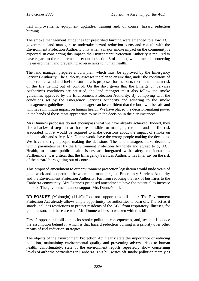trail improvements, equipment upgrades, training and, of course, hazard reduction burning.

The smoke management guidelines for prescribed burning were amended to allow ACT government land managers to undertake hazard reduction burns and consult with the Environment Protection Authority only when a major smoke impact on the community is expected. In considering this impact, the Environment Protection Authority is required to have regard to the requirements set out in section 3 of the act, which include protecting the environment and preventing adverse risks to human health.

The land manager prepares a burn plan, which must be approved by the Emergency Services Authority. The authority assesses the plan to ensure that, under the conditions of temperature, wind and fuel moisture levels proposed for the burn, there is minimum risk of the fire getting out of control. On the day, given that the Emergency Services Authority's conditions are satisfied, the land manager must also follow the smoke guidelines approved by the Environment Protection Authority. By complying with the conditions set by the Emergency Services Authority and adhering to the smoke management guidelines, the land manager can be confident that the burn will be safe and will have minimum impact on human health. We have placed the decision-making power in the hands of those most appropriate to make the decision in the circumstances.

Mrs Dunne's proposals do not encompass what we have already achieved. Indeed, they risk a backward step in that those responsible for managing the land and the fire risk associated with it would be required to make decisions about the impact of smoke on public health and safety. Mrs Dunne would have the wrong people making the decisions. We have the right people making the decisions. The land managers make decisions within parameters set by the Environment Protection Authority and agreed to by ACT Health, to ensure public health issues are integrated with safety considerations. Furthermore, it is critical that the Emergency Services Authority has final say on the risk of the hazard burn getting out of control.

This proposed amendment to our environment protection legislation would undo years of good work and cooperation between land managers, the Emergency Services Authority and the Environment Protection Authority. Far from reducing the risk of bushfires to the Canberra community, Mrs Dunne's proposed amendments have the potential to increase the risk. The government cannot support Mrs Dunne's bill.

**DR FOSKEY** (Molonglo) (11.49): I do not support this bill either. The Environment Protection Act already allows ample opportunity for authorities to burn off. The act as it stands includes restrictions to protect residents of the ACT from respiratory illnesses, for good reason, and these are what Mrs Dunne wishes to weaken with this bill.

First, I oppose this bill due to its smoke pollution consequences, and, second, I oppose the assumption behind it, which is that hazard reduction burning is a priority over other means of fuel reduction strategies.

The objects of the Environment Protection Act clearly state the importance of reducing pollution, maintaining environmental quality and preventing adverse risks to human health. Unfortunately, state of the environment reports repeatedly show concerning levels of airborne particulates in Canberra. This bill writes off smoke pollution merely as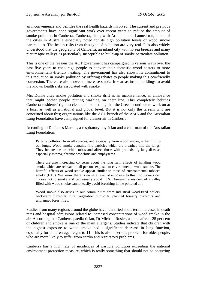an inconvenience and belittles the real health hazards involved. The current and previous governments have done significant work over recent years to reduce the amount of smoke pollution in Canberra. Canberra, along with Armidale and Launceston, is one of the cities in Australia especially noted for its high pollution levels of wood smoke particulates. The health risks from this type of pollution are very real. It is also widely understood that the geography of Canberra, an inland city with no sea breezes and many picturesque valleys, is particularly susceptible to build-up of smoke particulate pollution.

This is one of the reasons the ACT government has campaigned in various ways over the past five years to encourage people to convert their domestic wood heaters to more environmentally-friendly heating. The government has also shown its commitment to this reduction in smoke pollution by offering rebates to people making this eco-friendly conversion. There are also moves to increase smoke-free areas inside buildings to avoid the known health risks associated with smoke.

Mrs Dunne cites smoke pollution and smoke drift as an inconvenience, an annoyance that might bother people putting washing on their line. This completely belittles Canberra residents' right to clean air—something that the Greens continue to work on at a local as well as a national and global level. But it is not only the Greens who are concerned about this; organisations like the ACT branch of the AMA and the Australian Lung Foundation have campaigned for cleaner air in Canberra.

According to Dr James Markos, a respiratory physician and a chairman of the Australian Lung Foundation:

Particle pollution from all sources, and especially from wood smoke, is harmful to our lungs. Wood smoke contains fine particles which are breathed into the lungs. They irritate the bronchial tubes and affect those with pre-existing lung disease, especially asthma, chronic bronchitis and emphysema.

There are also increasing concerns about the long term effects of inhaling wood smoke which are relevant to all persons exposed to environmental wood smoke. The harmful effects of wood smoke appear similar to those of environmental tobacco smoke (ETS). We know there is no safe level of exposure to this. Individuals can choose not to smoke and can usually avoid ETS. However, a resident of a valley filled with wood smoke cannot easily avoid breathing in the polluted air.

Wood smoke also arises in our communities from industrial wood-fired boilers, back-yard burn-offs, rural vegetation burn-offs, planned forestry burn-offs and unplanned forest fires.

Studies from many regions around the globe have identified short-term increases in death rates and hospital admissions related to increased concentrations of wood smoke in the air. According to a Canberra paediatrician, Dr Michael Rosier, asthma affects 25 per cent of children and smoke is one of the main allergens. Studies indicate that children with the highest exposure to wood smoke had a significant decrease in lung function, especially for children aged eight to 11. This is also a serious problem for older people, who are more likely to suffer from cardio and respiratory problems.

Canberra has a high rate of incidences of particle pollution exceeding the national environment protection measure, which is really something that should not be occurring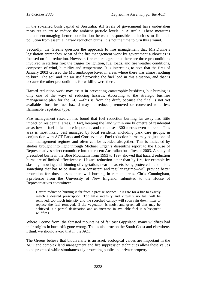in the so-called bush capital of Australia. All levels of government have undertaken measures to try to reduce the ambient particle levels in Australia. These measures include encouraging better coordination between responsible authorities to limit air pollution from essential hazard reduction burns. It is not the time to turn this around.

Secondly, the Greens question the approach to fire management that Mrs Dunne's legislation entrenches. Most of the fire management work by government authorities is focused on fuel reduction. However, fire experts agree that there are three preconditions involved in starting fire: the trigger for ignition, fuel loads, and fire weather conditions, composed of wind, humidity and temperature. It is interesting to note that the fires of January 2003 crossed the Murrumbidgee River in areas where there was almost nothing to burn. The soil and the air itself provided the fuel load in this situation, and that is because the other preconditions for wildfire were there.

Hazard reduction work may assist in preventing catastrophic bushfires, but burning is only one of the ways of reducing hazards. According to the strategic bushfire management plan for the ACT—this is from the draft, because the final is not yet available—bushfire fuel hazard may be reduced, removed or converted to a less flammable vegetation type.

Fire management research has found that fuel reduction burning far away has little impact on residential areas. In fact, keeping the land within one kilometre of residential areas low in fuel is far more important, and the closest 300 metres even more so. This area is most likely best managed by local residents, including park care groups, in conjunction with ACT Parks and Conservation. Fuel reduction burns may be just one of their management regimes and often can be avoided altogether. This is indicated by studies brought into light through Michael Organ's dissenting report to the House of Representatives select committee into the recent Australian bushfires of 2003. A study of prescribed burns in the Blue Mountains from 1993 to 1997 showed that hazard reduction burns are of limited effectiveness. Hazard reduction other than by fire, for example by slashing, mowing and thinning of vegetation, near the assets being protected—and this is something that has to be done as a consistent and regular regime—will provide better protection for those assets than will burning in remote areas. Chris Cunningham, a professor from the University of New England, submitted to the House of Representatives committee:

Hazard reduction burning is far from a precise science. It is rare for a fire to exactly match a desired prescription. Too little intensity and virtually no fuel will be removed, too much intensity and the scorched canopy will soon rain down litter to replace the fuel removed. If the vegetation is moist and green all that may be achieved is a partial desiccation and an increase in available fuel in subsequent wildfires.

Where I come from, the forested mountains of far east Gippsland, many wildfires had their origins in burn-offs gone wrong. This is also true on the South Coast and elsewhere. I think we should avoid that in the ACT.

The Greens believe that biodiversity is an asset, ecological values are important in the ACT and complex land management and fire suppression techniques allow these values to be protected while simultaneously protecting public and private property.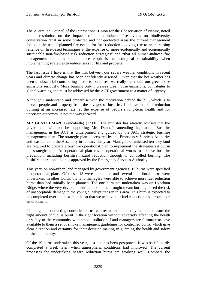The Australian Council of the International Union for the Conservation of Nature, noted in its resolution on the impacts of human-induced fire events on biodiversity conservation "that in some protected and non-protected areas the current management focus on the use of planned fire events for fuel reduction is giving rise to an increasing reliance on fire-based techniques at the expense of more ecologically and economically sustainable non-fire-based risk reduction strategies" and "that all human-induced fire management strategies should place emphasis on ecological sustainability when implementing strategies to reduce risks for life and property".

The last issue I have is that the link between our severe weather conditions in recent years and climate change has been confidently asserted. Given that the hot weather has been a substantial contributing factor to bushfires, we really must take our greenhouse emissions seriously. More burning only increases greenhouse emissions, contributes to global warming and must be addressed by the ACT government as a matter of urgency.

Although I understand and empathise with the motivation behind the bill, which is to protect people and property from the ravages of bushfire, I believe that fuel reduction burning at an increased rate, at the expense of people's long-term health and for uncertain outcomes, is not the way forward.

**MR GENTLEMAN** (Brindabella) (12.00): The minister has already advised that the government will not be supporting Mrs Dunne's amending legislation. Bushfire management in the ACT is underpinned and guided by the ACT strategic bushfire management plan. The strategic plan is prepared by the Emergency Services Authority and was tabled in the Assembly in January this year. Managers of unleased territory land are required to prepare a bushfire operational plan to implement the strategies set out in the strategic plan. An operational plan covers operational works to achieve bushfire prevention, including bushfire hazard reduction through to controlled burning. The bushfire operational plan is approved by the Emergency Services Authority.

This year, on non-urban land managed by government agencies, 19 burns were specified in operational plans. Of these, 18 were completed and several additional burns were undertaken. In other words, the land managers were able to achieve more fuel reduction burns than had initially been planned. The one burn not undertaken was on Lyneham Ridge, where the very dry conditions related to the drought meant burning posed the risk of unacceptable damage to the young eucalypt trees in this area. This burn is expected to be completed over the next months so that we achieve our fuel reduction and protect our environment.

Planning and conducting controlled burns requires attention to many factors to ensure the right amount of fuel is burnt in the right location without adversely affecting the health or safety of the community with smoke pollution. Land managers are fortunate to have available to them a set of smoke management guidelines for controlled burns, which give clear direction and certainty for their decision making in guarding the health and safety of the community.

Of the 19 burns undertaken this year, just one has been postponed. It was satisfactorily completed a week later, when atmospheric conditions had improved. The current processes for undertaking hazard reduction burns are working well. Compare the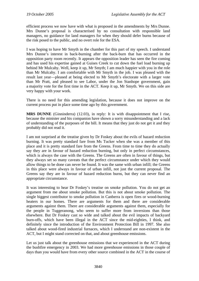efficient process we now have with what is proposed in the amendments by Mrs Dunne. Mrs Dunne's proposal is characterised by no consultation with responsible land managers, no guidance for land managers for when they should defer burns because of the risk posed to the public, and no overt role for the ESA.

I was hoping to have Mr Smyth in the chamber for this part of my speech. I understand Mrs Dunne's interest in back-burning after the back-burn that has occurred in the opposition party room recently. It appears the opposition leader has seen the fire coming and has used his expertise gained at Guises Creek to cut down the fuel load burning up behind Mr Mulcahy. Well, keep it up, Mr Smyth; I am much happier with you in the role than Mr Mulcahy. I am comfortable with Mr Smyth in the job. I was pleased with the result last year—pleased at being elected to Mr Smyth's electorate with a larger vote than Mr Pratt, and pleased to see Labor, under the Jon Stanhope government, gain a majority vote for the first time in the ACT. Keep it up, Mr Smyth. We on this side are very happy with your work.

There is no need for this amending legislation, because it does not improve on the current process put in place some time ago by this government.

**MRS DUNNE** (Ginninderra) (12.03), in reply: It is with disappointment that I rise, because the minister and his companion have shown a sorry misunderstanding and a lack of understanding of the purposes of the bill. It means that they just do not get it and they probably did not read it.

I am not surprised at the treatise given by Dr Foskey about the evils of hazard reduction burning. It was pretty standard fare from Ms Tucker when she was a member of this place and it is pretty standard fare from the Greens. From time to time they do actually say they are in favour of hazard reduction burning, but only in perfect circumstances, which is always the case with the Greens. The Greens are often in favour of things, but they always set so many caveats that the perfect circumstance under which they would allow things to be done can never be found. It was the same with urban infill; the Greens in this place were always in favour of urban infill, not just the current proposal. The Greens say they are in favour of hazard reduction burns, but they can never find an appropriate circumstance.

It was interesting to hear Dr Foskey's treatise on smoke pollution. You do not get an argument from me about smoke pollution. But this is not about smoke pollution. The single biggest contributor to smoke pollution in Canberra is open fires or wood-burning heaters in our homes. There are arguments for them and there are considerable arguments against them. There are considerable arguments against them, especially for the people in Tuggeranong, who seem to suffer more from inversions than those elsewhere. But Dr Foskey cast so wide and talked about the evil impacts of backyard burn-offs, which have been illegal in the ACT since the mid-eighties, I think, and definitely since the introduction of the Environment Protection Bill in 1997. She also talked about wood-fired industrial furnaces, which I understand are non-existent in the ACT, but I might stand corrected on that, and about greenhouse emissions.

Let us just talk about the greenhouse emissions that we experienced in the ACT during the bushfire emergency in 2003. We had more greenhouse emissions in those couple of days than you would have from every other source combined in the ACT in the course of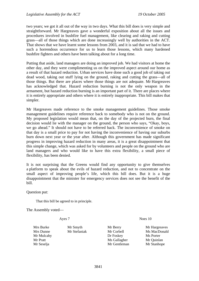two years; we got it all out of the way in two days. What this bill does is very simple and straightforward. Mr Hargreaves gave a wonderful exposition about all the issues and procedures involved in bushfire fuel management, like clearing and raking and cutting grass—all of those things which are done increasingly well by authorities in the ACT. That shows that we have learnt some lessons from 2003, and it is sad that we had to have such a horrendous occurrence for us to learn those lessons, which many hardened bushfire fighters and others have been talking about for a long time.

Putting that aside, land managers are doing an improved job. We had visitors at home the other day, and they were complimenting us on the improved aspect around our home as a result of that hazard reduction. Urban services have done such a good job of taking out dead wood, taking out stuff lying on the ground, raking and cutting the grass—all of those things. But there are places where those things are not adequate. Mr Hargreaves has acknowledged that. Hazard reduction burning is not the only weapon in the armament, but hazard reduction burning is an important part of it. There are places where it is entirely appropriate and others where it is entirely inappropriate. This bill makes that simpler.

Mr Hargreaves made reference to the smoke management guidelines. Those smoke management guidelines require reference back to somebody who is not on the ground. My proposed legislation would mean that, on the day of the projected burn, the final decision would lie with the manager on the ground, the person who says, "Okay, boys, we go ahead." It should not have to be referred back. The inconvenience of smoke on that day is a small price to pay for not having the inconvenience of having our suburbs burn down next year or the year after. Although this government has made significant progress in improving hazard reduction in many areas, it is a great disappointment that this simple change, which was asked for by volunteers and people on the ground who are land managers and who would like to have this extra flexibility, a small piece of flexibility, has been denied.

It is not surprising that the Greens would find any opportunity to give themselves a platform to speak about the evils of hazard reduction, and not to concentrate on the small aspect of improving people's life, which this bill does. But it is a huge disappointment that the minister for emergency services does not see the benefit of the bill.

Question put:

That this bill be agreed to in principle.

The Assembly voted—

Ayes 7 Noes 10

Mrs Burke Mr Smyth Mr Berry Mr Hargreaves Mrs Dunne Mr Stefaniak Mr Corbell Ms MacDonald Mr Mulcahy Dr Foskey Ms Porter Mr Pratt Mr Gallagher Mr Ouinlan Mr Seselja Mr Gentleman Mr Stanhope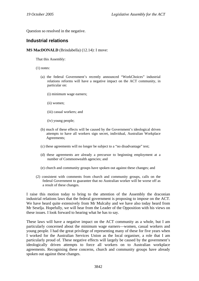<span id="page-29-0"></span>Question so resolved in the negative.

## **Industrial relations**

#### **MS MacDONALD** (Brindabella) (12.14): I move:

That this Assembly:

- (1) notes:
	- (a) the federal Government's recently announced "WorkChoices" industrial relations reforms will have a negative impact on the ACT community, in particular on:
		- (i) minimum wage earners;
		- (ii) women;
		- (iii) casual workers; and
		- (iv) young people;
	- (b) much of these effects will be caused by the Government's ideological driven attempts to have all workers sign secret, individual, Australian Workplace Agreements;
	- (c) these agreements will no longer be subject to a "no disadvantage" test;
	- (d) these agreements are already a precursor to beginning employment at a number of Commonwealth agencies; and
	- (e) church and community groups have spoken out against these changes; and
- (2) consistent with comments from church and community groups, calls on the federal Government to guarantee that no Australian worker will be worse off as a result of these changes.

I raise this motion today to bring to the attention of the Assembly the draconian industrial relations laws that the federal government is proposing to impose on the ACT. We have heard quite extensively from Mr Mulcahy and we have also today heard from Mr Seselja. Hopefully, we will hear from the Leader of the Opposition with his views on these issues. I look forward to hearing what he has to say.

These laws will have a negative impact on the ACT community as a whole, but I am particularly concerned about the minimum wage earners—women, casual workers and young people. I had the great privilege of representing many of these for five years when I worked for the Australian Services Union as the local organiser, a role that I am particularly proud of. These negative effects will largely be caused by the government's ideologically driven attempts to force all workers on to Australian workplace agreements. Recognising these concerns, church and community groups have already spoken out against these changes.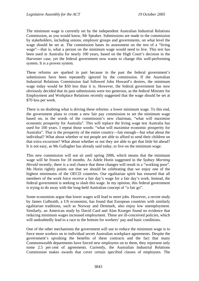The minimum wage is currently set by the independent Australian Industrial Relations Commission, as you would know, Mr Speaker. Submissions are made to the commission by stakeholders, including unions, employer groups and governments, on what level the wage should be set at. The commission bases its assessment on the test of a "living wage"—that is, what a person on the minimum wage would need to live. This test has been used in Australia for nearly 100 years, based on the High Court's decision in the Harvester case, yet the federal government now wants to change this well-performing system. It is a proven system.

These reforms are sparked in part because in the past the federal government's submissions have been repeatedly ignored by the commission. If the Australian Industrial Relations Commission had followed John Howard's desires, the minimum wage today would be \$50 less than it is. However, the federal government has now obviously decided that its past submissions were too generous, as the federal Minister for Employment and Workplace Relations recently suggested that the wage should be set at \$70 less per week.

There is no doubting what is driving these reforms: a lower minimum wage. To this end, the government plans to create a new fair pay commission to set the minimum wage based on, in the words of the commission's new chairman, "what will maximise economic prosperity for Australia". This will replace the living wage test Australia has used for 100 years. I repeat those words: "what will maximise economic prosperity for Australia". That is the prosperity of the entire country—fair enough—but what about the individual? What about whether or not people are able to afford to send their children on that extra excursion? What about whether or not they are able to get that little bit ahead? It is not easy, as Ms Gallagher has already said today, to live on the minimum wage.

This new commission will not sit until spring 2006, which means that the minimum wage will be frozen for 18 months. As Adele Horin suggested in the *Sydney Morning Herald* recently, there is a real chance that these changes will result in a "working poor". Ms Horin rightly points out that we should be celebrating that we enjoy one of the highest minimums of the OECD countries. Our egalitarian spirit has ensured that all members of the work force receive a fair day's wage for a fair day's work. Instead, the federal government is seeking to slash this wage. In my opinion, this federal government is trying to do away with the long-held Australian concept of "a fair go".

Some economists argue that lower wages will lead to more jobs. However, a recent study by James Galbraith, a US economist, has found that European countries with similarly egalitarian traditions, such as Norway and Denmark, also enjoy low unemployment. Similarly, an American study by David Card and Alan Krueger found no evidence that reducing minimum wages increased employment. These are ill-conceived policies, which will undoubtedly lead to a race to the bottom for workers' pay and basic conditions.

One of the other mechanisms the government will use to reduce the minimum wage is to force more workers on to individual secret Australian workplace agreements. Despite the government's spruiking the benefits of these contracts and the fact that many Commonwealth departments have forced new employees on to them, they represent only some 2.5 per cent of agreements. Currently, the Australian Industrial Relations Commission makes awards that cover certain specified classes of employees. The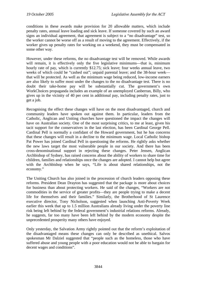conditions in these awards make provision for 20 allowable matters, which include penalty rates, annual leave loading and sick leave. If someone covered by such an award signs an individual agreement, that agreement is subject to a "no disadvantage" test, so the worker cannot be worse off as a result of moving to the agreement. Effectively, if the worker gives up penalty rates for working on a weekend, they must be compensated in some other way.

However, under these reforms, the no disadvantage test will be removed. While awards will remain, it is effectively only the five legislative minimums—that is, minimum hourly rate of pay, which is currently \$12.75; sick leave; four weeks annual leave, two weeks of which could be "cashed out"; unpaid parental leave; and the 38-hour week that will be protected. As well as the minimum wage being reduced, low-income earners are also likely to suffer most under the changes to the no disadvantage test. There is no doubt their take-home pay will be substantially cut. The government's own WorkChoices propaganda includes an example of an unemployed Canberran, Billy, who gives up in the vicinity of 40 per cent in additional pay, including penalty rates, just to get a job.

Recognising the effect these changes will have on the most disadvantaged, church and community leaders have spoken out against them. In particular, leaders from the Catholic, Anglican and Uniting churches have questioned the impact the changes will have on Australian society. One of the most surprising critics, to me at least, given his tacit support for the conservatives in the last election, has been Cardinal George Pell. Cardinal Pell is normally a confidant of the Howard government, but he has concerns that these changes will result in a decline to the minimum wage. Local Catholic bishop Pat Power has joined Cardinal Pell in questioning the reforms. He rightly asks whether the new laws target the most vulnerable people in our society. And there has been cross-denominational support in rejecting these changes. Peter Jensen, Anglican Archbishop of Sydney, has raised concerns about the ability of workers to share time for children, families and relationships once the changes are adopted. I cannot help but agree with the Archbishop when he says, "Life is about shared relationships, not the economy."

The Uniting Church has also joined in the procession of church leaders opposing these reforms. President Dean Drayton has suggested that the package is more about choices for business than about protecting workers. He said of the changes, "Workers are not commodities in the service of greater profits—they are people trying to make a decent life for themselves and their families." Similarly, the Brotherhood of St Laurence executive director, Tony Nicholson, suggested when launching Anti-Poverty Week earlier this week that up to 1.5 million Australians already living under the poverty line risk being left behind by the federal government's industrial relations reforms. Already, he suggests, far too many have been left behind by the modern economy despite the unprecedented prosperity many others have enjoyed.

Only yesterday, the Salvation Army rightly pointed out that the reform's exploitation of the disadvantaged means these changes can only be described as unethical. Salvos spokesman Mr Dalziel suggested that "people such as the homeless, those who have suffered abuse and young people with a poor education would not be able to bargain for decent wages and conditions".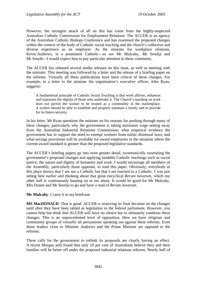However, the strongest attack of all on this has come from the highly-respected Australian Catholic Commission for Employment Relations. The ACCER is an agency of the Australian Catholic Bishops Conference and has examined the proposed changes within the context of the body of Catholic social teaching and the church's collective and diverse experience as an employer. As the minister for workplace relations, Kevin Andrews, is a prominent Catholic—as are Mr Mulcahy, Mr Seselja and Mr Smyth—I would expect him to pay particular attention to these comments.

The ACCER has released several media releases on this issue, as well as meeting with the minister. This meeting was followed by a letter and the release of a briefing paper on the reforms. Virtually all these publications have been critical of these changes. For example, in a letter to the minister the organisation's executive officer, John Ryan, suggests:

A fundamental principle of Catholic Social Teaching is that work affirms, enhances and expresses the dignity of those who undertake it. The Church's teaching on work does not permit the worker to be treated as a commodity in the marketplace. A worker should be able to establish and properly maintain a family and to provide for its future security.

In his letter, Mr Ryan questions the minister on his reasons for pushing through many of these changes, particularly why the government is taking minimum wage setting away from the Australian Industrial Relations Commission; what empirical evidence the government has to support the need to exempt workers from unfair dismissal laws; and what savings provisions will be available for award employees in the situation where the current award standard is greater than the proposed legislative standards.

The ACCER's briefing papers go into even greater detail, systematically examining the government's proposed changes and applying laudable Catholic teachings such as social justice, the nature and dignity of humanity and work. I would encourage all members of the Assembly, particularly those opposite, to read this paper. Obviously, everybody in this place knows that I am not a Catholic but that I am married to a Catholic. I was just sitting here earlier and thinking about that great encyclical *Rerum novarum*, which my other half is continuously harping on to me about. It would be good for Mr Mulcahy, Mrs Dunne and Mr Seselja to go and have a read of *Rerum novarum*.

**Mr Mulcahy**: I carry it in my briefcase.

**MS MacDONALD:** That is good. ACCER is reserving its final decision on the changes until after they have been tabled as legislation in the federal parliament. However, you cannot help but think that ACCER will have no choice but to ultimately condemn these changes. This is an unprecedented level of opposition. Here we have religious and community groups of virtually all persuasions speaking out against these reforms. Even those leaders close to Minister Andrews and the Prime Minister are opposed to the reforms.

These calls for the government to rethink its proposals are clearly having an effect. A recent Morgan poll found that only 10 per cent of Australians believe they and their families will be better off under the proposed industrial relations reforms. Nearly half of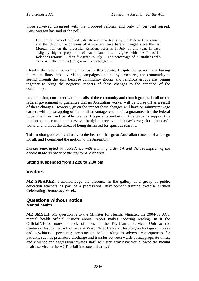<span id="page-33-0"></span>those surveyed disagreed with the proposed reforms and only 17 per cent agreed. Gary Morgan has said of the poll:

Despite the mass of publicity, debate and advertising by the Federal Government and the Unions, the opinions of Australians have barely changed since the last Morgan Poll on the Industrial Relations reforms in July of this year. In fact, a slightly higher proportion of Australians now disagree with the Industrial Relations reforms … than disagreed in July ... The percentage of Australians who agree with the reforms (17%) remains unchanged ...

Clearly, the federal government is losing this debate. Despite the government having poured millions into advertising campaigns and glossy brochures, the community is seeing through the spin because community groups and religious groups are joining together to bring the negative impacts of these changes to the attention of the community.

In conclusion, consistent with the calls of the community and church groups, I call on the federal government to guarantee that no Australian worker will be worse off as a result of these changes. However, given the impact these changes will have on minimum wage earners with the scrapping of the no disadvantage test, this is a guarantee that the federal government will not be able to give. I urge all members in this place to support this motion, as our constituents deserve the right to receive a fair day's wage for a fair day's work, and without the threat of being dismissed for spurious reasons.

This motion goes well and truly to the heart of that great Australian concept of a fair go for all, and I commend the motion to the Assembly.

*Debate interrupted in accordance with standing order 74 and the resumption of the debate made an order of the day for a later hour.* 

### **Sitting suspended from 12.28 to 2.30 pm**

### **Visitors**

**MR SPEAKER**: I acknowledge the presence in the gallery of a group of public education teachers as part of a professional development training exercise entitled Celebrating Democracy Week.

### **Questions without notice Mental health**

**MR SMYTH**: My question is to the Minister for Health. Minister, the 2004-05 ACT mental health official visitors annual report makes sobering reading. In it the Official Visitor notes: a lack of beds at the Psychiatric Services Unit at the Canberra Hospital; a lack of beds at Ward 2N at Calvary Hospital; a shortage of nurses and psychiatric specialists; pressure on beds leading to adverse consequences for patients, such as premature discharge and transfer between wards at inappropriate times; and violence and aggression towards staff. Minister, why have you allowed the mental health service in the ACT to fall into such disarray?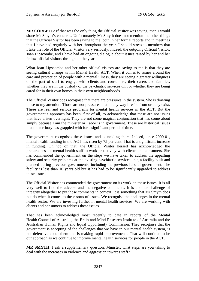**MR CORBELL**: If that was the only thing the Official Visitor was saying, then I would share Mr Smyth's concerns. Unfortunately Mr Smyth does not mention the other things that the Official Visitor has been saying to me, both in her formal reports and in meetings that I have had regularly with her throughout the year. I should stress to members that I take the role of the Official Visitor very seriously. Indeed, the outgoing Official Visitor, Joan Lipscombe, and I have had an ongoing dialogue about issues raised by her and her fellow official visitors throughout the year.

What Joan Lipscombe and her other official visitors are saying to me is that they are seeing cultural change within Mental Health ACT. When it comes to issues around the care and protection of people with a mental illness, they are seeing a greater willingness on the part of staff to engage with clients and consumers, their carers and families, whether they are in the custody of the psychiatric services unit or whether they are being cared for in their own homes in their own neighbourhoods.

The Official Visitor does recognise that there are pressures in the system. She is drawing those to my attention. Those are not pressures that in any way I resile from or deny exist. These are real and serious problems for mental health services in the ACT. But the government's approach has been, first of all, to acknowledge that these are not issues that have arisen overnight. They are not some magical conjunction that has come about simply because I am the minister or Labor is in government. These are historical issues that the territory has grappled with for a significant period of time.

The government recognises these issues and is tackling them. Indeed, since 2000-01, mental health funding in the ACT has risen by 75 per cent. That is a significant increase in funding. On top of that, the Official Visitor herself has acknowledged the preparedness of mental health staff to work proactively with clients and consumers. She has commended the government on the steps we have taken to address the appalling safety and security problems at the existing psychiatric services unit, a facility built and planned during previous governments, including the previous Liberal government. The facility is less than 10 years old but it has had to be significantly upgraded to address these issues.

The Official Visitor has commended the government on its work on these issues. It is all very well to find the adverse and the negative comments. It is another challenge of integrity altogether to put those comments in context. It is something that Mr Smyth does not do when it comes to these sorts of issues. We recognise the challenges in the mental health sector. We are investing further in mental health services. We are working with clients and consumers to address these issues.

That has been acknowledged most recently to date in reports of the Mental Health Council of Australia, the Brain and Mind Research Institute of Australia and the Australian Human Rights and Equal Opportunity Commission. They recognise that the government is accepting of the challenges that we have in our mental health system, is not defensive about them and is making rapid improvements. That will continue to be our approach as we continue to improve mental health services for people in the ACT.

**MR SMYTH**: I ask a supplementary question. Minister, what steps are you taking to deal with the increases in violence and aggression towards staff?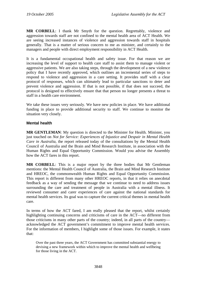<span id="page-35-0"></span>**MR CORBELL**: I thank Mr Smyth for the question. Regrettably, violence and aggression towards staff are not confined to the mental health area of ACT Health. We are seeing increased instances of violence and aggression towards staff in hospitals generally. That is a matter of serious concern to me as minister, and certainly to the managers and people with direct employment responsibility in ACT Health.

It is a fundamental occupational health and safety issue. For that reason we are increasing the level of support to health care staff to assist them to manage violent or aggressive patients. We are also taking steps, through the development of a new violence policy that I have recently approved, which outlines an incremental series of steps to respond to violence and aggression in a care setting. It provides staff with a clear protocol of responses, which can ultimately lead to particular sanctions to deter and prevent violence and aggression. If that is not possible, if that does not succeed, the protocol is designed to effectively ensure that that person no longer presents a threat to staff in a health care environment.

We take these issues very seriously. We have new policies in place. We have additional funding in place to provide additional security to staff. We continue to monitor the situation very closely.

### **Mental health**

**MR GENTLEMAN**: My question is directed to the Minister for Health. Minister, you just touched on *Not for Service: Experiences of Injustice and Despair in Mental Health Care in Australia*, the report released today of the consultations by the Mental Health Council of Australia and the Brain and Mind Research Institute, in association with the Human Rights and Equal Opportunity Commission. Would you advise the Assembly how the ACT fares in this report.

**MR CORBELL**: This is a major report by the three bodies that Mr Gentleman mentions: the Mental Health Council of Australia, the Brain and Mind Research Institute and HREOC, the commonwealth Human Rights and Equal Opportunity Commission. This report is different from many other HREOC reports, in that it relies on anecdotal feedback as a way of sending the message that we continue to need to address issues surrounding the care and treatment of people in Australia with a mental illness. It reviewed consumer and carer experiences of care against the national standards for mental health services. Its goal was to capture the current critical themes in mental health care.

In terms of how the ACT fared, I am really pleased that the report, whilst certainly highlighting continuing concerns and criticisms of care in the ACT—no different from those criticisms in many other parts of the country; indeed, in all parts of the country acknowledged the ACT government's commitment to improve mental health services. For the information of members, I highlight some of those issues. For example, it states that:

Over the past three years, the ACT Government has committed substantial energy to devising a new framework within which to improve the mental health and wellbeing for those living in the ACT.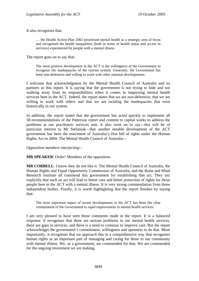It also recognises that:

… the Health Action Plan 2002 prioritised mental health as a strategic area of focus and recognised the health inequalities (both in terms of health status and access to services) experienced by people with a mental illness.

The report goes on to say that:

The most positive development in the ACT is the willingness of the Government to recognise the inadequacies of the current system. Generally, the Government has been non-defensive and willing to work with other national developments.

I welcome that acknowledgment by the Mental Health Council of Australia and its partners in this report. It is saying that the government is not trying to hide and not walking away from its responsibilities when it comes to improving mental health services here in the ACT. Indeed, the report states that we are non-defensive, that we are willing to work with others and that we are tackling the inadequacies that exist historically in our system.

In addition, the report stated that the government has acted quickly to implement all 58 recommendations of the Patterson report and commit to capital works to address the problems at our psychiatric services unit. It also went on to say—this will be of particular interest to Mr Stefaniak—that another notable development of the ACT government has been the enactment of Australia's first bill of rights under the Human Rights Act in 2004. The Mental Health Council of Australia—

*Opposition members interjecting—* 

**MR SPEAKER**: Order! Members of the opposition.

**MR CORBELL**: I know they do not like it. The Mental Health Council of Australia, the Human Rights and Equal Opportunity Commission of Australia, and the Brain and Mind Research Institute all commend this government for establishing that act. They say explicitly that such an act will lead to better care and better protection of rights for those people here in the ACT with a mental illness. It is very strong commendation from those independent bodies. Finally, it is worth highlighting that the report finishes by saying that:

The most important aspect of recent developments in the ACT has been the clear commitment of the Government to rapid improvement in mental health services.

I am very pleased to have seen those comments made in the report. It is a balanced response. It recognises that there are serious problems in our mental health services, there are gaps in services, and there is a need to continue to improve care. But the report acknowledges the government's commitment, willingness and openness to do that. More importantly, it recognises that we approach this in a comprehensive way that recognises human rights as an important part of managing and caring for those in our community with mental illness. We, as a government, are commended for that. We are commended for the ongoing investment we are making.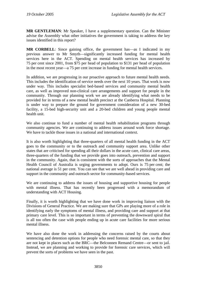**MR GENTLEMAN**: Mr Speaker, I have a supplementary question. Can the Minister advise the Assembly what other initiatives the government is taking to address the key issues identified in this report?

**MR CORBELL**: Since gaining office, the government has—as I indicated in my previous answer to Mr Smyth—significantly increased funding for mental health services here in the ACT. Spending on mental health services has increased by 75 per cent since 2001, from \$75 per head of population to \$131 per head of population in the most recent year—a 75 per cent increase in funding for mental health services.

In addition, we are progressing in our proactive approach to future mental health needs. This includes the identification of service needs over the next 10 years. That work is now under way. This includes specialist bed-based services and community mental health care, as well as improved non-clinical care arrangements and support for people in the community. Through our planning work we are already identifying what needs to be provided for in terms of a new mental health precinct at the Canberra Hospital. Planning is under way to prepare the ground for government consideration of a new 30-bed facility, a 15-bed high-security unit and a 20-bed children and young people mental health unit.

We also continue to fund a number of mental health rehabilitation programs through community agencies. We are continuing to address issues around work force shortage. We have to tackle those issues in a national and international context.

It is also worth highlighting that three-quarters of all mental health funding in the ACT goes to the community or to the outreach and community support area. Unlike other states that are criticised for spending all their dollars in the acute care, clinical care areas, three-quarters of the funding that we provide goes into outreach, prevention and support in the community. Again, that is consistent with the sorts of approaches that the Mental Health Council of Australia is urging governments to adopt. Ours is 75 per cent; the national average is 51 per cent. You can see that we are well ahead in providing care and support in the community and outreach sector for community-based services.

We are continuing to address the issues of housing and supportive housing for people with mental illness. That has recently been progressed with a memorandum of understanding with ACT Housing.

Finally, it is worth highlighting that we have done work in improving liaison with the Divisions of General Practice. We are making sure that GPs are playing more of a role in identifying early the symptoms of mental illness, and providing care and support at that primary care level. This is so important in terms of preventing the downward spiral that is all too often the case with people ending up in acute care facilities for more serious mental illness.

We have also done the work in addressing the concerns raised by the courts about sentencing and detention options for people who need forensic mental care, so that they are not kept in places such as the BRC—the Belconnen Remand Centre—or sent to jail. Instead, we are planning and working to provide for forensic care services, which will prevent the sorts of problems we have seen in the past.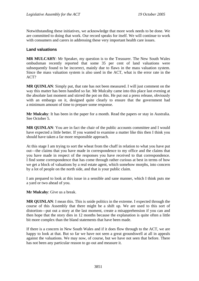Notwithstanding these initiatives, we acknowledge that more work needs to be done. We are committed to doing that work. Our record speaks for itself. We will continue to work with consumers and carers in addressing these very important health care issues.

# **Land valuations**

**MR MULCAHY**: Mr Speaker, my question is to the Treasurer. The New South Wales ombudsman recently reported that some 35 per cent of land valuations were subsequently found to be incorrect, mainly due to flaws in the mass valuation system. Since the mass valuation system is also used in the ACT, what is the error rate in the ACT?

**MR QUINLAN**: Simply put, that rate has not been measured. I will just comment on the way this matter has been handled so far. Mr Mulcahy came into this place last evening at the absolute last moment and stirred the pot on this. He put out a press release, obviously with an embargo on it, designed quite clearly to ensure that the government had a minimum amount of time to prepare some response.

**Mr Mulcahy**: It has been in the paper for a month. Read the papers or stay in Australia. See October 5.

**MR QUINLAN**: You are in fact the chair of the public accounts committee and I would have expected a little better. If you wanted to examine a matter like this then I think you should have taken a far more responsible approach.

At this stage I am trying to sort the wheat from the chaff in relation to what you have put out—the claims that you have made in correspondence to my office and the claims that you have made in respect of the responses you have received to that correspondence. I find some correspondence that has come through rather curious at best in terms of how we get a block of valuations by a real estate agent, which somehow morphs, into concern by a lot of people on the north side, and that is your public claim.

I am prepared to look at this issue in a sensible and sane manner, which I think puts me a yard or two ahead of you.

**Mr Mulcahy**: Give us a break.

**MR QUINLAN**: I mean this. This is snide politics in the extreme. I expected through the course of this Assembly that there might be a shift up. We are used to this sort of distortion—put out a story at the last moment, create a misapprehension if you can and then hope that the story dies in 12 months because the explanation is quite often a little bit more complex than the bland statements that have been made.

If there is a concern in New South Wales and if it does flow through to the ACT, we are happy to look at that. But so far we have not seen a great groundswell at all in appeals against the valuations. We may now, of course, but we have not seen that before. There has not been any particular reason to go out and measure it.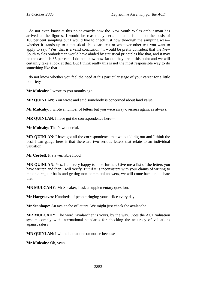I do not even know at this point exactly how the New South Wales ombudsman has arrived at the figures. I would be reasonably certain that it is not on the basis of 100 per cent sampling but I would like to check just how thorough the sampling was whether it stands up to a statistical chi-square test or whatever other test you want to apply to say, "Yes, that is a valid conclusion." I would be pretty confident that the New South Wales ombudsman would have abided by statistical principles like that, and it may be the case it is 35 per cent. I do not know how far out they are at this point and we will certainly take a look at that. But I think really this is not the most responsible way to do something like that.

I do not know whether you feel the need at this particular stage of your career for a little notoriety—

**Mr Mulcahy**: I wrote to you months ago.

**MR QUINLAN**: You wrote and said somebody is concerned about land value.

**Mr Mulcahy**: I wrote a number of letters but you were away overseas again, as always.

**MR QUINLAN**: I have got the correspondence here—

**Mr Mulcahy**: That's wonderful.

**MR QUINLAN**: I have got all the correspondence that we could dig out and I think the best I can gauge here is that there are two serious letters that relate to an individual valuation.

**Mr Corbell:** It's a veritable flood.

**MR OUINLAN:** Yes. I am very happy to look further. Give me a list of the letters you have written and then I will verify. But if it is inconsistent with your claims of writing to me on a regular basis and getting non-committal answers, we will come back and debate that.

**MR MULCAHY**: Mr Speaker, I ask a supplementary question.

**Mr Hargreaves**: Hundreds of people ringing your office every day.

**Mr Stanhope**: An avalanche of letters. We might just check the avalanche.

**MR MULCAHY**: The word "avalanche" is yours, by the way. Does the ACT valuation system comply with international standards for checking the accuracy of valuations against sales?

**MR OUINLAN:** I will take that one on notice because—

**Mr Mulcahy**: Oh, yeah.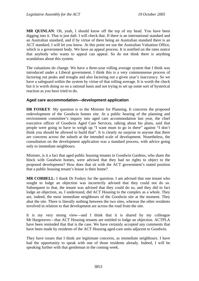**MR QUINLAN**: Oh, yeah, I should know off the top of my head. You have been digging into it. That is just daft. I will check that. If there is an international standard and an Australian standard, and if by virtue of there being an Australian standard there is an ACT standard, I will let you know. At this point we use the Australian Valuation Office, which is a government body. We have an appeal process. It is notified on the rates notice that anybody who wants to appeal can appeal. So do not think there is anything scandalous about this system.

The valuations do change. We have a three-year rolling average system that I think was introduced under a Liberal government. I think this is a very commonsense process of factoring out peaks and troughs and also factoring out a given year's inaccuracy. So we have a safeguard within the system by virtue of that rolling average. It is worth the check but it is worth doing so on a rational basis and not trying to set up some sort of hysterical reaction as you have tried to do.

### **Aged care accommodation—development application**

**DR FOSKEY:** My question is to the Minister for Planning. It concerns the proposed redevelopment of the Goodwin homes site. At a public hearing of the planning and environment committee's inquiry into aged care accommodation last year, the chief executive officer of Goodwin Aged Care Services, talking about his plans, said that people were going to have to weigh up "I want mum to go in there" against "I don't think you should be allowed to build that". It is clearly no surprise to anyone that there are concerns across the suburb at the intended scale of development. Nonetheless, the consultation on the development application was a standard process, with advice going only to immediate neighbours.

Minister, is it a fact that aged public housing tenants in Goodwin Gardens, who share the block with Goodwin homes, were advised that they had no rights to object to the proposed development? How does that sit with the ACT government's stated position that a public housing tenant's house is their home?

**MR CORBELL:** I thank Dr Foskey for the question. I am advised that one tenant who sought to lodge an objection was incorrectly advised that they could not do so. Subsequent to that, the tenant was advised that they could do so, and they did in fact lodge an objection, as, I understand, did ACT Housing to the complex as a whole. They are, indeed, the most immediate neighbours of the Goodwin site at the moment. They abut the site. There is literally nothing between the two sites, whereas the other residents involved in relation to that development are across the road from the site.

It is my very strong view—and I think that it is shared by my colleague Mr Hargreaves—that ACT Housing tenants are entitled to lodge an objection. ACTPLA have been reminded that that is the case. We have certainly accepted any comments that have been made by residents of the ACT Housing aged-care units adjacent to Goodwin.

They have issues that I think are legitimate concerns, as immediate neighbours. I have had the opportunity to speak with one of those residents already. Indeed, I will be speaking further with that gentleman in the coming week.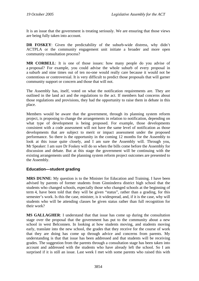It is an issue that the government is treating seriously. We are ensuring that those views are being fully taken into account.

**DR FOSKEY**: Given the predictability of the suburb-wide distress, why didn't ACTPLA or the community engagement unit initiate a broader and more open community consultation process?

**MR CORBELL**: It is one of those issues: how many people do you advise of a proposal? For example, you could advise the whole suburb of every proposal in a suburb and nine times out of ten no-one would really care because it would not be contentious or controversial. It is very difficult to predict those proposals that will garner community support or concern and those that will not.

The Assembly has, itself, voted on what the notification requirements are. They are outlined in the land act and the regulations to the act. If members had concerns about those regulations and provisions, they had the opportunity to raise them in debate in this place.

Members would be aware that the government, through its planning system reform project, is proposing to change the arrangements in relation to notification, depending on what type of development is being proposed. For example, those developments consistent with a code assessment will not have the same level of notification as those developments that are subject to merit or impact assessment under the proposed performance. So there is the opportunity in the coming 12 months for the Assembly to look at this issue quite closely, and I am sure the Assembly will. Through you, Mr Speaker: I am sure Dr Foskey will do so when the bills come before the Assembly for discussion and debate. But at this stage the government will be continuing with the existing arrangements until the planning system reform project outcomes are presented to the Assembly.

# **Education—student grading**

**MRS DUNNE**: My question is to the Minister for Education and Training. I have been advised by parents of former students from Ginninderra district high school that the students who changed schools, especially those who changed schools at the beginning of term 4, have been told that they will be given "status", rather than a grading, for this semester's work. Is this the case, minister, is it widespread, and, if it is the case, why will students who will be attending classes be given status rather than full recognition for their work?

**MS GALLAGHER**: I understand that that issue has come up during the consultation stage over the proposal that the government has put to the community about a new school in west Belconnen. In looking at how students moving, and students moving early, translate into the new school, the grades that they receive for the course of work that they are doing has come up through advice and concerns from parents. My understanding is that that issue has been addressed and that students will be receiving grades. The suggestion from the parents through a consultation stage has been taken into account and addressed with the students who have already left the school. So I am surprised if it is still an issue. Last week I met with some parents who raised this with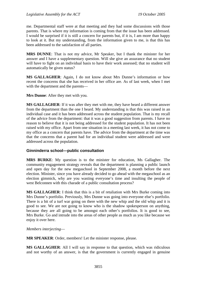me. Departmental staff were at that meeting and they had some discussions with those parents. That is where my information is coming from that the issue has been addressed. I would be surprised if it is still a concern for parents but, if it is, I am more than happy to look at it. But my understanding, from the information given to me, is that this has been addressed to the satisfaction of all parties.

**MRS DUNNE**: That is not my advice, Mr Speaker, but I thank the minister for her answer and I have a supplementary question. Will she give an assurance that no student will have to fight on an individual basis to have their work assessed; that no student will automatically be given status?

**MS GALLAGHER**: Again, I do not know about Mrs Dunne's information or how recent the concerns that she has received in her office are. As of last week, when I met with the department and the parents—

**Mrs Dunne**: After they met with you.

**MS GALLAGHER**: If it was after they met with me, they have heard a different answer from the department than the one I heard. My understanding is that this was raised in an individual case and it has been addressed across the student population. That is my recall of the advice from the department: that it was a good suggestion from parents. I have no reason to believe that it is not being addressed for the student population. It has not been raised with my office. Apart from one situation in a meeting last week, it has not come to my office as a concern that parents have. The advice from the department at the time was that the concerns that a parent had for an individual student were addressed and were addressed across the population.

# **Ginninderra school—public consultation**

**MRS BURKE**: My question is to the minister for education, Ms Gallagher. The community engagement strategy reveals that the department is planning a public launch and open day for the new megaschool in September 2008, a month before the next election. Minister, since you have already decided to go ahead with the megaschool as an election gimmick, why are you wasting everyone's time and insulting the people of west Belconnen with this charade of a public consultation process?

**MS GALLAGHER**: I think that this is a bit of retaliation with Mrs Burke coming into Mrs Dunne's portfolio. Previously, Mrs Dunne was going into everyone else's portfolio. There is a bit of a turf war going on there with the new whip and the old whip and it is good to see. We are not going to know who is the shadow spokesperson on anything, because they are all going to be amongst each other's portfolios. It is good to see, Mrs Burke. Go and intrude into the areas of other people as much as you like because we enjoy it over here.

### *Members interjecting*—

**MR SPEAKER**: Order, members! Let the minister response, please.

**MS GALLAGHER**: All I will say in response to that question, which was ridiculous and not worthy of an answer, is that the government is currently engaged in genuine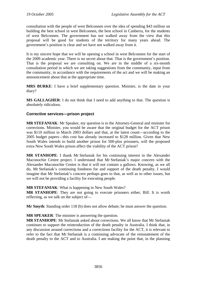consultation with the people of west Belconnen over the idea of spending \$43 million on building the best school in west Belconnen, the best school in Canberra, for the students of west Belconnen. The government has not walked away from the view that this proposal will be good for students of the territory for many years ahead. The government's position is clear and we have not walked away from it.

It is my sincere hope that we will be opening a school in west Belconnen for the start of the 2009 academic year. There is no secret about that. That is the government's position. That is the proposal we are consulting on. We are in the middle of a six-month consultation period in which we are taking suggestions from the community, input from the community, in accordance with the requirements of the act and we will be making an announcement about that at the appropriate time.

**MRS BURKE**: I have a brief supplementary question. Minister, is the date in your diary?

**MS GALLAGHER**: I do not think that I need to add anything to that. The question is absolutely ridiculous.

# **Corrective services—prison project**

**MR STEFANIAK**: Mr Speaker, my question is to the Attorney-General and minister for corrections. Minister, you would be aware that the original budget for the ACT prison was \$110 million in March 2003 dollars and that, at the latest count—according to the 2005 budget papers—this cost has already increased to \$128 million. Given that New South Wales intends to build another prison for 500-plus prisoners, will the proposed extra New South Wales prison affect the viability of the ACT prison?

**MR STANHOPE**: I thank Mr Stefaniak for his continuing interest in the Alexander Maconochie Centre project. I understand that Mr Stefaniak's major concern with the Alexander Maconochie Centre is that it will not contain a gallows. Knowing, as we all do, Mr Stefaniak's continuing fondness for and support of the death penalty, I would imagine that Mr Stefaniak's concern perhaps goes to that, as well as to other issues, but we will not be providing a facility for executing people.

### **MR STEFANIAK**: What is happening in New South Wales?

**MR STANHOPE**: They are not going to execute prisoners either, Bill. It is worth reflecting, as we talk on the subject of—

**Mr Smyth**: Standing order 118 (b) does not allow debate; he must answer the question.

**MR SPEAKER**: The minister is answering the question.

**MR STANHOPE**: Mr Stefaniak asked about corrections. We all know that Mr Stefaniak continues to support the reintroduction of the death penalty in Australia. I think that, in any discussion around corrections and a corrections facility for the ACT, it is relevant to refer to the fact that Mr Stefaniak is a continuing advocate of the reinstatement of the death penalty to the ACT and to Australia. I am making the point that, in the planning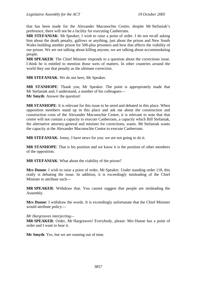that has been made for the Alexander Maconochie Centre, despite Mr Stefaniak's preference, there will not be a facility for executing Canberrans.

**MR STEFANIAK**: Mr Speaker, I wish to raise a point of order. I do not recall asking him about the death penalty, gallows or anything, just about the prison and New South Wales building another prison for 500-plus prisoners and how that affects the viability of our prison. We are not talking about killing anyone, we are talking about accommodating people.

**MR SPEAKER**: The Chief Minister responds to a question about the corrections issue. I think he is entitled to mention those sorts of matters. In other countries around the world they use that penalty as the ultimate correction.

**MR STEFANIAK**: We do not here, Mr Speaker.

**MR STANHOPE**: Thank you, Mr Speaker. The point is appropriately made that Mr Stefaniak and, I understand, a number of his colleagues— **Mr Smyth**: Answer the question!

**MR STANHOPE**: It is relevant for this issue to be aired and debated in this place. When opposition members stand up in this place and ask me about the construction and construction costs of the Alexander Maconochie Centre, it is relevant to note that that centre will not contain a capacity to execute Canberrans, a capacity which Bill Stefaniak, the alternative attorney-general and minister for corrections, wants. Mr Stefaniak wants the capacity at the Alexander Maconochie Centre to execute Canberrans.

**MR STEFANIAK**: Jonny, I have news for you: we are not going to do it.

**MR STANHOPE**: That is his position and we know it is the position of other members of the opposition.

**MR STEFANIAK**: What about the viability of the prison?

**Mrs Dunne**: I wish to raise a point of order, Mr Speaker. Under standing order 118, this really is debating the issue. In addition, it is exceedingly misleading of the Chief Minister to attribute such—

**MR SPEAKER**: Withdraw that. You cannot suggest that people are misleading the Assembly.

**Mrs Dunne**: I withdraw the words. It is exceedingly unfortunate that the Chief Minister would attribute policy—

*Mr Hargreaves interjecting—* 

**MR SPEAKER:** Order, Mr Hargreaves! Everybody, please: Mrs Dunne has a point of order and I want to hear it.

**Mr Smyth**: Yes, but we are running out of time.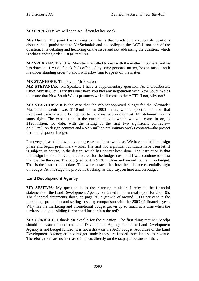**MR SPEAKER**: We will soon see, if you let her speak.

**Mrs Dunne**: The point I was trying to make is that to attribute erroneously positions about capital punishment to Mr Stefaniak and his policy in the ACT is not part of the question. It is debating and hectoring on the issue and not addressing the question, which is what standing order 118 (a) requires.

**MR SPEAKER**: The Chief Minister is entitled to deal with the matter in context, and he has done so. If Mr Stefaniak feels offended by some personal matter, he can raise it with me under standing order 46 and I will allow him to speak on the matter.

## **MR STANHOPE**: Thank you, Mr Speaker.

**MR STEFANIAK**: Mr Speaker, I have a supplementary question. As a blockbuster, Chief Minister, let us try this one: have you had any negotiation with New South Wales to ensure that New South Wales prisoners will still come to the ACT? If not, why not?

**MR STANHOPE**: It is the case that the cabinet-approved budget for the Alexander Maconochie Centre was \$110 million in 2003 terms, with a specific notation that a relevant escrow would be applied to the construction day cost. Mr Stefaniak has his sums right. The expectation in the current budget, which we will come in on, is \$128 million. To date, with the letting of the first two significant contracts a \$7.5 million design contract and a \$2.5 million preliminary works contract—the project is running spot on budget.

I am very pleased that we have progressed as far as we have. We have ended the design phase and begun preliminary works. The first two significant contracts have been let. It is subject, of course, to the design, which has not yet been done. The instruction is that the design be one that can be delivered for the budget cost, and I will continue to insist that that be the case. The budgeted cost is \$128 million and we will come in on budget. That is the instruction to date. The two contracts that have been let are essentially right on budget. At this stage the project is tracking, as they say, on time and on budget.

# **Land Development Agency**

**MR SESELJA**: My question is to the planning minister. I refer to the financial statements of the Land Development Agency contained in the annual report for 2004-05. The financial statements show, on page 76, a growth of around 1,000 per cent in the marketing, promotion and selling costs by comparison with the 2003-04 financial year. Why has the marketing and promotional budget grown by so much at a time when the territory budget is sliding further and further into the red?

**MR CORBELL**: I thank Mr Seselja for the question. The first thing that Mr Seselja should be aware of about the Land Development Agency is that the Land Development Agency is not budget funded; it is not a draw on the ACT budget. Activities of the Land Development Agency are not budget funded; they are funded from land sales revenue. Therefore, there are no increased imposts directly on the taxpayer because of that.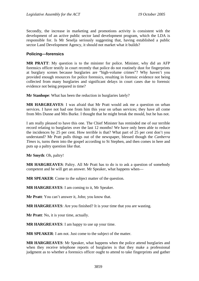Secondly, the increase in marketing and promotions activity is consistent with the development of an active public sector land development program, which the LDA is responsible for. Is Mr Seselja seriously suggesting that, having established a public sector Land Development Agency, it should not market what it builds?

### **Policing—forensics**

**MR PRATT**: My question is to the minister for police. Minister, why did an AFP forensics officer testify in court recently that police do not routinely dust for fingerprints at burglary scenes because burglaries are "high-volume crimes"? Why haven't you provided enough resources for police forensics, resulting in forensic evidence not being collected from many burglaries and significant delays in court cases due to forensic evidence not being prepared in time?

**Mr Stanhope**: What has been the reduction in burglaries lately?

**MR HARGREAVES**: I was afraid that Mr Pratt would ask me a question on urban services. I have not had one from him this year on urban services; they have all come from Mrs Dunne and Mrs Burke. I thought that he might break the mould, but he has not.

I am really pleased to have this one. The Chief Minister has reminded me of our terrible record relating to burglaries over the last 12 months! We have only been able to reduce the incidences by 25 per cent. How terrible is that? What part of 25 per cent don't you understand? Mr Pratt pulls things out of the newspaper, blessed though the *Canberra Times* is, turns them into the gospel according to St Stephen, and then comes in here and puts up a paltry question like that.

**Mr Smyth**: Oh, paltry!

**MR HARGREAVES**: Paltry. All Mr Pratt has to do is to ask a question of somebody competent and he will get an answer. Mr Speaker, what happens when—

**MR SPEAKER**: Come to the subject matter of the question.

**MR HARGREAVES**: I am coming to it, Mr Speaker.

**Mr Pratt**: You can't answer it, John; you know that.

**MR HARGREAVES**: Are you finished? It is your time that you are wasting.

**Mr Pratt**: No, it is your time, actually.

**MR HARGREAVES**: I am happy to use up your time.

**MR SPEAKER**: I am not. Just come to the subject of the matter.

**MR HARGREAVES**: Mr Speaker, what happens when the police attend burglaries and when they receive telephone reports of burglaries is that they make a professional judgment as to whether a forensics officer ought to attend to take fingerprints and gather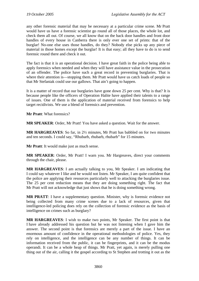any other forensic material that may be necessary at a particular crime scene. Mr Pratt would have us have a forensic scientist go round all of those places, the whole lot, and check them all out. Of course, we all know that on the back door handles and front door handles of every house in Canberra there is only ever one set of prints: that of the burglar! No-one else uses those handles, do they? Nobody else picks up any piece of material in those homes except the burglar! It is that easy; all they have to do is to send forensic round there and check it out.

The fact is that it is an operational decision. I have great faith in the police being able to apply forensics when needed and when they will have assistance value in the prosecution of an offender. The police have such a great record in preventing burglaries. That is where their attention is—stopping them. Mr Pratt would have us catch loads of people so that Mr Stefaniak could use our gallows. That ain't going to happen.

It is a matter of record that our burglaries have gone down 25 per cent. Why is that? It is because people like the officers of Operation Halite have applied their talents to a range of issues. One of them is the application of material received from forensics to help target recidivists. We use a blend of forensics and prevention.

**Mr Pratt**: What forensics?

**MR SPEAKER**: Order, Mr Pratt! You have asked a question. Wait for the answer.

**MR HARGREAVES**: So far, in 2½ minutes, Mr Pratt has babbled on for two minutes and ten seconds. I could say, "Rhubarb, rhubarb, rhubarb" for 15 minutes.

**Mr Pratt**: It would make just as much sense.

**MR SPEAKER**: Order, Mr Pratt! I warn you. Mr Hargreaves, direct your comments through the chair, please.

**MR HARGREAVES**: I am actually talking to you, Mr Speaker. I am indicating that I could say whatever I like and he would not listen. Mr Speaker, I am quite confident that the police are applying their resources particularly well to attacking the burglaries issue. The 25 per cent reduction means that they are doing something right. The fact that Mr Pratt will not acknowledge that just shows that he is doing something wrong.

**MR PRATT**: I have a supplementary question. Minister, why is forensic evidence not being collected from many crime scenes due to a lack of resources, given that intelligence-led policing does rely on the collection of forensic evidence as the basis of intelligence on crimes such as burglary?

**MR HARGREAVES**: I wish to make two points, Mr Speaker. The first point is that I have already addressed his question but he was not listening when I gave him the answer. The second point is that forensics are merely a part of the issue. I have an enormous amount of confidence in the operational methodologies of police. Yes, they rely on intelligence, and the intelligence can be any number of things. It can be information received from the public, it can be fingerprints, and it can be the modus operandi. It can be a whole heap of things. Mr Pratt, yet again, is merely pulling one thing out of the air, calling it the gospel according to St Stephen and trotting it out as the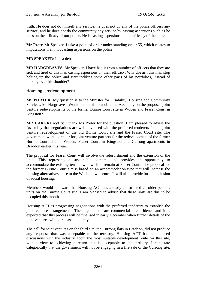truth. He does not do himself any service, he does not do any of the police officers any service, and he does not do the community any service by casting aspersions such as he does on the efficacy of our police. He is casting aspersions on the efficacy of the police.

**Mr Pratt**: Mr Speaker, I take a point of order under standing order 55, which relates to imputations. I am not casting aspersions on the police.

**MR SPEAKER**: It is a debatable point.

**MR HARGREAVES**: Mr Speaker, I have had it from a number of officers that they are sick and tired of this man casting aspersions on their efficacy. Why doesn't this man stop belting up the police and start tackling some other parts of his portfolios, instead of looking over his shoulder?

## **Housing—redevelopment**

**MS PORTER**: My question is to the Minister for Disability, Housing and Community Services, Mr Hargreaves. Would the minister update the Assembly on the proposed joint venture redevelopments of the former Burnie Court site in Woden and Fraser Court in Kingston?

**MR HARGREAVES**: I thank Ms Porter for the question. I am pleased to advise the Assembly that negotiations are well advanced with the preferred tenderers for the joint venture redevelopment of the old Burnie Court site and the Fraser Court site. The government went to tender for joint venture partners for the redevelopment of the former Burnie Court site in Woden, Fraser Court in Kingston and Currong apartments in Braddon earlier this year.

The proposal for Fraser Court will involve the refurbishment and the extension of the units. This represents a sustainable outcome and provides an opportunity to accommodate the existing tenants who wish to remain at Fraser Court. The proposal for the former Burnie Court site is based on an accommodation type that will increase the housing alternatives close to the Woden town centre. It will also provide for the inclusion of social housing.

Members would be aware that Housing ACT has already constructed 24 older persons units on the Burnie Court site. I am pleased to advise that these units are due to be occupied this month.

Housing ACT is progressing negotiations with the preferred tenderers to establish the joint venture arrangements. The negotiations are commercial-in-confidence and it is expected that this process will be finalised in early December when further details of the joint ventures will be released publicly.

The call for joint ventures on the third site, the Currong flats in Braddon, did not produce any response that was acceptable to the territory. Housing ACT has commenced discussions with the industry about the most suitable development route for this site, with a view to achieving a return that is acceptable to the territory. I can state categorically that the government will not be engaging in a fire sale of the Currong site.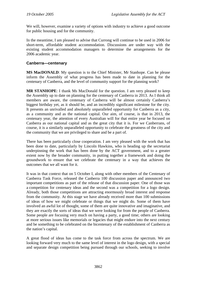We will, however, examine a variety of options with industry to achieve a good outcome for public housing and for the community.

In the meantime, I am pleased to advise that Currong will continue to be used in 2006 for short-term, affordable student accommodation. Discussions are under way with the existing student accommodation managers to determine the arrangements for the 2006 academic year.

## **Canberra—centenary**

**MS MacDONALD**: My question is to the Chief Minister, Mr Stanhope. Can he please inform the Assembly of what progress has been made to date in planning for the centenary of Canberra, and the level of community support for the planning work?

**MR STANHOPE**: I thank Ms MacDonald for the question. I am very pleased to keep the Assembly up to date on planning for the centenary of Canberra in 2013. As I think all members are aware, the centenary of Canberra will be almost certainly Canberra's biggest birthday yet, as it should be, and an incredibly significant milestone for the city. It presents an unrivalled and absolutely unparalleled opportunity for Canberra as a city, as a community and as the national capital. Our aim, of course, is that in 2013, the centenary year, the attention of every Australian will for that entire year be focused on Canberra as our national capital and as the great city that it is. For we Canberrans, of course, it is a similarly unparalleled opportunity to celebrate the greatness of the city and the community that we are privileged to share and be a part of.

There has been particularly close cooperation. I am very pleased with the work that has been done to date, particularly by Lincoln Hawkins, who is heading up the secretariat underpinning the work that has been done by the ACT government, and to a greater extent now by the broader community, in putting together a framework and doing the groundwork to ensure that we celebrate the centenary in a way that achieves the outcomes that we all want for it.

It was in that context that on 5 October I, along with other members of the Centenary of Canberra Task Force, released the Canberra 100 discussion paper and announced two important competitions as part of the release of that discussion paper. One of those was a competition for centenary ideas and the second was a competition for a logo design. Already, both those competitions are attracting enormously broad interest and response from the community. At this stage we have already received more than 100 submissions of ideas of how we might celebrate or things that we might do. Some of them have involved an awful lot of thought, some of them are quite innovative and imaginative, and they are exactly the sorts of ideas that we were looking for from the people of Canberra. Some people are focusing very much on having a party, a good time; others are looking at more serious issues like memorials or legacies that might endure into the next century and be something to be celebrated on the bicentenary of the establishment of Canberra as the nation's capital.

A great flood of ideas has come to the task force from across the spectrum. We are looking forward very much to the same level of interest in the logo design, with a special and separate design competition being pursued through our schools, seeking to involve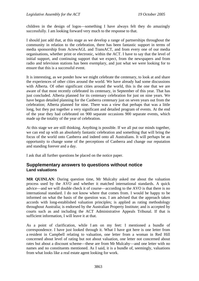children in the design of logos—something I have always felt they do amazingly successfully. I am looking forward very much to the response to that.

I should just add that, at this stage as we develop a range of partnerships throughout the community in relation to the celebration, there has been fantastic support in terms of media sponsorship from ActewAGL and TransACT, and from every one of our media organisations, whether print or electronic, within the ACT. I have to say that the level of initial support, and continuing support that we expect, from the newspapers and from radio and television stations has been exemplary, and just what we were looking for to ensure that this is a successful event.

It is interesting, as we ponder how we might celebrate the centenary, to look at and share the experiences of other cities around the world. We have already had some discussions with Alberta. Of other significant cities around the world, this is the one that we are aware of that most recently celebrated its centenary, in September of this year. That has just concluded. Alberta planned for its centenary celebration for just on nine years. We have begun detailed planning for the Canberra centenary just on seven years out from the celebration; Alberta planned for nine. There was a view that perhaps that was a little long, but they put together a very significant and detailed program of events. At the end of the year they had celebrated on 900 separate occasions 900 separate events, which made up the totality of the year of celebration.

At this stage we are still thinking. Anything is possible. If we all put our minds together, we can end up with an absolutely fantastic celebration and something that will bring the focus of the world onto Canberra and indeed onto all Australians. It will perhaps be an opportunity to change some of the perceptions of Canberra and change our reputation and standing forever and a day.

I ask that all further questions be placed on the notice paper.

# **Supplementary answers to questions without notice Land valuations**

**MR QUINLAN**: During question time, Mr Mulcahy asked me about the valuation process used by the AVO and whether it matched international standards. A quick advice—and we will double check it of course—according to the AVO is that there is no international standard. I do not know where that comes from. I would be happy to be informed on what the basis of the question was. I am advised that the approach taken accords with long-established valuation principles; is applied as rating methodology throughout Australia; is endorsed by the Australian Property Institute; and is accepted by courts such as and including the ACT Administrative Appeals Tribunal. If that is sufficient information, I will leave it at that.

As a point of clarification, while I am on my feet: I mentioned a bundle of correspondence. I have just looked through it. What I have got here is one letter from a resident in Campbell relating to valuation, one letter from a woman in Red Hill concerned about level of rating but not about valuation, one letter not concerned about rates but about a discount scheme—these are from Mr Mulcahy—and one letter with no names and no constituents mentioned. As I said, it is a bundle of, seemingly, valuations from what looks like a real estate agent looking for work.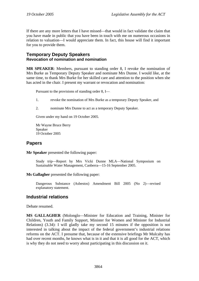If there are any more letters that I have missed—that would in fact validate the claim that you have made in public that you have been in touch with me on numerous occasions in relation to valuation—I would appreciate them. In fact, this house will find it important for you to provide them.

# **Temporary Deputy Speakers Revocation of nomination and nomination**

**MR SPEAKER**: Members, pursuant to standing order 8, I revoke the nomination of Mrs Burke as Temporary Deputy Speaker and nominate Mrs Dunne. I would like, at the same time, to thank Mrs Burke for her skilled care and attention to the position when she has acted in the chair. I present my warrant or revocation and nomination:

Pursuant to the provisions of standing order 8, I—

- 1. revoke the nomination of Mrs Burke as a temporary Deputy Speaker, and
- 2. nominate Mrs Dunne to act as a temporary Deputy Speaker.

Given under my hand on 19 October 2005.

Mr Wayne Bruce Berry Speaker 19 October 2005

# **Papers**

**Mr Speaker** presented the following paper:

Study trip—Report by Mrs Vicki Dunne MLA—National Symposium on Sustainable Water Management, Canberra—15-16 September 2005.

### **Ms Gallagher** presented the following paper:

Dangerous Substance (Asbestos) Amendment Bill 2005 (No 2)—revised explanatory statement.

# **Industrial relations**

Debate resumed.

**MS GALLAGHER** (Molonglo—Minister for Education and Training, Minister for Children, Youth and Family Support, Minister for Women and Minister for Industrial Relations) (3.34): I will gladly take my second 15 minutes if the opposition is not interested in talking about the impact of the federal government's industrial relations reforms on the ACT. I presume that, because of the extensive briefings Mr Mulcahy has had over recent months, he knows what is in it and that it is all good for the ACT, which is why they do not need to worry about participating in this discussion on it.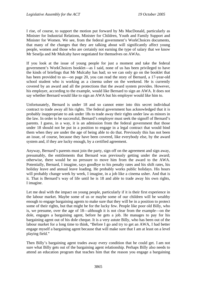I rise, of course, to support the motion put forward by Ms MacDonald, particularly as Minister for Industrial Relations, Minister for Children, Youth and Family Support and Minister for Women. We see, from the federal government's WorkChoices documents, that many of the changes that they are talking about will significantly affect young people, women and those who are certainly not earning the type of salary that we know Mr Seselja and Mr Mulcahy have negotiated for themselves on AWAs.

If you look at the issue of young people for just a moment and take the federal government's WorkChoices booklet—as I said, none of us has been privileged to have the kinds of briefings that Mr Mulcahy has had; so we can only go on the booklet that has been provided to us—on page 20, you can read the story of Bernard, a 17-year-old school student who is working as a cinema usher on the weekend. He is currently covered by an award and all the protections that the award system provides. However, his employer, according to the example, would like Bernard to sign an AWA. It does not say whether Bernard would like to sign an AWA but his employer would like him to.

Unfortunately, Bernard is under 18 and so cannot enter into this secret individual contract to trade away all his rights. The federal government has acknowledged that it is probably inappropriate to ask under 18s to trade away their rights under law as minors in the law. In order to be successful, Bernard's employer must seek the signoff of Bernard's parents. I guess, in a way, it is an admission from the federal government that those under 18 should not be put in a position to engage in a legal contract that would bind them when they are under the age of being able to do that. Previously this has not been an issue, of course, because they have been covered, like everybody else, by the award system and, if they are lucky enough, by a certified agreement.

Anyway, Bernard's parents must join the party, sign off on the agreement and sign away, presumably, the entitlements that Bernard was previously getting under the award; otherwise, there would be no pressure to move him from the award to the AWA. Potentially, Bernard, I imagine, says goodbye to his penalty rates and his shift rates, his holiday leave and annual leave loading. He probably works public holidays. His hours will probably change week by week, I imagine, in a job like a cinema usher. And that is it. That is Bernard's way of life until he is 18 and able to trade away his own rights, I imagine.

Let me deal with the impact on young people, particularly if it is their first experience in the labour market. Maybe some of us or maybe some of our children will be wealthy enough to engage bargaining agents to make sure that they will be in a position to protect some of their rights, but that might be for the lucky few. People like poor old Billy, who is, we presume, over the age of 18—although it is not clear from the example—on the dole, engages a bargaining agent, before he gets a job. He manages to pay for his bargaining agent out of his dole cheque. It is a very astute Billy, who has been out of the labour market for a long time to think, "Before I go and try to get an AWA, I had better engage myself a bargaining agent because that will make sure that I am at least on a level playing field."

Then Billy's bargaining agent trades away every condition that he could get. I am not sure what Billy gets out of the bargaining agent relationship. Perhaps Billy also needs to attend an education program that teaches him that the reason you engage a bargaining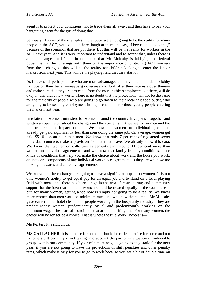agent is to protect your conditions, not to trade them all away, and then have to pay your bargaining agent for the gift of doing that.

Seriously, if some of the examples in that book were not going to be the reality for many people in the ACT, you could sit here, laugh at them and say, "How ridiculous is this," because of the scenarios that are put there. But this will be the reality for workers in the ACT next year. And it is very important to understand and to accept that, unless there is a huge change—and I am in no doubt that Mr Mulcahy is lobbying the federal government in his briefings with them on the importance of protecting ACT workers from these changes—this will be the reality for children looking to enter the labour market from next year. This will be the playing field that they start on.

As I have said, perhaps those who are more advantaged and have mum and dad to lobby for jobs on their behalf—maybe go overseas and look after their interests over there and make sure that they are protected from the more ruthless employers out there, will do okay in this brave new world. There is no doubt that the protections will not be the same for the majority of people who are going to go down to their local fast food outlet, who are going to be seeking employment in major chains or for those young people entering the market next year.

In relation to women: ministers for women around the country have joined together and written an open letter about the changes and the concerns that we see for women and the industrial relations impact on them. We know that women on individual agreements already get paid significantly less than men doing the same job. On average, women get paid \$5.10 less an hour than men. We know that only 7 per cent of registered secret individual contracts make a provision for maternity leave. We already know this data. We know that women on collective agreements earn around 11 per cent more than women on individual agreements, and we know that family friendly conditions, those kinds of conditions that help you make the choice about work and the hours you work, are not core components of any individual workplace agreement, as they are when we are looking at awards and collective agreements.

We know that these changes are going to have a significant impact on women. It is not only women's ability to get equal pay for an equal job and to stand on a level playing field with men—and there has been a significant area of restructuring and community support for the idea that men and women should be treated equally in the workplace but, for many women, getting a job now is simply not going to be a reality. We know more women than men work on minimum rates and we know the example Mr Mulcahy gave earlier about hotel cleaners or people working in the hospitality industry. They are predominantly women, predominantly casual and predominantly working on the minimum wage. These are all conditions that are in the firing line. For many women, the choice will no longer be a choice. That is where the title WorkChoices is—

### **Ms Porter**: It is ridiculous.

**MS GALLAGHER**: It is a choice for some. It should be called "choice for some and not for others". It certainly is not taking into account the particular situation of vulnerable groups within our community. If your minimum wage is going to stay static for the next year, if you are not going to have the protections of shift penalties and other penalty rates, which make it easy for you to go to work because you get a bit of double time on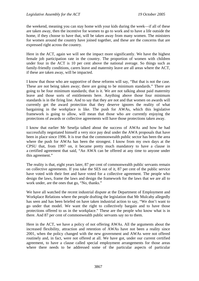the weekend, meaning you can stay home with your kids during the week—if all of these are taken away, then the incentive for women to go to work and to have a life outside the home, if they choose to have that, will be taken away from many women. The ministers for women around the country have joined together, and these are the concerns that are expressed right across the country.

Here in the ACT, again we will see the impact more significantly. We have the highest female job participation rate in the country. The proportion of women with children under four in the ACT is 10 per cent above the national average. So things such as family-friendly conditions, carers leave and maternity leave are all areas where the ACT, if these are taken away, will be impacted.

I know that those who are supportive of these reforms will say, "But that is not the case. These are not being taken away; there are going to be minimum standards." There are going to be four minimum standards; that is it. We are not talking about paid maternity leave and those sorts of entitlements here. Anything above those four minimum standards is in the firing line. And to say that they are not and that women on awards will currently get the award protection that they deserve ignores the reality of what bargaining in the workplace is like. The push for AWAs, which this legislative framework is going to allow, will mean that those who are currently enjoying the protections of awards or collective agreements will have those protections taken away.

I know that earlier Mr Seselja talked about the success of AWAs and how he had successfully negotiated himself a very nice pay deal under the AWA proposals that have been in place since 1996. It is true that the commonwealth public sector has been the area where the push for AWAs has been the strongest. I know from my own days at the CPSU that, from 1997 on, it became pretty much mandatory to have a clause in a certified agreement that said, "An AWA can be offered at any time to anyone under this agreement."

The reality is that, eight years later, 87 per cent of commonwealth public servants remain on collective agreements. If you take the SES out of it, 87 per cent of the public service have voted with their feet and have voted for a collective agreement. The people who design the laws, frame the laws and design the framework for the laws that we are all to work under, are the ones that go, "No, thanks."

We have all watched the recent industrial dispute at the Department of Employment and Workplace Relations where the people drafting the legislation that Mr Mulcahy allegedly has seen and has been briefed on have taken industrial action to say, "We don't want to go under that model. We want the right to collectively bargain and to have those protections offered to us in the workplace." These are the people who know what is in there. And 87 per cent of commonwealth public servants say no to them.

Here in the ACT, we have a policy of not offering AWAs. All the arguments about the increased flexibility, attraction and retention of AWAs have not been a reality since 2001, when the policy changed with the new government and AWAs were not offered routinely and, in fact, were not offered at all. We have got, under our current certified agreement, to have a clause called special employment arrangements for those areas where there needs to be addressed some of the particular aspects of particular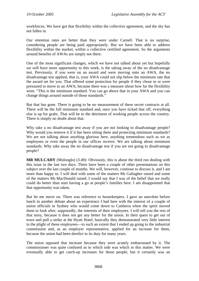workforces. We have got that flexibility within the collective agreement, and the sky has not fallen in.

Our retention rates are better than they were under Carnell. That is no surprise, considering people are being paid appropriately. But we have been able to address flexibility within the market, within a collective certified agreement. So the arguments around benefits of AWAs are simply not there.

One of the most significant changes, which we have not talked about yet but hopefully we will have more opportunity to this week, is the taking away of the no disadvantage test. Previously, if you were on an award and were moving onto an AWA, the no disadvantage test applied, that is, your AWA could not slip below the minimum rate that the award set for you. That offered some protection for people if they chose to or were pressured to move to an AWA, because there was a measure about how far the flexibility went. "This is the minimum standard. You can go above that in your AWA and you can change things around outside of those standards."

But that has gone. There is going to be no measurement of these secret contracts at all. There will be the full minimum standard and, once you have ticked that off, everything else is up for grabs. That will be to the detriment of working people across the country. There is simply no doubt about that.

Why take a no disadvantage test away if you are not looking to disadvantage people? Why would you remove it if it has been sitting there and protecting minimum standards? We are not talking about anything glorious here, anything tremendous such as we as employees or even the people in our offices receive. We are talking about minimum standards. Why take away the no disadvantage test if you are not going to disadvantage people?

**MR MULCAHY** (Molonglo) (3.49): Obviously, this is about the third run dealing with this issue in the last two days. There have been a couple of other presentations on this subject over the last couple of months. We will, however, continue to discuss it, and I am more than happy to. I will deal with some of the matters Ms Gallagher raised and some of the matters Ms MacDonald raised. I would say that I was of the belief that we really could do better than start having a go at people's families here. I am disappointed that that opportunity was taken.

But let me move on. There was reference to housekeepers. I gave an anecdote before lunch in another debate about an experience I had here with the interest of a couple of union officials in Sydney who would come down to Canberra when the spirit moved them to look after, supposedly, the interests of their employees. I will tell you the rest of that story, because it does not get any better for the union. In their quest to get out of town and pull a strike at the Hyatt Hotel, basically they demonstrated very little interest in the plight of these employees—to such an extent that I ended up going to the industrial commission and, as an employer representative, applied for an increase for them, because the union had been derelict in its duty for many years.

The union opposed that increase because they were acutely embarrassed by it. The commissioner was quite confused as to which side was which in this matter. We were eventually able to get catch-up increases for those people, but it certainly was an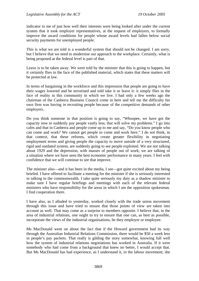indicator to me of just how well their interests were being looked after under the current system that it took employer representatives, at the request of employers, to formally improve the award conditions for people whose award levels had fallen below social security payments for unemployed people.

This is what we are told is a wonderful system that should not be changed. I am sorry, but I believe that we need to modernise our approach to the workplace. Certainly, what is being proposed at the federal level is part of that.

Leave is to be taken away. We were told by the minister that this is going to happen, but it certainly flies in the face of the published material, which states that these matters will be protected at law.

In terms of bargaining in the workforce and this impression that people are going to have their wages lowered and be terrorised and told take it or leave it: it simply flies in the face of reality in this community in which we live. I had only a few weeks ago the chairman of the Canberra Business Council come in here and tell me the difficulty his own firm was having in recruiting people because of the competitive demands of other employers.

Do you think someone in that position is going to say, "Whoopee, we have got the capacity now to suddenly pay people vastly less; that will solve my problems." I go into cafes and that in Canberra and people come up to me and say, "Do you know people who can come and work? We cannot get people to come and work here." I do not think, in that context, that these reforms, which create greater flexibility in negotiating employment terms and giving people the capacity to move outside of a very structured, rigid and outdated system, are suddenly going to see people exploited. We are not talking about 1929 and the depression, with masses of people out of work; we are talking of a situation where we have seen the best economic performance in many years. I feel with confidence that we will continue to see that improve.

The minister also—and it has been in the media, I see—got quite excited about my being briefed. I have offered to facilitate a meeting for the minister if she is seriously interested in talking to the commonwealth. I take quite seriously my duty as a shadow minister to make sure I have regular briefings and meetings with each of the relevant federal ministers who have responsibility for the areas in which I am the opposition spokesman. I find cooperation there.

I have also, as I alluded to yesterday, worked closely with the trade union movement through this issue and have tried to ensure that those points of view are taken into account as well. That may come as a surprise to members opposite. I believe that, in the area of industrial relations, one ought to try to ensure that one can, as best as possible, incorporate the views of the industrial organisations, be they employer or employee.

Ms MacDonald went on about the fact that if the Howard government had its way through the Australian Industrial Relations Commission, there would be \$50 a week less in people's pay packets. That really is gilding the story somewhat, knowing full well how the system of industrial relations negotiations has worked in Australia. If it were somebody who had come from a background that knew no better, I would accept that. But Ms MacDonald has had experience, as I understand it, in the labour movement; she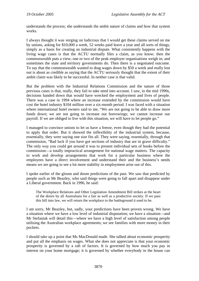understands the process; she understands the ambit nature of claims and how that system works.

I always thought it was verging on ludicrous that I would get these claims served on me by unions, asking for \$10,000 a week, 52 weeks paid leave a year and all sorts of things, simply as a basis for creating an industrial dispute. What consistently happens with the living wage cases is that the ACTU normally files a claim, as you know; then the commonwealth puts a view; one or two of the peak employer organisations weigh in; and sometimes the state and territory governments do. Then there is a negotiated outcome. To say that the commonwealth wanted to drag wages down by \$50 a week and really lost out is about as credible as saying that the ACTU seriously thought that the extent of their ambit claim was likely to be successful. In neither case is that valid.

But the problem with the Industrial Relations Commission and the nature of those previous cases is that, really, they fail to take need into account. I saw, in the mid 1990s, decisions handed down that would have wrecked the employment and lives of people. There was a case in 1994 where an increase extended by the commission would have cost the hotel industry \$104 million over a six-month period. I was faced with a situation where international hotel owners said to me, "We are not going to be able to draw more funds down; we are not going to increase our borrowings; we cannot increase our payroll. If we are obliged to live with this situation, we will have to let people go."

I managed to convince unions to let us have a freeze, even though they had the potential to apply that order. But it showed the inflexibility of the industrial system, because, essentially, they were saying one size fits all. They were saying, essentially, through that commission, "Bad luck if you have got sections of industry that are in grave difficulty." The only way you could get around it was to present individual sets of books before the commission—a totally impractical arrangement for national wage matters. The capacity to work and develop arrangements that work for a particular business where the employees have a direct involvement and understand their and the business's needs means we are going to see a lot more stability in employment arise out of this.

I spoke earlier of the gloom and doom predictions of the past. We saw that predicted by people such as Mr Beazley, who said things were going to fall apart and disappear under a Liberal government. Back in 1996, he said:

The Workplace Relations and Other Legislation Amendment Bill strikes at the heart of the desire by all Australians for a fair as well as a productive society. If we pass this bill into law, we will return the workplace to the battleground it used to be.

I am sorry, Mr Beazley, but, sadly, your predictions have been proven wrong. We have a situation where we have a low level of industrial disputation; we have a situation—and Mr Stefaniak will detail this—where we have a high level of satisfaction among people utilising the Australian workplace agreements; we see families with more money in their pockets.

I should take up a point that Ms MacDonald made. She talked about economic prosperity and put all the emphasis on wages. What she does not appreciate is that your economic prosperity is governed by a raft of factors. It is governed by how much you pay in interest on your home mortgage; it is governed by whether everybody in the house can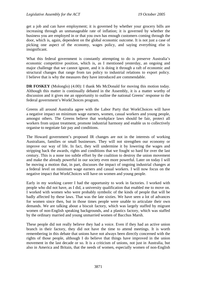get a job and can have employment; it is governed by whether your grocery bills are increasing through an unmanageable rate of inflation; it is governed by whether the business you are employed in or that you own has enough customers coming through the door, which is, again, dependent on the global economic outcome. It is not just a case of picking one aspect of the economy, wages policy, and saying everything else is insignificant.

What this federal government is constantly attempting to do is preserve Australia's economic competitive position, which is, as I mentioned yesterday, an ongoing and major challenge that we cannot ignore, and it is doing it through a raft of economic and structural changes that range from tax policy to industrial relations to export policy. I believe that is why the measures they have introduced are commendable.

**DR FOSKEY** (Molonglo) (4.00): I thank Ms McDonald for moving this motion today. Although this matter is continually debated in the Assembly, it is a matter worthy of discussion and it gives me an opportunity to outline the national Greens' response to the federal government's WorkChoices program.

Greens all around Australia agree with the Labor Party that WorkChoices will have a negative impact on minimum wage earners, women, casual workers and young people, amongst others. The Greens believe that workplace laws should be fair, protect all workers from unjust treatment, promote industrial harmony and enable us to collectively organise to negotiate fair pay and conditions.

The Howard government's proposed IR changes are not in the interests of working Australians, families or small businesses. They will not strengthen our economy or improve our way of life. In fact, they will undermine it by lowering the wages and stripping back the awards, rights and conditions that we fought so hard for over the last century. This is a none too subtle effort by the coalition to destroy the union movement and make the already powerful in our society even more powerful. Later on today I will be moving a motion that, in part, discusses the impact of ongoing industrial changes at a federal level on minimum wage earners and casual workers. I will now focus on the negative impact that WorkChoices will have on women and young people.

Early in my working career I had the opportunity to work in factories. I worked with people who did not have, as I did, a university qualification that enabled me to move on. I worked with women who were probably symbolic of the kinds of people that will be badly affected by these laws. That was the late sixties. We have seen a lot of advances for women since then, but in those times people were unable to articulate their own demands. We are talking about a biscuit factory, which was largely staffed by migrant women of non-English speaking backgrounds, and a plastics factory, which was staffed by the ordinary married and young unmarried women of Bacchus Marsh.

These people did not really believe they had a voice. Even if they had an active union branch in their factory, they did not have the time to attend meetings. It is worth remembering in this debate that unions have not always been directly concerned with the rights of those people, although I do believe that things have improved in the union movement in the last decade or so. It is a criticism of unions, not just in Australia, but also in America and Britain, that the needs of women, especially women of non-English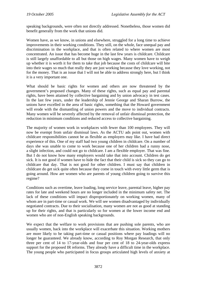speaking backgrounds, were often not directly addressed. Nonetheless, those women did benefit generally from the work that unions did.

Women have, as we know, in unions and elsewhere, struggled for a long time to achieve improvements in their working conditions. They still, on the whole, face unequal pay and discrimination in the workplace, and that is often related to where women are most concentrated. An issue that has become huge in the last few years is childcare. Childcare is still largely unaffordable to all but those on high wages. Many women have to weigh up whether it is worth it for them to take that job because the costs of childcare will bite into their wages so much that really they are just working because they love working, not for the money. That is an issue that I will not be able to address strongly here, but I think it is a very important one.

What should be basic rights for women and others are now threatened by the government's proposed changes. Many of these rights, such as equal pay and parental rights, have been attained by collective bargaining and by union advocacy in test cases. In the last few years, under the leadership of Jennie George and Sharan Burrow, the unions have excelled in the area of basic rights, something that the Howard government will erode with the dismantling of union powers and the move to individual contracts. Many women will be severely affected by the removal of unfair dismissal protection, the reduction in minimum conditions and reduced access to collective bargaining.

The majority of women work in workplaces with fewer than 100 employees. They will now be exempt from unfair dismissal laws. As the ACTU ads point out, women with childcare responsibilities cannot be as flexible as employers may like. I have had direct experience of this. One of my staff had two young children in childcare. On a number of days she was unable to come to work because one of her children had a runny nose, a slight infection, and could not go to childcare. I am a flexible employer. That was fine. But I do not know how many employers would take that into account. Children do get sick. It is not good if women have to hide the fact that their child is sick so they can go to childcare that day. That is not good for other children. I must say that children in childcare do get sick quite often because they come in touch with every little germ that is going around. How are women who are parents of young children going to survive this regime?

Conditions such as overtime, leave loading, long service leave, parental leave, higher pay rates for late and weekend hours are no longer included in the minimum safety net. The lack of these conditions will impact disproportionately on working women, many of whom are in part-time or casual work. We will see women disadvantaged by individually negotiated contracts. Due to their socialisation, many women are not as good at standing up for their rights, and that is particularly so for women at the lower income end and women who are of non-English speaking backgrounds.

We expect that the welfare to work provisions that are pushing sole parents, who are usually women, back into the workplace will exacerbate this situation. Working mothers are more likely to be taking part-time or casual positions where pay loadings will no longer be guaranteed. We already know, according to Roy Morgan Research, that only three per cent of 14 to 17-year-olds and four per cent of 18 to 24-year-olds express support for the proposed IR reforms. They already have a difficult time in the workplace. The young people who participated in focus groups articulated high levels of anxiety at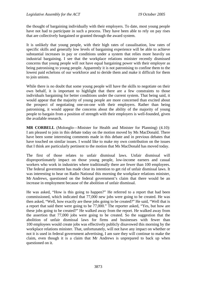the thought of bargaining individually with their employers. To date, most young people have not had to participate in such a process. They have been able to rely on pay rises that are collectively bargained or granted through the award system.

It is unlikely that young people, with their high rates of casualisation, low rates of specific skills and generally low levels of bargaining experience will be able to achieve substantial increases in pay or conditions under a system that relies more heavily on industrial bargaining. I see that the workplace relations minister recently dismissed concerns that young people will not have equal bargaining power with their employer as being patronising to young people. Apparently it is not patronising to confine them to the lowest paid echelons of our workforce and to deride them and make it difficult for them to join unions.

While there is no doubt that some young people will have the skills to negotiate on their own behalf, it is important to highlight that there are a few constraints to those individuals bargaining for better conditions under the current system. That being said, it would appear that the majority of young people are more concerned than excited about the prospect of negotiating one-on-one with their employers. Rather than being patronising, it would appear the concerns about the ability of the majority of young people to bargain from a position of strength with their employers is well-founded, given the available research.

**MR CORBELL** (Molonglo—Minister for Health and Minister for Planning) (4.10): I am pleased to join in this debate today on the motion moved by Ms MacDonald. There have been some interesting comments made in this debate and in previous debates that have touched on similar issues. I would like to make my own contribution on the issues that I think are particularly pertinent to the motion that Ms MacDonald has moved today.

The first of those relates to unfair dismissal laws. Unfair dismissal will disproportionately impact on those young people, low-income earners and casual workers who work in industries where traditionally there are fewer than 100 employees. The federal government has made clear its intention to get rid of unfair dismissal laws. It was interesting to hear on Radio National this morning the workplace relations minister, Mr Andrews, questioned on the federal government's claim that there would be an increase in employment because of the abolition of unfair dismissal.

He was asked, "How is this going to happen?" He referred to a report that had been commissioned, which indicated that 77,000 new jobs were going to be created. He was then asked, "Well, how exactly are these jobs going to be created?" He said, "Well that is a report that said there were going to be 77,000." The reporter asked, "Yes, but how are these jobs going to be created?" He walked away from the report. He walked away from the assertion that 77,000 jobs were going to be created. So the suggestion that the abolition of unfair dismissal laws for firms and businesses with fewer than 100 employees would create jobs was effectively publicly disavowed this morning by the workplace relations minister. That, unfortunately, will not have any impact on whether or not it is used in federal government advertising, I am sure they will continue to make the claim, even though it is a claim that Mr Andrews is unprepared to back up when questioned on it.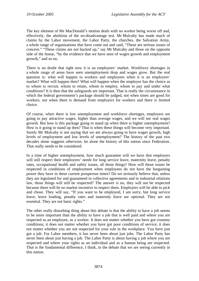The key element of Ms MacDonald's motion deals with no worker being worse off and, effectively, the abolition of the no-disadvantage test. Mr Mulcahy has made much of claims by the Labor movement, the Labor Party, the churches, the Salvation Army, a whole range of organisations that have come out and said, "These are serious issues of concern." "These claims are not backed up," say Mr Mulcahy and those on the opposite side of the house, "by the evidence that we have seen of wages growth and employment growth," and so on.

There is no doubt that right now it is an employees' market. Workforce shortages in a whole range of areas have seen unemployment drop and wages grow. But the real question is: what will happen to workers and employees when it is an employers' market? What will happen then? What will happen when the employer has the choice as to whom to recruit, whom to retain, whom to employ, whom to pay and under what conditions? It is then that the safeguards are important. That is really the circumstance in which the federal government's package should be judged, not when times are good for workers, not when there is demand from employers for workers and there is limited choice.

Of course, when there is low unemployment and workforce shortages, employers are going to pay attractive wages, higher than average wages, and we will see real wages growth. But how is this package going to stand up when there is higher unemployment? How is it going to stand up then? That is when these things will become very important. Surely Mr Mulcahy is not saying that we are always going to have wages growth, high levels of employment and low levels of unemployment? The history of the past two decades alone suggests otherwise, let alone the history of this nation since Federation. That really needs to be considered.

In a time of higher unemployment, how much guarantee will we have that employers will still respect their employees' needs for long service leave, maternity leave, penalty rates, occupational health and safety issues, all those things? How will those issues be respected in conditions of employment when employees do not have the bargaining power they have in these current prosperous times? Do we seriously believe that, unless they are legislated for and guaranteed in collective agreements and in industrial relations law, those things will still be respected? The answer is no, they will not be respected because there will be no market incentive to respect them. Employers will be able to pick and chose. They will say, "If you want to be employed, I am sorry, but long service leave, leave loading, penalty rates and maternity leave are optional. They are not essential. They are not basic rights."

The other really disturbing thing about this debate is that the ability to have a job seems to be more important than the ability to have a job that is well paid and where you are respected as an employee, as a worker. It does not matter whether you have got crummy conditions; it does not matter whether you have got poor conditions of service; it does not matter whether you are not respected for your role in the workplace. You have just got a job. For Labor members, it has never been about just jobs. The Labor Party has never been about just having a job. The Labor Party is about having a job where you are respected and where your rights as an individual and as a human being are respected. That is the fundamental difference, I think, in the debate that we are seeing currently in this nation.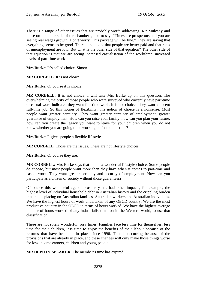There is a range of other issues that are probably worth addressing. Mr Mulcahy and those on the other side of the chamber go on to say, "Times are prosperous and you are seeing real wages growth. Don't worry. This package will be fine." They are saying that everything seems to be good. There is no doubt that people are better paid and that rates of unemployment are low. But what is the other side of that equation? The other side of that equation is that we are seeing increased casualisation of the workforce, increased levels of part-time work—

**Mrs Burke**: It's called choice, Simon.

**MR CORBELL**: It is not choice.

**Mrs Burke**: Of course it is choice.

**MR CORBELL**: It is not choice. I will take Mrs Burke up on this question. The overwhelming majority of those people who were surveyed who currently have part-time or casual work indicated they want full-time work. It is not choice. They want a decent full-time job. So this notion of flexibility, this notion of choice is a nonsense. Most people want greater certainty. They want greater certainty of employment, greater guarantee of employment. How can you raise your family, how can you plan your future, how can you create the legacy you want to leave for your children when you do not know whether you are going to be working in six months time?

**Mrs Burke**: It gives people a flexible lifestyle.

**MR CORBELL**: Those are the issues. These are not lifestyle choices.

**Mrs Burke**: Of course they are.

**MR CORBELL**: Mrs Burke says that this is a wonderful lifestyle choice. Some people do choose, but most people want more than they have when it comes to part-time and casual work. They want greater certainty and security of employment. How can you participate as a citizen of society without those guarantees?

Of course this wonderful age of prosperity has had other impacts, for example, the highest level of individual household debt in Australian history and the crippling burden that that is placing on Australian families, Australian workers and Australian individuals. We have the highest hours of work undertaken of any OECD country. We are the most productive country in the OECD in terms of hours worked. We have the highest average number of hours worked of any industrialised nation in the Western world, to use that classification.

These are not solely wonderful, rosy times. Families face less time for themselves, less time for their children, less time to enjoy the benefits of their labour because of the reforms that have been put in place since 1996. That is occurring because of the provisions that are already in place, and these changes will only make those things worse for low-income earners, children and young people—

**MR DEPUTY SPEAKER**: The member's time has expired.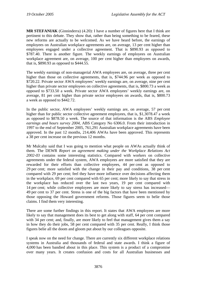**MR STEFANIAK** (Ginninderra) (4.20): I have a number of figures here that I think are pertinent to this debate. They show that, rather than being something to be feared, these new reforms are actually to be welcomed. As we have heard before, the earnings of employees on Australian workplace agreements are, on average, 13 per cent higher than employees engaged under a collective agreement. That is \$890.93 as opposed to \$787.40. There is another figure. The weekly earnings of employees on Australian workplace agreement are, on average, 100 per cent higher than employees on awards, that is, \$890.93 as opposed to \$444.55.

The weekly earnings of non-managerial AWA employees are, on average, three per cent higher than those on collective agreements, that is, \$744.96 per week as opposed to \$720.22. Private sector AWA employees' weekly earnings are, on average, nine per cent higher than private sector employees on collective agreements, that is, \$800.73 a week as opposed to \$733.50 a week. Private sector AWA employees' weekly earnings are, on average, 81 per cent higher than private sector employees on awards, that is, \$800.73 a week as opposed to \$442.72.

In the public sector, AWA employees' weekly earnings are, on average, 57 per cent higher than for public sector collective agreement employees, that is, \$1,3078.47 a week as opposed to \$878.50 a week. The source of that information is the ABS *Employee earnings and hours survey 2004*, ABS Category No 6306.0. From their introduction in 1997 to the end of September 2005, 761,291 Australian workplace agreements have been approved. In the past 12 months, 214,406 AWAs have been approved. This represents a 38 per cent increase on the previous 12 months.

Mr Mulcahy said that I was going to mention what people on AWAs actually think of them. The DEWR *Report on agreement making under the Workplace Relations Act 2002-03* contains some interesting statistics. Compared with workers on collective agreements under the federal system, AWA employees are more satisfied that they are rewarded for their efforts than collective employees, 44 per cent as opposed to 29 per cent; more satisfied with the change in their pay and conditions, 38 per cent compared with 29 per cent; feel they have more influence over decisions affecting them in the workplace, 69 per cent compared with 65 per cent; more likely to say that stress in the workplace has reduced over the last two years, 19 per cent compared with 14 per cent; while collective employees are more likely to say stress has increased— 49 per cent to 37 per cent. Stress is one of the big factors that have been mentioned by those opposing the Howard government reforms. Those figures seem to belie those claims. I find them very interesting.

There are some further findings in this report. It states that AWA employees are more likely to say that management does its best to get along with staff, 64 per cent compared with 34 per cent; and, finally, are more likely to feel that management gives them a say in how they do their jobs, 58 per cent compared with 35 per cent. Really, I think those figures belie all the doom and gloom put about by our colleagues opposite.

I speak now on the need for change. There are currently six different workplace relations systems in Australia and thousands of federal and state awards. I think a figure of 4,000 has been bandied about in this place. This system is a product of a compromise over many years. It creates confusion and costs for all Australian businesses and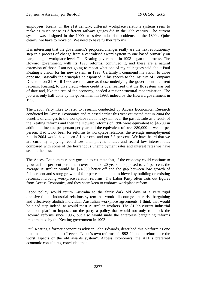employees. Really, in the 21st century, different workplace relations systems seem to make as much sense as different railway gauges did in the 20th century. The current system was designed in the 1900s to solve industrial problems of the 1890s. Quite clearly, we have to move on. We need to have further reforms.

It is interesting that the government's proposed changes really are the next evolutionary step in a process of change from a centralised award system to one based primarily on bargaining at workplace level. The Keating government in 1993 began the process. The Howard government, with its 1996 reforms, continued it, and these are a natural extension of those. I am not going to repeat what one of my colleagues said about Paul Keating's vision for his new system in 1993. Certainly I commend his vision to those opposite. Basically the principles he espoused in his speech to the Institute of Company Directors on 21 April 1993 are the same as those underlying the government's current reforms. Keating, to give credit where credit is due, realised that the IR system was out of date and, like the rest of the economy, needed a major structural modernisation. The job was only half done by his government in 1993, indeed by the Howard government in 1996.

The Labor Party likes to refer to research conducted by Access Economics. Research conducted by Access Economics and released earlier this year estimated that in 2004 the benefits of changes to the workplace relations system over the past decade as a result of the Keating reforms and then the Howard reforms of 1996 were equivalent to \$4,200 in additional income per person per year and the equivalent of over \$80,000 in wealth per person. Had it not been for reforms to workplace relations, the average unemployment rate in 2004 would have been 8.1 per cent and not 5.8 per cent. We have heard that we are currently enjoying record low unemployment rates and record low interest rates compared with some of the horrendous unemployment rates and interest rates we have seen in the past.

The Access Economics report goes on to estimate that, if the economy could continue to grow at four per cent per annum over the next 20 years, as opposed to 2.4 per cent, the average Australian would be \$74,000 better off and the gap between low growth of 2.4 per cent and strong growth of four per cent could be achieved by building on existing reforms, including workplace relation reforms. The Labor Party often trots out figures from Access Economics, and they seem keen to embrace workplace reform.

Labor policy would return Australia to the fairly dark old days of a very rigid one-size-fits-all industrial relations system that would discourage enterprise bargaining and effectively abolish individual Australian workplace agreements. I think that would be a sad step indeed, as would most Australian workers. The ALP's current industrial relations platform imposes on the party a policy that would not only roll back the Howard reforms since 1996, but also would undo the enterprise bargaining reforms implemented by the Keating government in 1993.

Paul Keating's former economics adviser, John Edwards, described this platform as one that had the potential to "reverse Labor's own reforms of 1992-94 and to reintroduce the worst aspects of the old awards system". Access Economics, the ALP's preferred economic consultants, concluded that: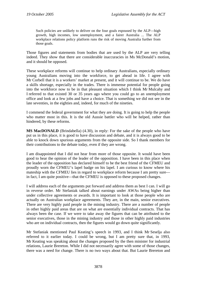Such policies are unlikely to deliver on the four goals espoused by the ALP—high growth, high incomes, low unemployment, and a fairer Australia ... The ALP workplace relations policy platform runs the risk of moving Australia further from those goals.

Those figures and statements from bodies that are used by the ALP are very telling indeed. They show that there are considerable inaccuracies in Ms McDonald's motion, and it should be opposed.

These workplace reforms will continue to help ordinary Australians, especially ordinary young Australians moving into the workforce, to get ahead in life. I agree with Mr Corbell that it is a workers' market at present, and it will continue to be. We do have a skills shortage, especially in the trades. There is immense potential for people going into the workforce now to be in that pleasant situation which I think Mr Mulcahy and I referred to that existed 30 or 35 years ago where you could go to an unemployment office and look at a few jobs and have a choice. That is something we did not see in the late seventies, in the eighties and, indeed, for much of the nineties.

I commend the federal government for what they are doing. It is going to help the people who matter most in this. It is the old Aussie battler who will be helped, rather than hindered, by these reforms.

**MS MacDONALD** (Brindabella) (4.30), in reply: For the sake of the people who have put us in this place, it is good to have discussion and debate, and it is always good to be able to knock down spurious arguments from the opposite side. So I thank members for their contributions to the debate today, even if they are wrong.

I am disappointed that I did not hear from more of those opposite. It would have been good to hear the opinion of the leader of the opposition. I have been in this place when the leader of the opposition has declared himself to be the best friend of the CFMEU and proudly worn the CFMEU's lapel badge on his lapel. I am curious to know where his mateship with the CFMEU lies in regard to workplace reform because I am pretty sure in fact, I am quite positive—that the CFMEU is opposed to these proposed changes.

I will address each of the arguments put forward and address them as best I can. I will go in reverse order. Mr Stefaniak talked about earnings under AWAs being higher than under collective agreements or awards. It is important to look at those people who are actually on Australian workplace agreements. They are, in the main, senior executives. There are very highly paid people in the mining industry. There are a number of people in other highly paid areas that are on what are essentially individual contracts. That has always been the case. If we were to take away the figures that can be attributed to the senior executives, those in the mining industry and those in other highly paid industries who are on individual contracts, then the figures would go down quite significantly.

Mr Stefaniak mentioned Paul Keating's speech in 1993, and I think Mr Seselja also referred to it earlier today. I could be wrong, but I am pretty sure that, in 1993, Mr Keating was speaking about the changes proposed by the then minister for industrial relations, Laurie Brereton. While I did not necessarily agree with some of those changes, there was a need for change. There is no two ways about that. But Laurie Brereton and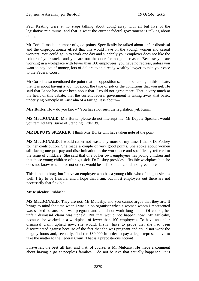Paul Keating were at no stage talking about doing away with all but five of the legislative minimums, and that is what the current federal government is talking about doing.

Mr Corbell made a number of good points. Specifically he talked about unfair dismissal and the disproportionate effect that this would have on the young, women and casual workers. You could go in to work one day and suddenly your employer does not like the colour of your socks and you are out the door for no good reason. Because you are working in a workplace with fewer than 100 employees, you have no redress, unless you want to pay lots of money, lots of dollars to an already wealthy lawyer to take your case to the Federal Court.

Mr Corbell also mentioned the point that the opposition seem to be raising in this debate, that it is about having a job, not about the type of job or the conditions that you get. He said that Labor has never been about that. I could not agree more. That is very much at the heart of this debate, that the current federal government is taking away that basic, underlying principle in Australia of a fair go. It is about—

**Mrs Burke**: How do you know? You have not seen the legislation yet, Karin.

**MS MacDONALD**: Mrs Burke, please do not interrupt me. Mr Deputy Speaker, would you remind Mrs Burke of Standing Order 39.

**MR DEPUTY SPEAKER**: I think Mrs Burke will have taken note of the point.

**MS MacDONALD**: I would rather not waste any more of my time. I thank Dr Foskey for her contribution. She made a couple of very good points. She spoke about women still facing unequal pay and discrimination in the workplace and specifically referred to the issue of childcare. She said that one of her own employees has young children and that those young children often get sick. Dr Foskey provides a flexible workplace but she does not know whether or not others would be as flexible. I could not agree more.

This is not to brag, but I have an employee who has a young child who often gets sick as well. I try to be flexible, and I hope that I am, but most employers out there are not necessarily that flexible.

### **Mr Mulcahy**: Rubbish!

**MS MacDONALD**: They are not, Mr Mulcahy, and you cannot argue that they are. It brings to mind the time when I was union organiser when a woman whom I represented was sacked because she was pregnant and could not work long hours. Of course, her unfair dismissal claim was upheld. But that would not happen now, Mr Mulcahy, because she worked in a workplace of fewer than 100 employees. To have an unfair dismissal claim upheld now, she would, firstly, have to prove that she had been discriminated against because of the fact that she was pregnant and could not work the lengthy hours and, secondly, find the \$30,000 in order to pay a legal representative to take the matter to the Federal Court. That is a preposterous notion!

I have left the best till last, and that, of course, is Mr Mulcahy. He made a comment about having a go at people's families. I do not believe that actually happened. It is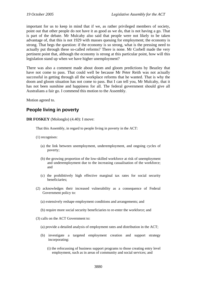important for us to keep in mind that if we, as rather privileged members of society, point out that other people do not have it as good as we do, that is not having a go. That is part of the debate. Mr Mulcahy also said that people were not likely to be taken advantage of, that this is not 1929 with masses queuing for employment; the economy is strong. That begs the question: if the economy is so strong, what is the pressing need to actually put through these so-called reforms? There is none. Mr Corbell made the very pertinent point that, although the economy is strong at this particular point, how will this legislation stand up when we have higher unemployment?

There was also a comment made about doom and gloom predictions by Beazley that have not come to pass. That could well be because Mr Peter Reith was not actually successful in getting through all the workplace reforms that he wanted. That is why the doom and gloom situation has not come to pass. But I can tell you, Mr Mulcahy, that it has not been sunshine and happiness for all. The federal government should give all Australians a fair go. I commend this motion to the Assembly.

Motion agreed to.

# **People living in poverty**

**DR FOSKEY** (Molonglo) (4.40): I move:

That this Assembly, in regard to people living in poverty in the ACT:

(1) recognises:

- (a) the link between unemployment, underemployment, and ongoing cycles of poverty;
- (b) the growing proportion of the low-skilled workforce at risk of unemployment and underemployment due to the increasing casualisation of the workforce; and
- (c) the prohibitively high effective marginal tax rates for social security beneficiaries;
- (2) acknowledges their increased vulnerability as a consequence of Federal Government policy to:
	- (a) extensively reshape employment conditions and arrangements; and
	- (b) require more social security beneficiaries to re-enter the workforce; and
- (3) calls on the ACT Government to:
	- (a) provide a detailed analysis of employment rates and distribution in the ACT;
	- (b) investigate a targeted employment creation and support strategy incorporating:
		- (i) the refocussing of business support programs to those creating entry level employment, such as in areas of community and social services; and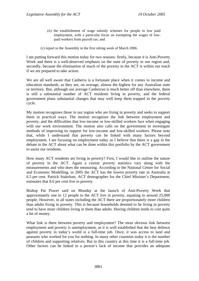- (ii) the establishment of wage subsidy schemes for people in low paid employment, with a particular focus on exempting the wages of lowpaid workers from payroll tax; and
- (c) report to the Assembly in the first sitting week of March 2006.

I am putting forward this motion today for two reasons: firstly, because it is Anti-Poverty Week and there is a well-deserved emphasis on the state of poverty in our region and, secondly, because the elimination of much of the poverty in the ACT is within our reach if we are prepared to take action.

We are all well aware that Canberra is a fortunate place when it comes to income and education standards, as they are, on average, almost the highest for any Australian state or territory. But, although our average Canberran is much better off than elsewhere, there is still a substantial number of ACT residents living in poverty, and the federal government plans substantial changes that may well keep them trapped in the poverty cycle.

My motion recognises those in our region who are living in poverty and seeks to support them in practical ways. The motion recognises the link between employment and poverty, and the difficulties that low-income or low-skilled workers face when engaging with our work environment. The motion also calls on the government to investigate methods of improving its support for low-income and low-skilled workers. Please note that, while I understand that poverty can be linked with many factors beyond employment, I am focusing on employment today as I believe that there is a gap in the debate in the ACT about what can be done within this portfolio by the ACT government to assist our residents.

How many ACT residents are living in poverty? First, I would like to outline the nature of poverty in the ACT. Again a caveat: poverty statistics vary along with the measurements and who does the measuring. According to the National Centre for Social and Economic Modelling, in 2005 the ACT has the lowest poverty rate in Australia at 6.5 per cent. Patrick Stakelum, ACT demographer for the Chief Minister's Department, estimates that 8.6 per cent live in poverty.

Bishop Pat Power said on Monday at the launch of Anti-Poverty Week that approximately one in 12 people in the ACT live in poverty, equating to around 25,000 people. However, in all states including the ACT there are proportionately more children than adults living in poverty. This is because households deemed to be living in poverty tend to have more children living in them than adults. Having children tends to cost quite a bit of money.

What link is there between poverty and employment? The most obvious link between employment and poverty is unemployment, as it is well established that the best defence against poverty in today's world is a full-time job. Once, it was access to land and peasants who worked for you for nothing. In many other countries today it is the number of children and supporting relatives. But in this country at this time it is a full-time job. Other factors can be linked to a person's lack of income that provides an adequate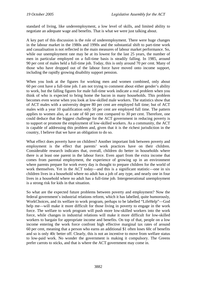standard of living, like underemployment, a low level of skills, and limited ability to negotiate an adequate wage and benefits. That is what we were just talking about.

A key part of this discussion is the role of underemployment. There were huge changes in the labour market in the 1980s and 1990s and the substantial shift to part-time work and casualisation is not reflected in the main measures of labour market performance. So, while our unemployment rate may be at its lowest for the last 25 years, the number of men in particular employed on a full-time basis is steadily falling. In 1985, around 90 per cent of males held a full-time job. Today, this is only around 70 per cent. Many of those who have dropped out of the labour force have moved onto income support, including the rapidly growing disability support pension.

When you look at the figures for working men and women combined, only about 60 per cent have a full-time job. I am not trying to comment about either gender's ability to work, but the falling figures for male full-time work indicate a real problem when you think of who is expected to bring home the bacon in many households. This problem becomes even worse when you look at low-skilled male workers. The statistics show that of ACT males with a university degree 80 per cent are employed full time; but of ACT males with a year 10 qualification only 50 per cent are employed full time. The pattern applies to women also, at a rate of 60 per cent compared to 30 per cent. Therefore, one could deduce that the biggest challenge for the ACT government in reducing poverty is to support or promote the employment of low-skilled workers. As a community, the ACT is capable of addressing this problem and, given that it is the richest jurisdiction in the country, I believe that we have an obligation to do so.

What effect does poverty have on children? Another important link between poverty and employment is the effect that parents' work practices have on their children. Considerable research indicates that, overall, children do better in households where there is at least one parent in the labour force. Even apart from the extra income that comes from parental employment, the experience of growing up in an environment where parents prepare for work every day is thought to prepare children for the world of work themselves. Yet in the ACT today—and this is a significant statistic—one in six children lives in a household where no adult has a job of any type, and nearly one in four lives in a household where no adult has a full-time job. Intergenerational unemployment is a strong risk for kids in that situation.

So what are the expected future problems between poverty and employment? Now the federal government's industrial relations reform, which it has labelled, quite humorously, WorkChoices, and its welfare to work program, perhaps to be labelled "LifeHelp"—God help me—will make it more difficult for those living in poverty to engage in the work force. The welfare to work program will push more low-skilled workers into the work force, while changes in industrial relations will make it more difficult for low-skilled workers to bargain for appropriate income and benefits. On top of that, people on a low income entering the work force confront high effective marginal tax rates of around 60 per cent, meaning that a person who earns an additional \$1 often loses 60c of benefits and so is only 40c better off. Clearly, this is not an incentive to move from welfare status to low-paid work. No wonder the government is making it compulsory. The Greens prefer carrots to sticks, and that is where the ACT government may come in.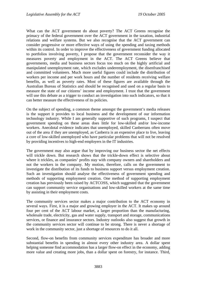What can the ACT government do about poverty? The ACT Greens recognise the primacy of the federal government over the ACT government in the taxation, industrial relations and welfare systems. But we also recognise that the ACT government can consider progressive or more effective ways of using the spending and taxing methods within its control. In order to improve the effectiveness of government funding allocated to portfolios involving poverty, I propose that the government reconsider the way it measures poverty and employment in the ACT. The ACT Greens believe that governments, media and business sectors focus too much on the highly artificial and manipulated unemployment rate, which excludes underemployment, the disenfranchised and committed volunteers. Much more useful figures could include the distribution of workers per income and per work hours and the number of residents receiving welfare benefits, as well as poverty rates. Most of these figures are available through the Australian Bureau of Statistics and should be recognised and used on a regular basis to measure the state of our citizens' income and employment. I trust that the government will use this debate as a trigger to conduct an investigation into such indicators, so that it can better measure the effectiveness of its policies.

On the subject of spending, a common theme amongst the government's media releases is the support it provides to local business and the development of our information technology industry. While I am generally supportive of such programs, I suspect that government spending on these areas does little for low-skilled and/or low-income workers. Anecdotal evidence indicates that unemployed, skilled Canberrans often move out of the area if they are unemployed, as Canberra is an expensive place to live, leaving a core of low-skilled unemployed who have particular problems that will not be resolved by providing incentives to high-end employers in the IT industries.

The government may also argue that by improving our business sector the net effects will trickle down. But research shows that the trickle-down effect is selective about where it trickles, as companies' profits stay with company owners and shareholders and not the workers in the company. My motion, therefore, calls on the government to investigate the distribution of its funds to business support versus employment creation. Such an investigation should analyse the effectiveness of government spending and methods of supporting employment creation. One method of supporting employment creation has previously been raised by ACTCOSS, which suggested that the government can support community service organisations and low-skilled workers at the same time by assisting in their employment costs.

The community services sector makes a major contribution to the ACT economy in several ways. First, it is a major and growing employer in the ACT. It makes up around four per cent of the ACT labour market, a larger proportion than the manufacturing, wholesale trade, electricity, gas and water supply, transport and storage, communications services, or finance and insurance sectors. Industry outlooks also suggest that growth in the community services sector will continue to be strong. There is never a shortage of work in the community sector, just a shortage of resources to do it all.

Second, flow-on benefits from community services expenditure has broader and more substantial benefits in spending in almost every other industry area. A dollar spent helping someone find accommodation has a larger flow-on effect in the economy, adding more value and creating more jobs, than a dollar spent on forestry, for instance. Third,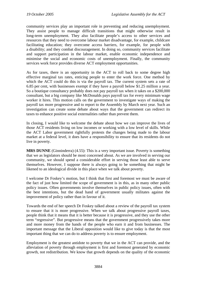community services play an important role in preventing and reducing unemployment. They assist people to manage difficult transitions that might otherwise result in long-term unemployment. They also facilitate people's access to other services and resources that they need to overcome labour market disadvantage, for example, childcare facilitating education; they overcome access barriers, for example, for people with a disability; and they combat discouragement. In doing so, community services facilitate and support participation in the labour market, enable economic independence and minimise the social and economic costs of unemployment. Finally, the community services work force provides diverse ACT employment opportunities.

As for taxes, there is an opportunity in the ACT to roll back to some degree high effective marginal tax rates, enticing people to enter the work force. One method by which the ACT could do this is via the payroll tax. The current system sets a rate of 6.85 per cent, with businesses exempt if they have a payroll below \$1.25 million a year. So a boutique consultancy probably does not pay payroll tax when it takes on a \$200,000 consultant, but a big company like McDonalds pays payroll tax for every minimum wage worker it hires. This motion calls on the government to investigate ways of making the payroll tax more progressive and to report to the Assembly by March next year. Such an investigation can create some debate about ways that the government can redirect its taxes to enhance positive social externalities rather than prevent them.

In closing, I would like to welcome the debate about how we can improve the lives of those ACT residents living on low incomes or working with a low level of skills. While the ACT Labor government rightfully protests the changes being made to the labour market at a federal level, it does have a responsibility to ensure that its residents do not live in poverty.

**MRS DUNNE** (Ginninderra) (4.55): This is a very important issue. Poverty is something that we as legislators should be most concerned about. As we are involved in serving our community, we should spend a considerable effort in serving those least able to serve themselves. However, I suppose there is always going to be something that might be likened to an ideological divide in this place when we talk about poverty.

I welcome Dr Foskey's motion, but I think that first and foremost we must be aware of the fact of just how limited the scope of government is in this, as in many other public policy issues. Often governments involve themselves in public policy issues, often with the best intentions, but the dead hand of government usually militates against the improvement of policy rather than in favour of it.

Towards the end of her speech Dr Foskey talked about a review of the payroll tax system to ensure that it is more progressive. When we talk about progressive payroll taxes, people think that it means that it is better because it is progressive, and they use the other term "regressive". But progressive means that the government progressively takes more and more money from the hands of the people who earn it and from businesses. The important message that the Liberal opposition would like to give today is that the most important thing that we can do to address poverty is to ensure employment.

Employment is the greatest antidote to poverty that we in the ACT can provide, and the alleviation of poverty through employment is first and foremost generated by economic growth, not redistribution. We know that growth depends on the quality of the economic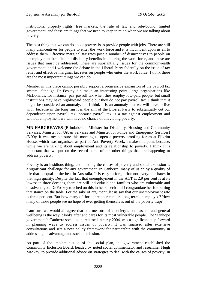institutions, property rights, free markets, the rule of law and rule-bound, limited government, and these are things that we need to keep in mind when we are talking about poverty.

The best thing that we can do about poverty is to provide people with jobs. There are still many disincentives for people to enter the work force and it is incumbent upon us all to address them. Effective marginal tax rates pose a number of disincentives to people on unemployment benefits and disability benefits in entering the work force, and these are issues that must be addressed. These are substantially issues for the commonwealth government, and I welcome the debate in the Liberal Party federally on the issue of tax relief and effective marginal tax rates on people who enter the work force. I think these are the most important things we can do.

Member in this place cannot possibly support a progressive expansion of the payroll tax system, although Dr Foskey did make an interesting point: large organisations like McDonalds, for instance, pay payroll tax when they employ low-paid people, but small institutions may have highly-paid people but they do not pay payroll tax. I think that it might be considered an anomaly, but I think it is an anomaly that we will have to live with, because in the long run it is the aim of the Liberal Party to substantially cut our dependence upon payroll tax, because payroll tax is a tax against employment and without employment we will have no chance of alleviating poverty.

**MR HARGREAVES** (Brindabella—Minister for Disability, Housing and Community Services, Minister for Urban Services and Minister for Police and Emergency Services) (5.00): It was my pleasure this morning to open a poverty-proofing forum at Pilgrim House, which was organised as part of Anti-Poverty Week. I make this point because, while we are talking about employment and its relationship to poverty, I think it is important that we put on the record some of the other things that are happening to address poverty.

Poverty is an insidious thing, and tackling the causes of poverty and social exclusion is a significant challenge for any government. In Canberra, many of us enjoy a quality of life that is equal to the best in Australia. It is easy to forget that not everyone shares in that high quality. Despite the fact that unemployment in the ACT at 2.9 per cent is at its lowest in three decades, there are still individuals and families who are vulnerable and disadvantaged. Dr Foskey touched on this in her speech and I congratulate her for putting that stance on the table. For the sake of argument, let us say that our unemployment rate is three per cent. But how many of those three per cent are long-term unemployed? How many of those people see no hope of ever getting themselves out of the poverty trap?

I am sure we would all agree that one measure of a society's compassion and general wellbeing is the way it looks after and cares for its most vulnerable people. The Stanhope government's Canberra social plan, released in early 2004, was a significant step forward in planning ways to address issues of poverty. It was finalised after extensive consultations and sets a new policy framework for partnership with the community in addressing disadvantage and social exclusion.

As part of the implementation of the social plan, the government established the Community Inclusion Board, headed by noted social commentator and researcher Hugh Mackay, to provide additional advice on strategies to deal with the causes of poverty. In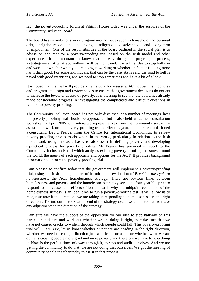fact, the poverty-proofing forum at Pilgrim House today was under the auspices of the Community Inclusion Board.

The board has an ambitious work program around issues such as household and personal debt, neighbourhood and belonging, indigenous disadvantage and long-term unemployment. One of the responsibilities of the board outlined in the social plan is to advise on and monitor a poverty-proofing trial based on the Irish model and other experiences. It is important to know that halfway through a program, a process, a strategy—call it what you will—it will be monitored. It is a fine idea to stop halfway and work out whether what you are doing is working or whether, in fact, it is doing more harm than good. For some individuals, that can be the case. As is said, the road to hell is paved with good intentions, and we need to stop sometimes and have a bit of a look.

It is hoped that the trial will provide a framework for assessing ACT government policies and programs at design and review stages to ensure that government decisions do not act to increase the levels or causes of poverty. It is pleasing to see that the board has already made considerable progress in investigating the complicated and difficult questions in relation to poverty proofing.

The Community Inclusion Board has not only discussed, at a number of meetings, how the poverty-proofing trial should be approached but it also held an earlier consultation workshop in April 2005 with interested representatives from the community sector. To assist in its work on the poverty-proofing trial earlier this year, the board commissioned a consultant, David Pearce, from the Centre for International Economics, to review poverty-proofing processes elsewhere in the world, particularly in relation to the Irish model, and, using this as a basis, to also assist in defining poverty and developing a practical process for poverty proofing. Mr Pearce has provided a report to the Community Inclusion Board which analyses existing poverty-proofing measures around the world, the merits of each approach, and options for the ACT. It provides background information to inform the poverty-proofing trial.

I am pleased to confirm today that the government will implement a poverty-proofing trial, using the Irish model, as part of its mid-point evaluation of *Breaking the cycle of homelessness*, the ACT homelessness strategy. There are obvious links between homelessness and poverty, and the homelessness strategy sets out a four-year blueprint to respond to the causes and effects of both. That is why the midpoint evaluation of the homelessness strategy is an ideal time to run a poverty-proofing test. It will allow us to recognise now if the directions we are taking in responding to homelessness are the right directions. To find out in 2007, at the end of the strategy cycle, would be too late to make any adjustments to the direction of the strategy.

I am sure we have the support of the opposition for our idea to stop halfway on this particular initiative and work out whether we are doing it right, to make sure that we have not caused cracks to widen, through which people could fall. This poverty-proofing trial will, I am sure, let us know whether or not we are heading in the right direction, whether we need to change direction just a little bit or a lot, or whether what we are doing is causing people more grief and more poverty and therefore we have to stop doing it. Now is the perfect time, midway through it, to stop and audit ourselves. And we are getting the community to do that; we are not doing that ourselves. We got the meeting of community people together today to assist in that process.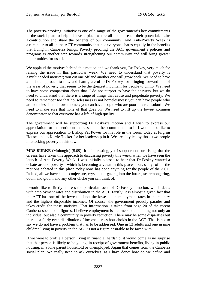The poverty-proofing initiative is one of a range of the government's key commitments in the social plan to help achieve a place where all people reach their potential, make a contribution and share the benefits of our community. And Anti-Poverty Week is a reminder to all in the ACT community that not everyone shares equally in the benefits that living in Canberra brings. Poverty proofing the ACT government's policies and programs is another step towards strengthening our community and will bring greater opportunities for us all.

We applaud the motives behind this motion and we thank you, Dr Foskey, very much for raising the issue in this particular week. We need to understand that poverty is a multiheaded monster; you cut one off and another one will grow back. We need to have a holistic approach to this, and I am grateful to Dr Foskey for bringing forward one of the areas of poverty that seems to be the greatest mountain for people to climb. We need to have some compassion about that. I do not purport to have the answers, but we do need to understand that there is a range of things that cause and perpetuate poverty. We need to remember too that houselessness is not homelessness; you can have people who are homeless in their own homes; you can have people who are poor in a rich suburb. We need to make sure that none of that goes on. We need to lift up the lowest common denominator so that everyone has a life of high quality.

The government will be supporting Dr Foskey's motion and I wish to express our appreciation for the sentiment expressed and her commitment to it. I would also like to express our appreciation to Bishop Pat Power for his role in the forum today at Pilgrim House, and to Kerrie Tucker for her leadership in it. We are ably led by those two people in attacking poverty in this town.

**MRS BURKE** (Molonglo) (5.09): It is interesting, yet I suppose not surprising, that the Greens have taken this approach to discussing poverty this week, when we have seen the launch of Anti-Poverty Week. I was initially pleased to hear that Dr Foskey wanted a debate around poverty—which is becoming a yawn in this place—but, sadly, of all the motions debated in this place today none has done anything for the people of the ACT. Indeed, all we have had is conjecture, crystal ball-gazing into the future, scaremongering, doom and gloom and any other cliché you can think of.

I would like to firstly address the particular focus of Dr Foskey's motion, which deals with employment rates and distribution in the ACT. Firstly, it is almost a given fact that the ACT has one of the lowest—if not the lowest—unemployment rates in the country and the highest disposable incomes. Of course, the government proudly parades and takes credit for these statistics. That information is taken from page 20 of the recent Canberra social plan figures. I believe employment is a cornerstone in aiding not only an individual but also a community in poverty reduction. There may be some disparities but there is a fairly even distribution of income across households in the ACT. That is not to say we do not have a problem that has to be addressed. One in 13 adults and one in nine children living in poverty in the ACT is not a figure desirable to be faced with.

If we were to profile a person living in financial hardship, it would come as no surprise that that person is likely to be young, in receipt of government benefits, living in public housing, in a lone parent household or unemployed. Again that comes from the Canberra social plan. We really need to ask ourselves, as I have done: how do we define and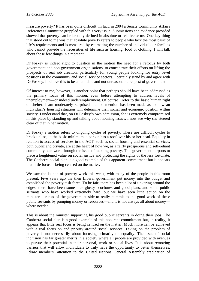measure poverty? It has been quite difficult. In fact, in 2004 a Senate Community Affairs References Committee grappled with this very issue. Submissions and evidence provided showed that poverty can be broadly defined in absolute or relative terms. One key thing that stood out to me was that absolute poverty refers to people who lack the most basic of life's requirements and is measured by estimating the number of individuals or families who cannot provide the necessities of life such as housing, food or clothing. I will talk about those few things in a moment.

Dr Foskey is indeed right to question in the motion the need for a refocus by both government and non-government organisations, to concentrate their efforts on lifting the prospects of real job creation, particularly for young people looking for entry level positions in the community and social service sectors. I certainly stand by and agree with Dr Foskey. I believe this to be an amiable and not unreasonable request of government.

Of interest to me, however, is another point that perhaps should have been addressed as the primary focus of this motion, even before attempting to address levels of unemployment—or indeed underemployment. Of course I refer to the basic human right of shelter. I am moderately surprised that no mention has been made as to how an individual's housing situation will determine their social and economic position within society. I understand that, on Dr Foskey's own admission, she is extremely compromised in this place by standing up and talking about housing issues. I now see why she steered clear of that in her motion.

Dr Foskey's motion refers to ongoing cycles of poverty. These are difficult cycles to break unless, at the basic minimum, a person has a roof over his or her head. Equality in relation to access of services in the ACT, such as social housing and essential services, both public and private, are at the heart of how we, as a fairly prosperous and self-reliant community, can work through the issue of tackling poverty. This government purports to place a heightened value on social justice and protecting the rights of the less fortunate. The Canberra social plan is a good example of this apparent commitment but it appears that little focus is being centred on the matter.

We saw the launch of poverty week this week, with many of the people in this room present. Five years ago the then Liberal government put money into the budget and established the poverty task force. To be fair, there has been a lot of tinkering around the edges; there have been some nice glossy brochures and good plans, and some public servants who have worked extremely hard, but we have seen little action on the ministerial ranks of the government side to really commit to the good work of these public servants by pumping money or resources—and it is not always all about money where needed.

This is about the minister supporting his good public servants in doing their jobs. The Canberra social plan is a good example of this apparent commitment but, in reality, it appears that little real focus is being centred on the matter. Much more can be achieved with a real focus on and priority around social services. Taking on the problem of poverty is not necessarily about focusing primarily on equality. The issue of social inclusion has far greater merits in a society where all people are provided with avenues to pursue their potential in their personal, work or social lives. It is about removing barriers that will allow individuals to truly have the opportunity to better themselves. I draw members' attention to the United Nations General Assembly eradication of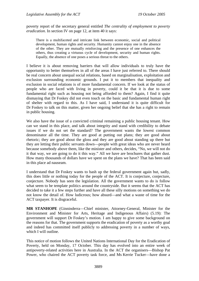poverty report of the secretary general entitled *The centrality of employment to poverty eradication*. In section IV on page 12, at item 40 it says:

There is a multifaceted and intricate link between economic, social and political development, human rights and security. Humanity cannot enjoy one in the absence of the other. They are mutually reinforcing and the presence of one enhances the others, thus creating a virtuous cycle of development, security and human rights. Equally, the absence of one poses a serious threat to the others.

I believe it is about removing barriers that will allow individuals to truly have the opportunity to better themselves in all of the areas I have just referred to. There should be real concern about unequal social relations, based on marginalisation, exploitation and exclusion surrounding economic grounds. I put it to members that inequality and exclusion in social relations is of more fundamental concern. If we look at the status of people who are faced with living in poverty, could it be that it is due to some fundamental right such as housing not being afforded to them? Again, I find it quite dismaying that Dr Foskey did not even touch on the basic and fundamental human right of shelter with regard to this. As I have said, I understand it is quite difficult for Dr Foskey to talk on this matter, given her ongoing belief that she has a right to remain in public housing.

We also have the issue of a convicted criminal remaining a public housing tenant. How can we stand in this place, and talk about integrity and stand with credibility to debate issues if we do not set the standard? The government wants the lowest common denominator all the time. They are good at putting out plans; they are good about rhetoric; they are good about the gloss and they are good about standing up there but they are letting their public servants down—people with great ideas who are never heard because somebody above them, like the minister and others, decides, "No, we will not do it that way, we are going to do it this way." All we have are brochures that gather dust. How many thousands of dollars have we spent on the plans we have? That has been said in this place ad nauseam.

I understand that Dr Foskey wants to bash up the federal government again but, sadly, this does little or nothing today for the people of the ACT. It is conjecture, conjecture, conjecture. Nobody has seen the legislation. All the government wants to do is follow what seem to be template politics around the countryside. But it seems that the ACT has decided to take it a few steps further and have all these silly motions on something we do not know the detail of. How ludicrous; how absurd—and what a waste of time for the ACT taxpayer. It is disgraceful.

**MR STANHOPE** (Ginninderra—Chief minister, Attorney-General, Minister for the Environment and Minister for Arts, Heritage and Indigenous Affairs) (5.19): The government will support Dr Foskey's motion. I am happy to give some background on the reasons for that. The government supports the eradication of poverty as a worthy goal and indeed has committed itself publicly to addressing poverty in a number of ways, which I will outline.

This notice of motion follows the United Nations International Day for the Eradication of Poverty, held on Monday, 17 October. This day has evolved into an entire week of antipoverty-related activities here in Australia. In the ACT the organisers—Bishop Pat Power, who chaired the ACT poverty task force, and Ms Kerrie Tucker—have done a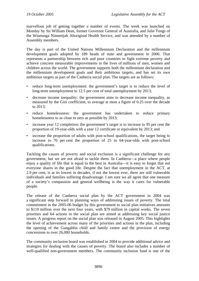marvellous job of getting together a number of events. The week was launched on Monday by Sir William Dean, former Governor General of Australia, and Julie Tongs of the Winnunga Nimmitjah Aboriginal Health Service, and was attended by a number of Assembly members.

The day is part of the United Nations Millennium Declaration and the millennium development goals adopted by 189 heads of state and government in 2000. That represents a partnership between rich and poor countries to fight extreme poverty and achieve concrete measurable improvements in the lives of millions of men, women and children across the world. The government supports both the millennium declaration and the millennium development goals and their ambitious targets, and has set its own ambitious targets as part of the Canberra social plan. The targets are as follows:

- reduce long-term unemployment: the government's target is to reduce the level of long-term unemployment to 12.5 per cent of total unemployment by 2013;
- decrease income inequality: the government aims to decrease income inequality, as measured by the Gini coefficient, to average at most a figure of 0.25 over the decade to 2013;
- reduce homelessness: the government has undertaken to reduce primary homelessness to as close to zero as possible by 2013;
- increase year 12 completion: the government's target is to increase to 95 per cent the proportion of 19-year-olds with a year 12 certificate or equivalent by 2013; and
- increase the proportion of adults with post-school qualifications, the target being to increase to 70 per cent the proportion of 25 to 64-year-olds with post-school qualifications.

Tackling the causes of poverty and social exclusion is a significant challenge for any government, but we are not afraid to tackle them. In Canberra—a place where people enjoy a quality of life that is equal to the best in Australia—it is easy to forget that not everyone shares in the good life. Despite the fact that unemployment in the ACT, at 2.9 per cent, is at its lowest in decades, if not the lowest ever, there are still vulnerable individuals and families suffering disadvantage. I am sure we all agree that one measure of a society's compassion and general wellbeing is the way it cares for vulnerable people.

The release of the Canberra social plan by the ACT government in 2004 was a significant step forward in planning ways of addressing issues of poverty. The total commitment in the 2005-06 budget by this government to social plan initiatives amounts to \$110 million over the next four years, with \$79 million in capital works. The seven priorities and 64 actions in the social plan are aimed at addressing key social justice issues. A progress report on the social plan was released in August 2005. This highlights the level of achievement across many of the priorities and actions in the plan, including the opening of the Gungahlin child and family centre and the provision of energy concessions to over 26,000 households.

The community inclusion board was established in 2004 to provide additional advice and strategies for dealing with the causes of poverty. The board also includes a number of well-qualified non-government members. The community inclusion fund is one of the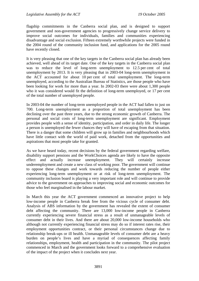flagship commitments in the Canberra social plan, and is designed to support government and non-government agencies to progressively change service delivery to improve social outcomes for individuals, families and communities experiencing disadvantage and social exclusion. Fifteen extremely worthwhile projects were funded in the 2004 round of the community inclusion fund, and applications for the 2005 round have recently closed.

It is very pleasing that one of the key targets in the Canberra social plan has already been achieved, well ahead of its target date. One of the key targets in the Canberra social plan was to reduce the level of long-term unemployment to 12.5 per cent of total unemployment by 2013. It is very pleasing that in 2003-04 long-term unemployment in the ACT accounted for about 10 per cent of total unemployment. The long-term unemployed, according to the Australian Bureau of Statistics, are those people who have been looking for work for more than a year. In 2002-03 there were about 1,300 people who it was considered would fit the definition of long-term unemployed, or 17 per cent of the total number of unemployed people.

In 2003-04 the number of long-term unemployed people in the ACT had fallen to just on 700. Long-term unemployment as a proportion of total unemployment has been declining over the past three years, due to the strong economic growth of Canberra. The personal and social costs of long-term unemployment are significant. Employment provides people with a sense of identity, participation, and order in daily life. The longer a person is unemployed the fewer chances they will have of escaping from that situation. There is a danger that some children will grow up in families and neighbourhoods which have little contact with the world of paid work, detached from the opportunities and aspirations that most people take for granted.

As we have heard today, recent decisions by the federal government regarding welfare, disability support pensions and the WorkChoices agenda are likely to have the opposite effect and actually increase unemployment. They will certainly increase underemployment and create a new class of working poor. The government will continue to oppose these changes and work towards reducing the number of people either experiencing long-term unemployment or at risk of long-term unemployment. The community inclusion board is playing a very important role and will continue to provide advice to the government on approaches to improving social and economic outcomes for those who feel marginalised in the labour market.

In March this year the ACT government commenced an innovative project to help low-income people in Canberra break free from the vicious cycle of consumer debt. Analysis of ABS information by the government has revealed the extent of consumer debt affecting the community. There are 13,000 low-income people in Canberra currently experiencing severe financial stress as a result of unmanageable levels of consumer debt in their lives. And there are about 20,000 low-income households who although not currently experiencing financial stress may do so if interest rates rise, their employment opportunities contract, or their personal circumstances change due to relationship break-ups or ill health. Unmanageable levels of consumer debt are a heavy burden on people's lives and have a myriad of consequences affecting family relationships, employment, health and participation in the community. The pilot project commenced in March and the government looks forward to a comprehensive evaluation of the impact of the project when it concludes next year.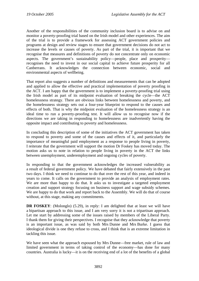Another of the responsibilities of the community inclusion board is to advise on and monitor a poverty-proofing trial based on the Irish model and other experiences. The aim of the trial is to provide a framework for assessing ACT government policies and programs at design and review stages to ensure that government decisions do not act to increase the levels or causes of poverty. As part of the trial, it is important that we recognise that measures and definitions of poverty do not concentrate only on economic aspects. The government's sustainability policy—people, place and prosperity recognises the need to invest in our social capital to achieve future prosperity for all Canberrans. It acknowledges the connection between economic, social and environmental aspects of wellbeing.

That report also suggests a number of definitions and measurements that can be adopted and applied to allow the effective and practical implementation of poverty proofing in the ACT. I am happy that the government is to implement a poverty-proofing trial using the Irish model as part of its midpoint evaluation of breaking the cycle—the ACT homelessness strategy. There are obvious links between homelessness and poverty, and the homelessness strategy sets out a four-year blueprint to respond to the causes and effects of both. That is why the midpoint evaluation of the homelessness strategy is an ideal time to run a poverty-proofing test. It will allow us to recognise now if the directions we are taking in responding to homelessness are inadvertently having the opposite impact and contributing to poverty and homelessness.

In concluding this description of some of the initiatives the ACT government has taken to respond to poverty and some of the causes and effects of it, and particularly the importance of meaningful paid employment as a response to people living in poverty, I reiterate that the government will support the motion Dr Foskey has moved today. The motion asks us to note in relation to people living in poverty in the ACT the links between unemployment, underemployment and ongoing cycles of poverty.

In responding to that the government acknowledges the increased vulnerability as a result of federal government policy. We have debated that fairly extensively in the past two days. I think we need to continue to do that over the rest of this year, and indeed in years to come. It calls on the government to provide an analysis of employment rates. We are more than happy to do that. It asks us to investigate a targeted employment creation and support strategy focusing on business support and wage subsidy schemes. We are happy to do that work and report back to the Assembly. We will do that of course without, at this stage, making any commitments.

**DR FOSKEY**: (Molonglo) (5.29), in reply: I am delighted that at least we will have a bipartisan approach to this issue, and I am very sorry it is not a tripartisan approach. Let me start by addressing some of the issues raised by members of the Liberal Party. I thank them for giving their perspectives. I recognise that they acknowledge that poverty is an important issue, as was said by both Mrs Dunne and Mrs Burke. I guess that ideological divide is one they refuse to cross, and I think that is an extreme limitation in tackling this issue.

We have seen what the approach espoused by Mrs Dunne—free market, rule of law and limited government in terms of taking control of the economy—has done for many countries. Australia is lucky—it is on the receiving end of a lot of the benefits of a global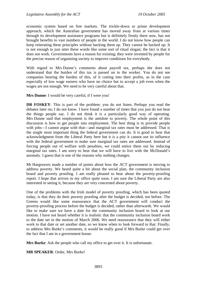economic system based on free markets. The trickle-down or prime development approach, which the Australian government has moved away from at various times through its development assistance programs but is definitely firmly there now, has not brought benefits to vast numbers of people in the world. I do not know how people can keep reiterating these principles without backing them up. They cannot be backed up. It is not enough to just utter these words like some sort of ritual slogan; the fact is that it does not work. Governments have a reason for existing; they were invented by people for the precise reason of organising society to improve conditions for everybody.

With regard to Mrs Dunne's comments about payroll tax, perhaps she does not understand that the burden of this tax is passed on to the worker. You do not see companies bearing the burden of this, of it cutting into their profits, as in the case especially of low wage earners who have no choice but to accept a job even when the wages are not enough. We need to be very careful about that.

**Mrs Dunne**: I would be very careful, if I were you!

**DR FOSKEY**: This is part of the problem: you do not listen. Perhaps you read the debates later on; I do not know. I have found a number of times that you just do not hear the things people say. I do not think it is a particularly good way of operating. Mrs Dunne said that employment is the antidote to poverty. The whole point of this discussion is how to get people into employment. The best thing is to provide people with jobs—I cannot argue with that—and marginal tax rates must be addressed. That is the single most important thing the federal government can do. It is good to hear that acknowledgment from the Liberal Party here but it is a pity it cannot use its influence with the federal government to make sure marginal tax rates are addressed. Instead of forcing people out of welfare with penalties, we could entice them out by reducing marginal tax rates. I am sorry to hear that we will have to live with the McDonald's anomaly. I guess that is one of the reasons why nothing changes.

Mr Hargreaves made a number of points about how the ACT government is moving to address poverty. We heard quite a bit about the social plan, the community inclusion board and poverty proofing. I am really pleased to hear about the poverty-proofing report. I hope that arrives in my office quite soon. I am sure the Liberal Party are also interested in seeing it, because they are very concerned about poverty.

One of the problems with the Irish model of poverty proofing, which has been quoted today, is that they do their poverty proofing after the budget is decided, not before. The Greens would like some reassurance that the ACT government will conduct the poverty-proofing process before the budget is decided, rather than afterwards. We would like to make sure we have a date for the community inclusion board to look at our motion. I have not heard whether it is realistic that the community inclusion board work to the date set in the motion of March 2006. We need reassurance that they will either work to that date or set another date, so we know when to look forward to that. Finally, to address Mrs Burke's comments, it would be really good if Mrs Burke could get over the fact that I am in a government house.

**Mrs Burke**: Ask the people who call my office to get over it. It is unfortunate.

**MR SPEAKER**: Order, Mrs Burke!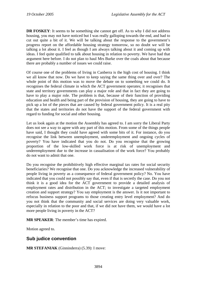**DR FOSKEY**: It seems to be something she cannot get off. As to why I did not address housing, you may not have noticed but I was really galloping towards the end, and had to cut out quite a bit of it. We will be talking about the response to the government's progress report on the affordable housing strategy tomorrow, so no doubt we will be talking a lot about it. I feel as though I am always talking about it and coming up with ideas. I feel quite qualified to talk about housing in relation to poverty. We have had that argument here before. I do not plan to haul Mrs Burke over the coals about that because there are probably a number of issues we could raise.

Of course one of the problems of living in Canberra is the high cost of housing. I think we all know that now. Do we have to keep saying the same thing over and over? The whole point of this motion was to move the debate on to something we could do. It recognises the federal climate in which the ACT government operates; it recognises that state and territory governments can play a major role and that in fact they are going to have to play a major role. The problem is that, because of their function of providing education and health and being part of the provision of housing, they are going to have to pick up a lot of the pieces that are caused by federal government policy. It is a real pity that the states and territories do not have the support of the federal government with regard to funding for social and other housing.

Let us look again at the motion the Assembly has agreed to. I am sorry the Liberal Party does not see a way to agree with any part of this motion. From some of the things people have said, I thought they could have agreed with some bits of it. For instance, do you recognise the link between unemployment, underemployment and ongoing cycles of poverty? You have indicated that you do not. Do you recognise that the growing proportion of the low-skilled work force is at risk of unemployment and underemployment due to the increase in casualisation of the work force? You probably do not want to admit that one.

Do you recognise the prohibitively high effective marginal tax rates for social security beneficiaries? We recognise that one. Do you acknowledge the increased vulnerability of people living in poverty as a consequence of federal government policy? No. You have indicated that you could not possibly say that, even if that is secretly the case. Do you not think it is a good idea for the ACT government to provide a detailed analysis of employment rates and distribution in the ACT; to investigate a targeted employment creation and support strategy? You say employment is the answer. Is it not important to refocus business support programs to those creating entry level employment? And do you not think that the community and social services are doing very valuable work, especially in relation to the poor and that, if we did not have them, we would have a lot more people living in poverty in the ACT?

**MR SPEAKER**: The member's time has expired.

Motion agreed to.

## **Sub judice convention**

**MR STEFANIAK** (Ginninderra) (5.39): I move: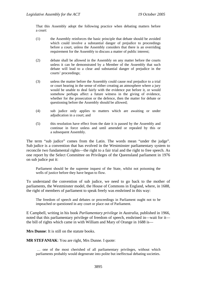That this Assembly adopt the following practice when debating matters before a court:

- (1) the Assembly reinforces the basic principle that debate should be avoided which could involve a substantial danger of prejudice to proceedings before a court, unless the Assembly considers that there is an overriding requirement for the Assembly to discuss a matter of public interest;
- (2) debate shall be allowed in the Assembly on any matter before the courts unless it can be demonstrated by a Member of the Assembly that such debate will lead to a clear and substantial danger of prejudice in the courts' proceedings;
- (3) unless the matter before the Assembly could cause real prejudice to a trial or court hearing in the sense of either creating an atmosphere where a jury would be unable to deal fairly with the evidence put before it, or would somehow perhaps affect a future witness in the giving of evidence, whether for the prosecution or the defence, then the matter for debate or questioning before the Assembly should be allowed;
- (4) sub judice only applies to matters which are awaiting or under adjudication in a court; and
- (5) this resolution have effect from the date it is passed by the Assembly and continue in force unless and until amended or repealed by this or a subsequent Assembly.

The term "sub judice" comes from the Latin. The words mean "under the judge". Sub judice is a convention that has evolved in the Westminster parliamentary system to reconcile two fundamental rights—the right to a fair trial and the right to free speech. As one report by the Select Committee on Privileges of the Queensland parliament in 1976 on sub judice put it:

Parliament should be the supreme inquest of the State, whilst not poisoning the wells of justice before they have begun to flow.

To understand the convention of sub judice, we need to go back to the mother of parliaments, the Westminster model, the House of Commons in England, where, in 1688, the right of members of parliament to speak freely was enshrined in this way:

The freedom of speech and debates or proceedings in Parliament ought not to be impeached or questioned in any court or place out of Parliament.

E Campbell, writing in his book *Parliamentary privilege in Australia*, published in 1966, noted that this parliamentary privilege of freedom of speech, enshrined in—wait for it the bill of rights which came in with William and Mary of Orange in 1688 is—

**Mrs Dunne**: It is still on the statute books.

**MR STEFANIAK**: You are right, Mrs Dunne. I quote:

 … one of the most cherished of all parliamentary privileges, without which parliaments probably would degenerate into polite but ineffectual debating societies.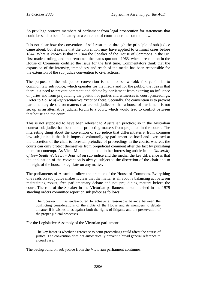So privilege protects members of parliament from legal prosecution for statements that could be said to be defamatory or a contempt of court under the common law.

It is not clear how the convention of self-restriction through the principle of sub judice came about, but it seems that the convention may have applied to criminal cases before 1844. What is known is that in 1844 the Speaker of the House of Commons in the UK first made a ruling, and that remained the status quo until 1963, when a resolution in the House of Commons codified the issue for the first time. Commentators think that the expansion of the intensity, immediacy and reach of the media has been responsible for the extension of the sub judice convention to civil actions.

The purpose of the sub judice convention is held to be twofold: firstly, similar to common law sub judice, which operates for the media and for the public, the idea is that there is a need to prevent comment and debate by parliament from exerting an influence on juries and from prejudicing the position of parties and witnesses in court proceedings. I refer to *House of Representatives Practice* there. Secondly, the convention is to prevent parliamentary debate on matters that are sub judice so that a house of parliament is not set up as an alternative judicial forum to a court, which would lead to conflict between that house and the court.

This is not supposed to have been relevant to Australian practice; so in the Australian context sub judice has been about protecting matters from prejudice in the courts. The interesting thing about the convention of sub judice that differentiates it from common law sub judice is that it is imposed voluntarily by parliament on itself and exercised at the discretion of the chair to forestall prejudice of proceedings in the courts, whereas the courts can only protect themselves from prejudicial comment after the fact by punishing them for contempt. As Vicki Mullen points out in her interesting article in the *University of New South Wales Law Journal* on sub judice and the media, the key difference is that the application of the convention is always subject to the discretion of the chair and to the right of the house to legislate on any matter.

The parliaments of Australia follow the practice of the House of Commons. Everything one reads on sub judice makes it clear that the matter is all about a balancing act between maintaining robust, free parliamentary debate and not prejudicing matters before the court. The role of the Speaker in the Victorian parliament is summarised in the 1979 standing orders committee report on sub judice as follows:

The Speaker … has endeavoured to achieve a reasonable balance between the conflicting considerations of the rights of the House and its members to debate a matter if it wishes to as against both the rights of litigants and the preservation of the proper judicial processes.

For the Legislative Assembly of the Victorian parliament:

The key factor is whether a reference to court proceedings could affect the course of justice. The convention does not automatically prevent a broad general reference to a court case.

The background on sub judice from the Victorian parliament continues: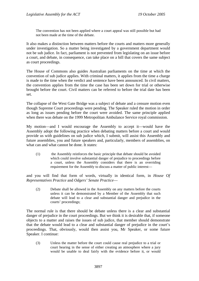The convention has not been applied where a court appeal was still possible but had not been made at the time of the debate.

It also makes a distinction between matters before the courts and matters more generally under investigation. So a matter being investigated by a government department would not be sub judice. In fact, parliament is not prevented from legislating on an issue before a court, and debate, in consequence, can take place on a bill that covers the same subject as court proceedings.

The House of Commons also guides Australian parliaments on the time at which the convention of sub judice applies. With criminal matters, it applies from the time a charge is made to the time when the verdict and sentence have been announced. In civil matters, the convention applies from the time the case has been set down for trial or otherwise brought before the court. Civil matters can be referred to before the trial date has been set.

The collapse of the West Gate Bridge was a subject of debate and a censure motion even though Supreme Court proceedings were pending. The Speaker ruled the motion in order as long as issues pending before the court were avoided. The same principle applied when there was debate on the 1999 Metropolitan Ambulance Service royal commission.

My motion—and I would encourage the Assembly to accept it—would have the Assembly adopt the following practice when debating matters before a court and would provide us with guidelines on sub judice which, I submit, will assist this Assembly and future assemblies, you and future speakers and, particularly, members of assemblies, on what can and what cannot be done. It states:

(1) the Assembly reinforces the basic principle that debate should be avoided which could involve substantial danger of prejudice to proceedings before a court, unless the Assembly considers that there is an overriding requirement for the Assembly to discuss a matter of public interest—

and you will find that form of words, virtually in identical form, in *House Of Representatives Practice* and *Odgers' Senate Practice*—

(2) Debate shall be allowed in the Assembly on any matters before the courts unless it can be demonstrated by a Member of the Assembly that such debate will lead to a clear and substantial danger and prejudice in the courts' proceedings;

The normal rule is that there should be debate unless there is a clear and substantial danger of prejudice in the court proceedings. But we think it is desirable that, if someone objects to a matter and raises the issues of sub judice, that member should demonstrate that the debate would lead to a clear and substantial danger of prejudice in the court's proceedings. That, obviously, would then assist you, Mr Speaker, or some future Speaker. I continue:

(3) Unless the matter before the court could cause real prejudice to a trial or court hearing in the sense of either creating an atmosphere where a jury would be unable to deal fairly with the evidence before it, or would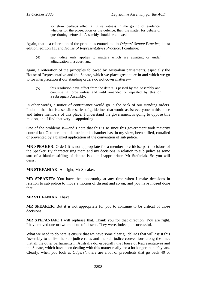somehow perhaps affect a future witness in the giving of evidence, whether for the prosecution or the defence, then the matter for debate or questioning before the Assembly should be allowed;

Again, that is a reiteration of the principles enunciated in *Odgers' Senate Practice*, latest edition, edition 11, and *House of Representatives Practice*. I continue:

(4) sub judice only applies to matters which are awaiting or under adjudication in a court; and

again, a reiteration of the principles followed by Australian parliaments, especially the House of Representative and the Senate, which we place great store in and which we go to for interpretation if our standing orders do not cover matters—

(5) this resolution have effect from the date it is passed by the Assembly and continue in force unless and until amended or repealed by this or a subsequent Assembly.

In other words, a notice of continuance would go in the back of our standing orders. I submit that that is a sensible series of guidelines that would assist everyone in this place and future members of this place. I understand the government is going to oppose this motion, and I find that very disappointing.

One of the problems is—and I note that this is so since this government took majority control last October—that debate in this chamber has, in my view, been stifled, curtailed or prevented by a blanket application of the convention of sub judice.

**MR SPEAKER**: Order! It is not appropriate for a member to criticise past decisions of the Speaker. By characterising them and my decisions in relation to sub judice as some sort of a blanket stifling of debate is quite inappropriate, Mr Stefaniak. So you will desist.

**MR STEFANIAK**: All right, Mr Speaker.

**MR SPEAKER**: You have the opportunity at any time when I make decisions in relation to sub judice to move a motion of dissent and so on, and you have indeed done that.

#### **MR STEFANIAK**: I have.

**MR SPEAKER**: But it is not appropriate for you to continue to be critical of those decisions.

**MR STEFANIAK**: I will rephrase that. Thank you for that direction. You are right. I have moved one or two motions of dissent. They were, indeed, unsuccessful.

What we need to do here is ensure that we have some clear guidelines that will assist this Assembly to utilise the sub judice rules and the sub judice conventions along the lines that all the other parliaments in Australia do, especially the House of Representatives and the Senate, which have been dealing with this matter really for a lot longer than 40 years. Clearly, when you look at *Odgers'*, there are a lot of precedents that go back 40 or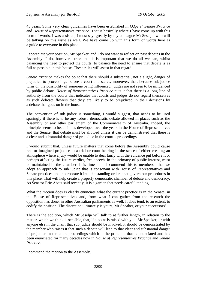45 years. Some very clear guidelines have been established in *Odgers' Senate Practice* and *House of Representatives Practice*. That is basically where I have come up with this form of words. I was assisted, I must say, greatly by my colleague Mr Seselja, who will be talking on this issue as well. We have come up with this form of words here as a guide to everyone in this place.

I appreciate your position, Mr Speaker, and I do not want to reflect on past debates in the Assembly. I do, however, stress that it is important that we do all we can, whilst balancing the need to protect the courts, to balance the need to ensure that debate is as full as possible in this house. These rules will assist in that regard.

*Senate Practice* makes the point that there should a substantial, not a slight, danger of prejudice to proceedings before a court and states, moreover, that, because sub judice turns on the possibility of someone being influenced, judges are not seen to be influenced by public debate. *House of Representatives Practice* puts it that there is a long line of authority from the courts that indicates that courts and judges do not regard themselves as such delicate flowers that they are likely to be prejudiced in their decisions by a debate that goes on in the house.

The convention of sub judice is something, I would suggest, that needs to be used sparingly if there is to be any robust, democratic debate allowed in places such as the Assembly or any other parliament of the Commonwealth of Australia. Indeed, the principle seems to be, as it has developed over the years in the House of Representatives and the Senate, that debate must be allowed unless it can be demonstrated that there is a clear and substantial danger of prejudice in the court's proceedings.

I would submit that, unless future matters that come before the Assembly could cause real or imagined prejudice to a trial or court hearing in the sense of either creating an atmosphere where a jury would be unable to deal fairly with the evidence put before it or perhaps affecting the future verdict, free speech, in the primacy of public interest, must be maintained in the chamber. It is time—and I commend this to members—that we adopt an approach to sub judice that is consonant with House of Representatives and Senate practices and incorporate it into the standing orders that govern our procedures in this place. That will help create a properly democratic chamber of debate and democracy. As Senator Eric Abetz said recently, it is a garden that needs careful tending.

What the motion does is clearly enunciate what the current practice is in the Senate, in the House of Representatives and, from what I can gather from the research the opposition has done, in other Australian parliaments as well. It does tend, to an extent, to codify the position. The discretion ultimately is yours, Mr Speaker, or your successors'.

There is the addition, which Mr Seselja will talk to at further length, in relation to the matter, which we think is sensible, that, if a point is raised with you, Mr Speaker, or with anyone else in the chair, that sub judice should be invoked, it should be demonstrated by the member who raises it that such a debate will lead to that clear and substantial danger of prejudice in the court proceedings which is the principle that is enunciated and has been enunciated for many decades now in *House of Representatives Practice* and *Senate Practice*.

I commend the motion to the Assembly.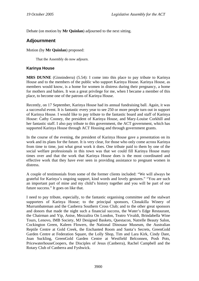Debate (on motion by **Mr Quinlan**) adjourned to the next sitting.

# **Adjournment**

Motion (by **Mr Quinlan**) proposed:

That the Assembly do now adjourn.

#### **Karinya House**

**MRS DUNNE** (Ginninderra) (5.54): I come into this place to pay tribute to Karinya House and to the members of the public who support Karinya House. Karinya House, as members would know, is a home for women in distress during their pregnancy, a home for mothers and babies. It was a great privilege for me, when I became a member of this place, to become one of the patrons of Karinya House.

Recently, on 17 September, Karinya House had its annual fundraising ball. Again, it was a successful event. It is fantastic every year to see 250 or more people turn out in support of Karinya House. I would like to pay tribute to the fantastic board and staff of Karinya House: Cathy Cooney, the president of Karinya House, and Mary-Louise Corkhill and her fantastic staff. I also pay tribute to this government, the ACT government, which has supported Karinya House through ACT Housing and through government grants.

In the course of the evening, the president of Karinya House gave a presentation on its work and its plans for the future. It is very clear, for those who only come across Karinya from time to time, just what great work it does. One tribute paid to them by one of the social welfare professionals in this town was that we could fill Karinya House many times over and that the work that Karinya House does is the most coordinated and effective work that they have ever seen in providing assistance to pregnant women in distress.

A couple of testimonials from some of the former clients included: "We will always be grateful for Karinya's ongoing support, kind words and lovely gestures." "You are such an important part of mine and my child's history together and you will be part of our future success." It goes on like that.

I need to pay tribute, especially, to the fantastic organising committee and the stalwart supporters of Karinya House; to the principal sponsors, Clonakilla Winery of Murrumbateman and the Canberra Southern Cross Club; and to the other great sponsors and donors that made the night such a financial success, the Water's Edge Restaurant, the Chairman and Yip, Anise, Mezzalira On London, Teatro Vivaldi, Brindabella Wine Tours, Lenovo, IMB Society, MJ Designed Baskets, Questacon, Natrelle Beauty Salon, Cockington Green, Kaleen Flowers, the National Dinosaur Museum, the Australian Reptile Centre at Gold Creek, the Enchanted Room and Santa's Secrets, GreenGold Garden Centre at Federation Square, the Lolly Shop, Tim and Lara Kirk, Cindy Dare, Joan Suckling, GreenGold Garden Centre at Westfield Belconnen, Posh Pots, PricewaterhouseCoopers, the Disciples of Jesus (Canberra), Rachel Campbell and the Rotary Club of Canberra and Fyshwick.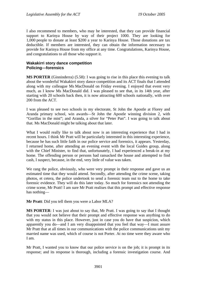I also recommend to members, who may be interested, that they can provide financial support to Karinya House by way of their project 1000. They are looking for 1,000 people to donate at least \$200 a year to Karinya House. Those donations are tax deductible. If members are interested, they can obtain the information necessary to provide for Karinya House from my office at any time. Congratulations, Karinya House, and congratulations to all those who support it.

#### **Wakakirri story dance competition Policing—forensics**

**MS PORTER** (Ginninderra) (5.58): I was going to rise in this place this evening to talk about the wonderful Wakakirri story dance competition and its ACT finals that I attended along with my colleague Ms MacDonald on Friday evening. I enjoyed that event very much, as I know Ms MacDonald did. I was pleased to see that, in its 14th year, after starting with 20 schools back then, it is now attracting 600 schools nationally, with over 200 from the ACT.

I was pleased to see two schools in my electorate, St John the Apostle at Florey and Aranda primary school, win awards—St John the Apostle winning division 2, with "Gorillas in the mist"; and Aranda, a silver for "Peter Pan". I was going to talk about that. Ms MacDonald might be talking about that later.

What I would really like to talk about now is an interesting experience that I had in recent hours. I think Mr Pratt will be particularly interested in this interesting experience, because he has such little faith in our police service and forensics, it appears. Yesterday, I returned home, after attending an evening event with the local Guides group, along with the Chief Minister, to find that, unfortunately, I had experienced a break-in at my home. The offending person or persons had ransacked the house and attempted to find cash, I suspect, because, in the end, very little of value was taken.

We rang the police, obviously, who were very prompt in their response and gave us an estimated time that they would attend. Secondly, after attending the crime scene, taking photos, et cetera, the police undertook to send a forensic team out to the home to take forensic evidence. They will do this later today. So much for forensics not attending the crime scene, Mr Pratt! I am sure Mr Pratt realises that this prompt and effective response has nothing—

**Mr Pratt**: Did you tell them you were a Labor MLA?

**MS PORTER**: I was just about to say that, Mr Pratt. I was going to say that I thought that you would not believe that their prompt and effective response was anything to do with my status in this place. However, just in case you do have that suspicion, which apparently you do—and I am very disappointed that you feel that way—I must assure Mr Pratt that at all times in our communications with the police communications unit my married name was used, which of course is not Porter. At no time were they aware who I am.

Mr Pratt, I wanted you to know that our police service is on the job; it is prompt in its response; and its response is thorough, including a forensic investigation course. And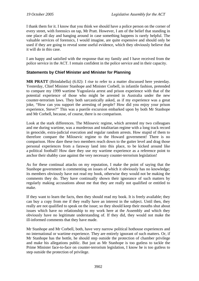I thank them for it. I know that you think we should have a police person on the corner of every street, with forensics on tap, Mr Pratt. However, I am of the belief that standing in one place all day and hanging around in case something happens is rarely helpful. The valuable services of forensics, I would imagine, are quite expensive and should only be used if they are going to reveal some useful evidence, which they obviously believe that it will do in this case.

I am happy and satisfied with the response that my family and I have received from the police service in the ACT. I remain confident in the police service and in their capacity.

## **Statements by Chief Minister and Minister for Planning**

**MR PRATT** (Brindabella) (6.02): I rise to refer to a matter discussed here yesterday. Yesterday, Chief Minister Stanhope and Minister Corbell, in infantile fashion, pretended to compare my 1999 wartime Yugoslavia arrest and prison experience with that of the potential experience of those who might be arrested in Australia under the new counter-terrorism laws. They both sarcastically asked, as if my experience was a great joke, "How can you support the arresting of people? How did you enjoy your prison experience, Steve?" This was a puerile excursion embarked upon by both Mr Stanhope and Mr Corbell, because, of course, there is no comparison.

Look at the stark differences. The Milosevic regime, which arrested my two colleagues and me during wartime, was a murderous and totalitarian regime with a long track record in genocide, extra-judicial execution and regular random arrests. How stupid of them to therefore compare the Milosevic regime to the Howard government! There is no comparison. How dare these two members reach down to the gutter level and drag those personal experiences from a faraway land into this place, to be kicked around like a political football! How dare they use my wartime experience as a reference point to anchor their shabby case against the very necessary counter-terrorism legislation!

As for these continual attacks on my reputation, I make the point of saying that the Stanhope government is commenting on issues of which it obviously has no knowledge; its members obviously have not read my book, otherwise they would not be making the comments they do. They have continually shown their ignorance of such matters by regularly making accusations about me that they are really not qualified or entitled to make.

If they want to learn the facts, then they should read my book. It is freely available; they can buy a copy from me if they really have an interest in the subject. Until then, they really are not qualified to speak on the issue; so they should keep their mouths shut about issues which have no relationship to my work here at the Assembly and which they obviously have no legitimate understanding of. If they did, they would not make the ill-informed comments that they have made.

Mr Stanhope and Mr Corbell, both, have very narrow political hothouse experiences and no international or wartime experience. They are entirely ignorant of such matters. Or, if Mr Stanhope has the bottle, he should step outside the protection of chamber privilege and make his allegations public. But just as Mr Stanhope is too gutless to tackle the Prime Minister face-to-face on counter-terrorism legislation, I know he is too gutless to step outside the protection of privilege.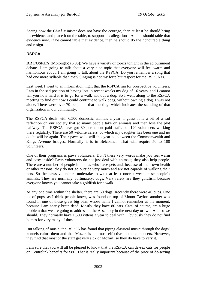Seeing how the Chief Minister does not have the courage, then at least he should bring his evidence and place it on the table, to support his allegations. And he should table that evidence now. If he cannot table that evidence, then he should do the honourable thing and resign.

## **RSPCA**

**DR FOSKEY** (Molonglo) (6.05): We have a variety of topics tonight in the adjournment debate. I am going to talk about a very nice topic that everyone will feel warm and harmonious about. I am going to talk about the RSPCA. Do you remember a song that had one more syllable than that? Singing is not my forte but respect for the RSPCA is.

Last week I went to an information night that the RSPCA ran for prospective volunteers. I am in the sad position of having lost in recent weeks my dog of 16 years, and I cannot tell you how hard it is to go for a walk without a dog. So I went along to the RSPCA meeting to find out how I could continue to walk dogs, without owning a dog. I was not alone. There were over 70 people at that meeting, which indicates the standing of that organisation in our community.

The RSPCA deals with 6,500 domestic animals a year. I guess it is a bit of a sad reflection on our society that so many people take on animals and then lose the plot halfway. The RSPCA have got 30 permanent paid staff, but 120 volunteers working there regularly. There are 50 wildlife carers, of which my daughter has been one and no doubt will be again. Their paws walk will this year be between the Commonwealth and Kings Avenue bridges. Normally it is in Belconnen. That will require 50 to 100 volunteers.

One of their programs is paws volunteers. Don't these very words make you feel warm and cosy inside? Paws volunteers do not just deal with animals; they also help people. There are a number of people in homes who have pets and, because of their own health or other reasons, they do not go outside very much and are not capable of walking their pets. So the paws volunteers undertake to walk at least once a week these people's animals. They are normally, fortunately, dogs. Very rarely are they goldfish, because everyone knows you cannot take a goldfish for a walk.

At any one time within the shelter, there are 60 dogs. Recently there were 40 pups. One lot of pups, as I think people know, was found on top of Mount Taylor; another was found in one of those great big bins, whose name I cannot remember at the moment, because I am nearly brain dead. Mostly they have 80 cats. Cats, of course, are a huge problem that we are going to address in the Assembly in the next day or two. And so we should. They normally have 1,500 kittens a year to deal with. Obviously they do not find homes for very many of those.

But talking of music, the RSPCA has found that piping classical music through the dogs' kennels calms them and that Mozart is the most effective of the composers. However, they find that most of the staff get very sick of Mozart; so they do have to vary it.

I am sure that you will all be pleased to know that the RSPCA can de-sex cats for people on Centrelink benefits for \$80. That is really important because of the price of de-sexing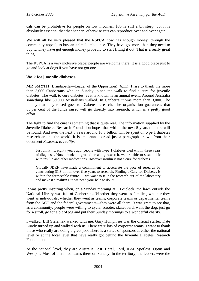cats can be prohibitive for people on low incomes. \$80 is still a bit steep, but it is absolutely essential that that happen, otherwise cats can reproduce over and over again.

We will all be very pleased that the RSPCA now has enough money, through the community appeal, to buy an animal ambulance. They have got more than they need to buy it. They have got enough money probably to start fitting it out. That is a really great thing.

The RSPCA is a very inclusive place; people are welcome there. It is a good place just to go and look at dogs if you have not got one.

#### **Walk for juvenile diabetes**

**MR SMYTH** (Brindabella—Leader of the Opposition) (6.11): I rise to thank the more than 3,000 Canberrans who on Sunday joined the walk to find a cure for juvenile diabetes. The walk to cure diabetes, as it is known, is an annual event. Around Australia something like 80,000 Australians walked. In Canberra it was more than 3,000. The money that they raised goes to Diabetes research. The organisation guarantees that 85 per cent of the funds raised will go directly into research, which is a pretty good effort.

The fight to find the cure is something that is quite real. The information supplied by the Juvenile Diabetes Research Foundation hopes that within the next 5 years the cure will be found. And over the next 5 years around \$3.3 billion will be spent on type 1 diabetes research around the world. It is important to read just a paragraph or two from their document *Research to reality*:

Just think …. eighty years ago, people with Type 1 diabetes died within three years of diagnosis. Now, thanks to ground-breaking research, we are able to sustain life with insulin and other medications. However insulin is not a cure for diabetes.

Globally JDRF have made a commitment to accelerate the pace of research by contributing \$1.3 billion over five years to research. Finding a Cure for Diabetes is within the foreseeable future ... we want to take the research out of the laboratory and make it a reality! But we need your help to do it!

It was pretty inspiring when, on a Sunday morning at 10 o'clock, the lawn outside the National Library was full of Canberrans. Whether they went as families, whether they went as individuals, whether they went as teams, corporate teams or departmental teams from the ACT and the federal governments—they were all there. It was great to see that, as a community, people were willing to cycle, scooter, skateboard, walk the dog, just go for a stroll, go for a bit of jog and put their Sunday mornings to a wonderful charity.

I walked. Bill Stefaniak walked with me. Gary Humphries was the official starter. Kate Lundy turned up and walked with us. There were lots of corporate teams. I want to thank those who really are doing a great job. There is a series of sponsors at either the national level or at the local level that have really got behind the Juvenile Diabetes Research Foundation.

At the national level, they are Australia Post, Boral, Ford, IBM, Spotless, Optus and Westpac. Most of them had teams there on Sunday. In the territory, the leaders were the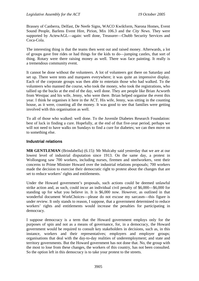Brassey of Canberra, Delfast, De Neefe Signs, WACO Kwikform, Narona Homes, Event Sound People, Barlens Event Hire, Pirion, Mix 106.3 and the *City News*. They were supported by ActewAGL—again: well done, Treasurer—Chubb Security Services and Coca-Cola.

The interesting thing is that the teams then went out and raised money. Afterwards, a lot of groups gave free rides or had things for the kids to do—jumping castles, that sort of thing. Rotary were there raising money as well. There was face painting. It really is a tremendous community event.

It cannot be done without the volunteers. A lot of volunteers got there on Saturday and set up. There were tents and marquees everywhere; it was quite an impressive display. Each of the corporate groups was then able to entertain those who had walked. To the volunteers who manned the course, who took the money, who took the registrations, who tallied up the bucks at the end of the day, well done. They are people like Brian Acworth from Westpac and his wife, Jenny, who were there. Brian helped organise the event this year. I think he organises it here in the ACT. His wife, Jenny, was sitting in the counting house, as it were, counting all the money. It was good to see that families were getting involved with this organisation as well.

To all of those who walked: well done. To the Juvenile Diabetes Research Foundation: best of luck in finding a cure. Hopefully, at the end of that five-year period, perhaps we will not need to have walks on Sundays to find a cure for diabetes; we can then move on to something else.

### **Industrial relations**

**MR GENTLEMAN** (Brindabella) (6.15): Mr Mulcahy said yesterday that we are at our lowest level of industrial disputation since 1913. On the same day, a protest in Wollongong saw 700 workers, including nurses, firemen and steelworkers, vent their concerns to Prime Minister Howard over the industrial relations proposals; 700 workers made the decision to exercise their democratic right to protest about the changes that are set to reduce workers' rights and entitlements.

Under the Howard government's proposals, such actions could be deemed unlawful strike action and, as such, could incur an individual civil penalty of \$6,000—\$6,000 for standing up for what you believe in. It is \$6,000 now. However, as outlined in that wonderful document WorkChoices—please do not excuse my sarcasm—this figure is under review. It only stands to reason, I suppose, that a government determined to reduce workers' rights and entitlements would increase the penalties for participating in democracy.

I suppose democracy is a term that the Howard government employs only for the purposes of spin and not as a means of governance, for, in a democracy, the Howard government would be required to consult key stakeholders in decisions, such as, in this instance, workers and their representatives; employers and employer groups; organisations that deal with the day-to-day realities of underemployment; and state and territory governments. But the Howard government has not done that. No, the group with the most to lose from these changes, the workers of this country, has not been consulted. So the option left in this democracy is to take your protest to the streets.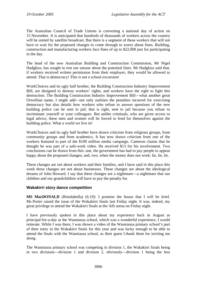The Australian Council of Trade Unions is convening a national day of action on 15 November. It is anticipated that hundreds of thousands of workers across the country will be united by satellite broadcast. But there is a segment of these workers that will not have to wait for the proposed changes to come through to worry about fines. Building, construction and manufacturing workers face fines of up to \$22,000 just for participating in the day.

The head of the new Australian Building and Construction Commission, Mr Nigel Hadgkiss, has sought to rest our unease about the potential fines. Mr Hadgkiss said that, if workers received written permission from their employer, they would be allowed to attend. That is democracy! This is not a school excursion!

WorkChoices and its ugly half brother, the Building Construction Industry Improvement Bill, are designed to destroy workers' rights, and workers have the right to fight this destruction. The Building Construction Industry Improvement Bill—what another great Orwellian name, I might add—not only outlines the penalties incurred for exercising democracy but also details how workers who refuse to answer questions of the new building police can be sent to jail; that is right, sent to jail because you refuse to incriminate yourself or your colleagues. But unlike criminals, who are given access to legal advice, these men and women will be forced to fend for themselves against the building police. What a world we live in!

WorkChoices and its ugly half brother have drawn criticism from religious groups, from community groups and from academics. It has now drawn criticism from one of the workers featured in part of the \$100 million media campaign. Cameron claims that he thought he was part of a safe-work video. He received \$13 for his involvement. Two conclusions can be drawn from this: one, the government has had to pay people to appear happy about the proposed changes; and, two, when the money does not work: lie, lie, lie.

These changes are not about workers and their families, and I have said in this place this week these changes are not about businesses. These changes are about the ideological dreams of John Howard. I say that these changes are a nightmare—a nightmare that our children and our grandchildren will have to pay the penalty for.

### **Wakakirri story dance competition**

**MS MacDONALD** (Brindabella) (6.19): I promise the house that I will be brief. Ms Porter raised the issue of the Wakakirri finals last Friday night. It was, indeed, my great privilege to attend the Wakakirri finals at the AIS arena on Friday night.

I have previously spoken in this place about my experience back in August as principal-for-a-day at the Wanniassa school, which was a wonderful experience, I would reiterate. While I was there, I was shown a video of the Wanniassa primary school's part of their entry in the Wakakirri finals for this year and was lucky enough to be able to attend the finals with the Wanniassa school, as their guest I thank them for inviting me along.

The Wanniassa primary school was competing in division 1, the Wakakirri finals being in two divisions—division 1 and division 2, obviously—division 1 being the less